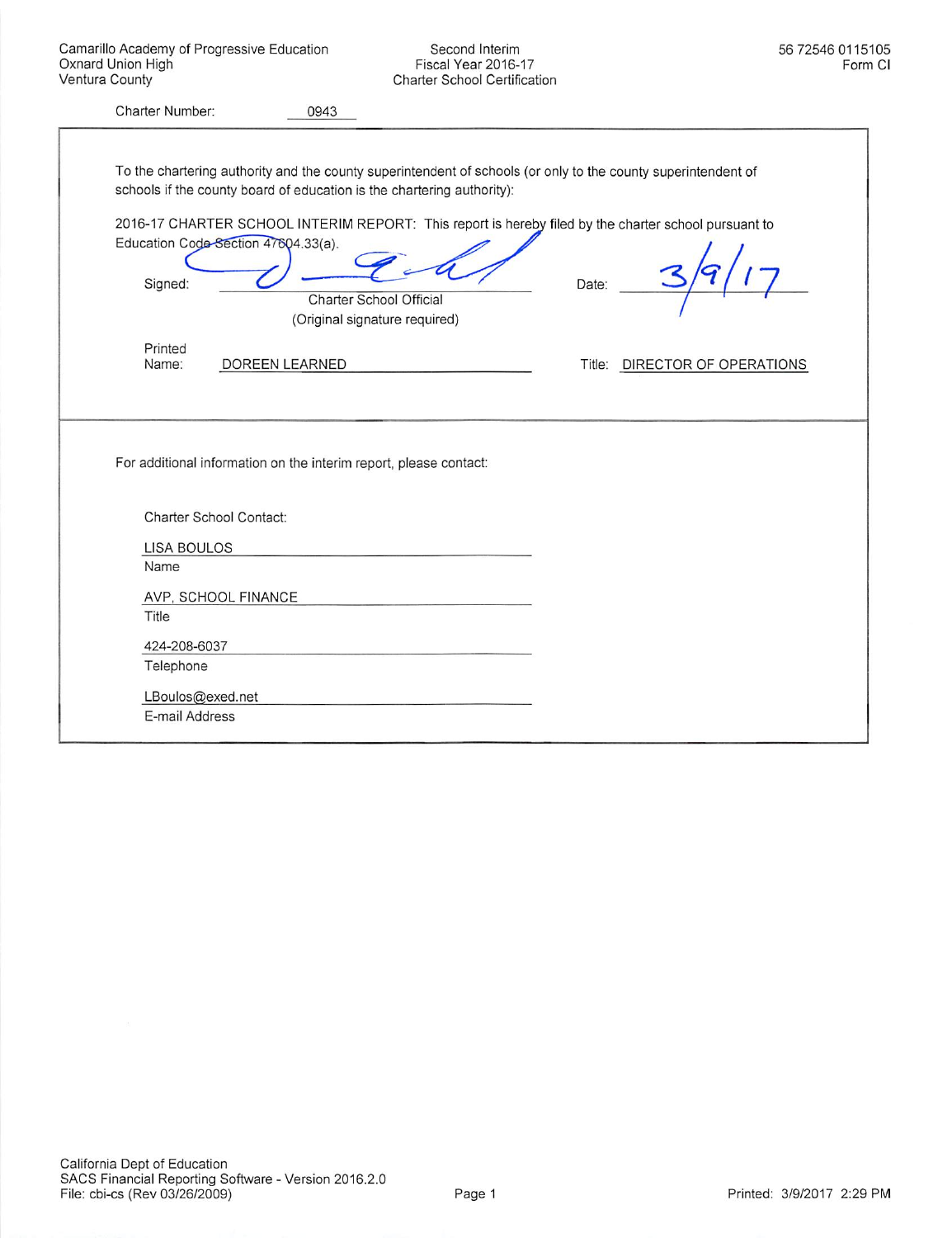Second Interim Fiscal Year 2016-17 Charter School Certification

| Charter Number:                                |                     | 0943                                                                                                                                                                                                                                                                                                                                                               |       |                               |
|------------------------------------------------|---------------------|--------------------------------------------------------------------------------------------------------------------------------------------------------------------------------------------------------------------------------------------------------------------------------------------------------------------------------------------------------------------|-------|-------------------------------|
| Education Code-Section 47604.33(a).<br>Signed: |                     | To the chartering authority and the county superintendent of schools (or only to the county superintendent of<br>schools if the county board of education is the chartering authority):<br>2016-17 CHARTER SCHOOL INTERIM REPORT: This report is hereby filed by the charter school pursuant to<br><b>Charter School Official</b><br>(Original signature required) | Date: |                               |
| Printed<br>Name:                               | DOREEN LEARNED      |                                                                                                                                                                                                                                                                                                                                                                    |       | Title: DIRECTOR OF OPERATIONS |
|                                                |                     | For additional information on the interim report, please contact:                                                                                                                                                                                                                                                                                                  |       |                               |
| Charter School Contact:                        |                     |                                                                                                                                                                                                                                                                                                                                                                    |       |                               |
| <b>LISA BOULOS</b>                             |                     |                                                                                                                                                                                                                                                                                                                                                                    |       |                               |
| Name                                           |                     |                                                                                                                                                                                                                                                                                                                                                                    |       |                               |
|                                                | AVP, SCHOOL FINANCE |                                                                                                                                                                                                                                                                                                                                                                    |       |                               |
| Title                                          |                     |                                                                                                                                                                                                                                                                                                                                                                    |       |                               |
| 424-208-6037                                   |                     |                                                                                                                                                                                                                                                                                                                                                                    |       |                               |
| Telephone                                      |                     |                                                                                                                                                                                                                                                                                                                                                                    |       |                               |
| LBoulos@exed.net                               |                     |                                                                                                                                                                                                                                                                                                                                                                    |       |                               |
| E-mail Address                                 |                     |                                                                                                                                                                                                                                                                                                                                                                    |       |                               |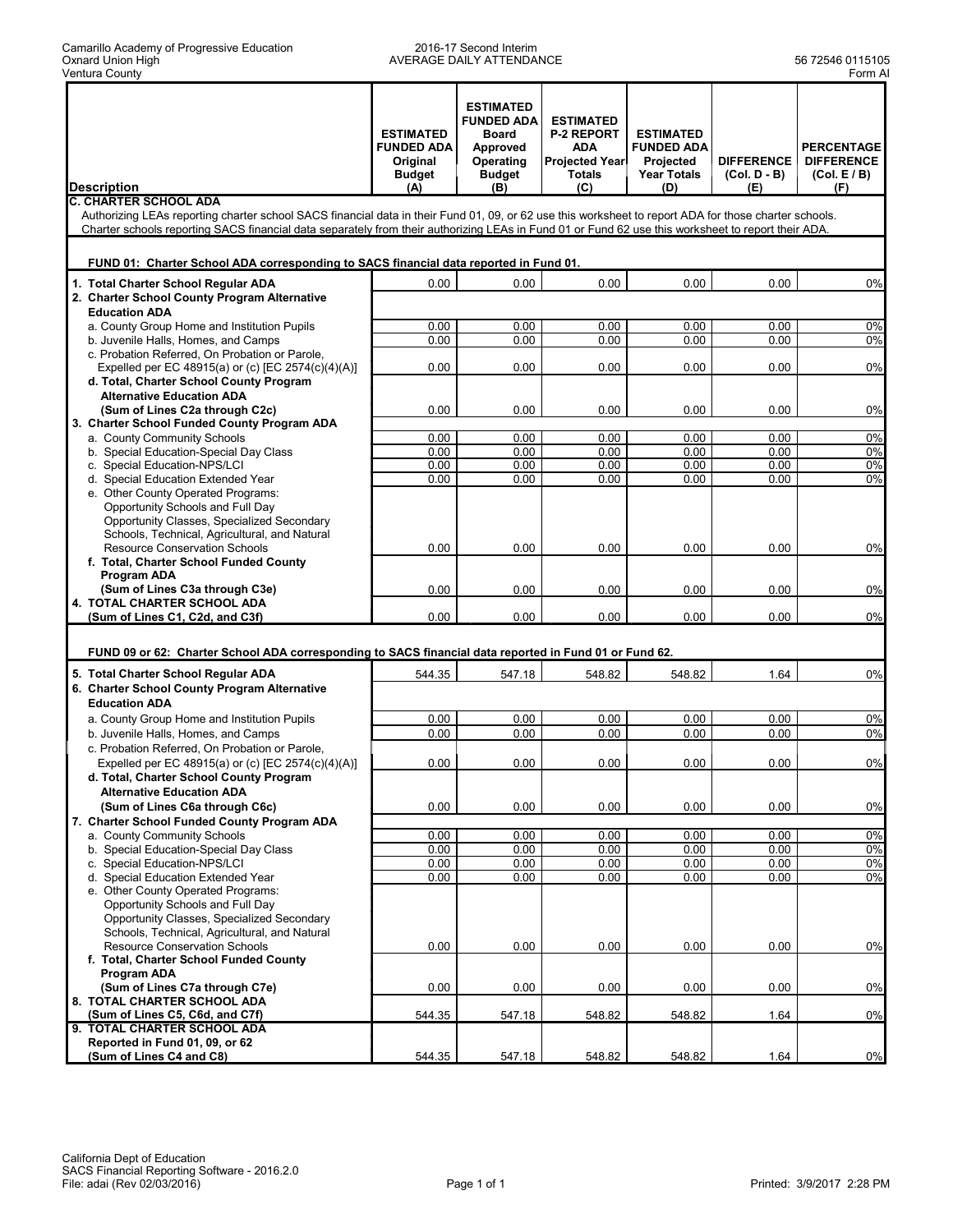#### 2016-17 Second Interim AVERAGE DAILY ATTENDANCE 1999 12546 12546 12546 1399 1300 13105

|                                                                                                                                                       | <b>ESTIMATED</b><br><b>FUNDED ADA</b> | <b>ESTIMATED</b><br><b>FUNDED ADA</b><br>Board<br>Approved | <b>ESTIMATED</b><br><b>P-2 REPORT</b><br><b>ADA</b> | <b>ESTIMATED</b><br><b>FUNDED ADA</b> |                                     | <b>PERCENTAGE</b>               |
|-------------------------------------------------------------------------------------------------------------------------------------------------------|---------------------------------------|------------------------------------------------------------|-----------------------------------------------------|---------------------------------------|-------------------------------------|---------------------------------|
|                                                                                                                                                       | Original<br><b>Budget</b>             | Operating<br><b>Budget</b>                                 | <b>Projected Year</b><br><b>Totals</b>              | Projected<br><b>Year Totals</b>       | <b>DIFFERENCE</b><br>$(Col. D - B)$ | <b>DIFFERENCE</b><br>(Col. E/B) |
| <b>Description</b><br><b>C. CHARTER SCHOOL ADA</b>                                                                                                    | (A)                                   | (B)                                                        | (C)                                                 | (D)                                   | (E)                                 | (F)                             |
| Authorizing LEAs reporting charter school SACS financial data in their Fund 01, 09, or 62 use this worksheet to report ADA for those charter schools. |                                       |                                                            |                                                     |                                       |                                     |                                 |
| Charter schools reporting SACS financial data separately from their authorizing LEAs in Fund 01 or Fund 62 use this worksheet to report their ADA.    |                                       |                                                            |                                                     |                                       |                                     |                                 |
| FUND 01: Charter School ADA corresponding to SACS financial data reported in Fund 01.                                                                 |                                       |                                                            |                                                     |                                       |                                     |                                 |
| 1. Total Charter School Regular ADA                                                                                                                   | 0.00                                  | 0.00                                                       | 0.00                                                | 0.00                                  | 0.00                                | 0%                              |
| 2. Charter School County Program Alternative<br><b>Education ADA</b>                                                                                  |                                       |                                                            |                                                     |                                       |                                     |                                 |
| a. County Group Home and Institution Pupils                                                                                                           | 0.00                                  | 0.00                                                       | 0.00                                                | 0.00                                  | 0.00                                | 0%                              |
| b. Juvenile Halls, Homes, and Camps                                                                                                                   | 0.00                                  | 0.00                                                       | 0.00                                                | 0.00                                  | 0.00                                | $0\%$                           |
| c. Probation Referred, On Probation or Parole,                                                                                                        |                                       |                                                            |                                                     |                                       |                                     |                                 |
| Expelled per EC 48915(a) or (c) [EC 2574(c)(4)(A)]<br>d. Total, Charter School County Program                                                         | 0.00                                  | 0.00                                                       | 0.00                                                | 0.00                                  | 0.00                                | 0%                              |
| <b>Alternative Education ADA</b>                                                                                                                      |                                       |                                                            |                                                     |                                       |                                     |                                 |
| (Sum of Lines C2a through C2c)                                                                                                                        | 0.00                                  | 0.00                                                       | 0.00                                                | 0.00                                  | 0.00                                | 0%                              |
| 3. Charter School Funded County Program ADA                                                                                                           |                                       |                                                            |                                                     |                                       |                                     |                                 |
| a. County Community Schools                                                                                                                           | 0.00                                  | 0.00                                                       | 0.00                                                | 0.00                                  | 0.00                                | 0%                              |
| b. Special Education-Special Day Class<br>c. Special Education-NPS/LCI                                                                                | 0.00<br>0.00                          | 0.00<br>0.00                                               | 0.00<br>0.00                                        | 0.00<br>0.00                          | 0.00<br>0.00                        | $0\%$<br>$0\%$                  |
| d. Special Education Extended Year                                                                                                                    | 0.00                                  | 0.00                                                       | 0.00                                                | 0.00                                  | 0.00                                | 0%                              |
| e. Other County Operated Programs:                                                                                                                    |                                       |                                                            |                                                     |                                       |                                     |                                 |
| Opportunity Schools and Full Day                                                                                                                      |                                       |                                                            |                                                     |                                       |                                     |                                 |
| Opportunity Classes, Specialized Secondary                                                                                                            |                                       |                                                            |                                                     |                                       |                                     |                                 |
| Schools, Technical, Agricultural, and Natural<br><b>Resource Conservation Schools</b>                                                                 | 0.00                                  | 0.00                                                       | 0.00                                                | 0.00                                  | 0.00                                | 0%                              |
| f. Total, Charter School Funded County                                                                                                                |                                       |                                                            |                                                     |                                       |                                     |                                 |
| Program ADA                                                                                                                                           |                                       |                                                            |                                                     |                                       |                                     |                                 |
| (Sum of Lines C3a through C3e)                                                                                                                        | 0.00                                  | 0.00                                                       | 0.00                                                | 0.00                                  | 0.00                                | 0%                              |
| 4. TOTAL CHARTER SCHOOL ADA<br>(Sum of Lines C1, C2d, and C3f)                                                                                        | 0.00                                  | 0.00                                                       | 0.00                                                | 0.00                                  | 0.00                                | 0%                              |
|                                                                                                                                                       |                                       |                                                            |                                                     |                                       |                                     |                                 |
| FUND 09 or 62: Charter School ADA corresponding to SACS financial data reported in Fund 01 or Fund 62.                                                |                                       |                                                            |                                                     |                                       |                                     |                                 |
| 5. Total Charter School Regular ADA                                                                                                                   | 544.35                                | 547.18                                                     | 548.82                                              | 548.82                                | 1.64                                | 0%                              |
| 6. Charter School County Program Alternative                                                                                                          |                                       |                                                            |                                                     |                                       |                                     |                                 |
| <b>Education ADA</b>                                                                                                                                  |                                       |                                                            |                                                     |                                       |                                     |                                 |
| a. County Group Home and Institution Pupils                                                                                                           | 0.00                                  | 0.00                                                       | 0.00                                                | 0.00                                  | 0.00                                | 0%                              |
| b. Juvenile Halls, Homes, and Camps<br>c. Probation Referred, On Probation or Parole,                                                                 | 0.00                                  | 0.00                                                       | 0.00                                                | 0.00                                  | 0.00                                | 0%                              |
| Expelled per EC 48915(a) or (c) [EC 2574(c)(4)(A)]                                                                                                    | 0.00                                  | 0.00                                                       | 0.00                                                | 0.00                                  | 0.00                                | 0%                              |
| d. Total, Charter School County Program                                                                                                               |                                       |                                                            |                                                     |                                       |                                     |                                 |
| <b>Alternative Education ADA</b>                                                                                                                      |                                       |                                                            |                                                     |                                       |                                     |                                 |
| (Sum of Lines C6a through C6c)                                                                                                                        | 0.00                                  | 0.00                                                       | 0.00                                                | 0.00                                  | 0.00                                | 0%                              |
| 7. Charter School Funded County Program ADA                                                                                                           |                                       |                                                            |                                                     |                                       |                                     |                                 |
| a. County Community Schools<br>b. Special Education-Special Day Class                                                                                 | 0.00<br>0.00                          | 0.00<br>0.00                                               | 0.00<br>0.00                                        | 0.00<br>0.00                          | 0.00<br>0.00                        | $0\%$<br>0%                     |
| c. Special Education-NPS/LCI                                                                                                                          | 0.00                                  | 0.00                                                       | 0.00                                                | 0.00                                  | 0.00                                | 0%                              |
| d. Special Education Extended Year                                                                                                                    | 0.00                                  | 0.00                                                       | 0.00                                                | 0.00                                  | 0.00                                | 0%                              |
| e. Other County Operated Programs:                                                                                                                    |                                       |                                                            |                                                     |                                       |                                     |                                 |
| Opportunity Schools and Full Day                                                                                                                      |                                       |                                                            |                                                     |                                       |                                     |                                 |
| Opportunity Classes, Specialized Secondary<br>Schools, Technical, Agricultural, and Natural                                                           |                                       |                                                            |                                                     |                                       |                                     |                                 |
| <b>Resource Conservation Schools</b>                                                                                                                  | 0.00                                  | 0.00                                                       | 0.00                                                | 0.00                                  | 0.00                                | 0%                              |
| f. Total, Charter School Funded County                                                                                                                |                                       |                                                            |                                                     |                                       |                                     |                                 |
| Program ADA                                                                                                                                           |                                       |                                                            |                                                     |                                       |                                     |                                 |
| (Sum of Lines C7a through C7e)<br>8. TOTAL CHARTER SCHOOL ADA                                                                                         | 0.00                                  | 0.00                                                       | 0.00                                                | 0.00                                  | 0.00                                | 0%                              |
| (Sum of Lines C5, C6d, and C7f)                                                                                                                       | 544.35                                | 547.18                                                     | 548.82                                              | 548.82                                | 1.64                                | 0%                              |
| 9. TOTAL CHARTER SCHOOL ADA                                                                                                                           |                                       |                                                            |                                                     |                                       |                                     |                                 |
| Reported in Fund 01, 09, or 62                                                                                                                        |                                       |                                                            |                                                     |                                       |                                     |                                 |
| (Sum of Lines C4 and C8)                                                                                                                              | 544.35                                | 547.18                                                     | 548.82                                              | 548.82                                | 1.64                                | 0%                              |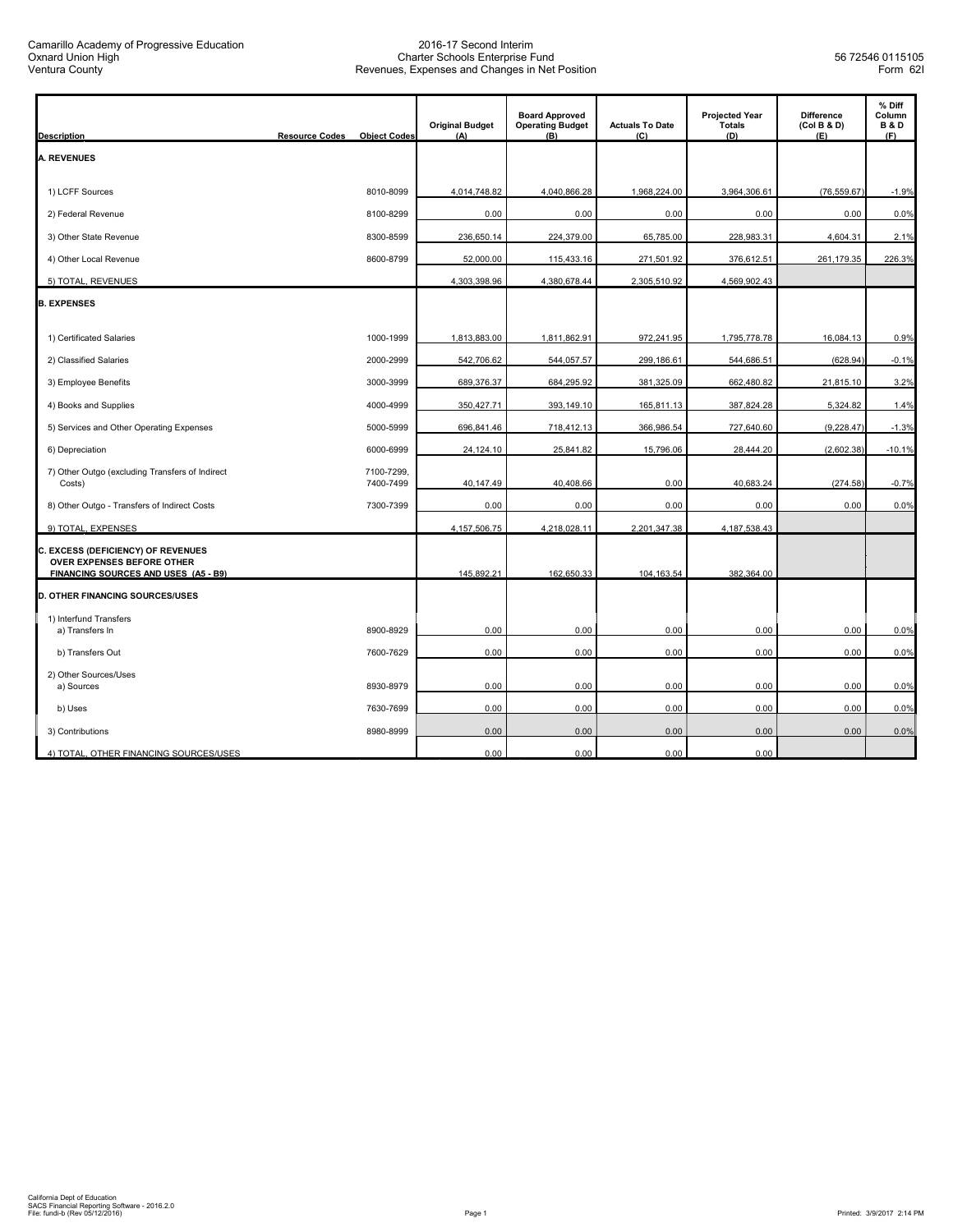| <b>Description</b>                                                                                       | <b>Resource Codes</b> | <b>Object Codes</b>     | <b>Original Budget</b><br>(A) | <b>Board Approved</b><br><b>Operating Budget</b><br>(B) | <b>Actuals To Date</b><br>(C) | <b>Projected Year</b><br><b>Totals</b><br>(D) | <b>Difference</b><br>(Col B & D)<br>(E) | % Diff<br>Column<br><b>B&amp;D</b><br>(F) |
|----------------------------------------------------------------------------------------------------------|-----------------------|-------------------------|-------------------------------|---------------------------------------------------------|-------------------------------|-----------------------------------------------|-----------------------------------------|-------------------------------------------|
| <b>A. REVENUES</b>                                                                                       |                       |                         |                               |                                                         |                               |                                               |                                         |                                           |
|                                                                                                          |                       |                         |                               |                                                         |                               |                                               |                                         |                                           |
| 1) LCFF Sources                                                                                          |                       | 8010-8099               | 4,014,748.82                  | 4,040,866.28                                            | 1,968,224.00                  | 3,964,306.61                                  | (76, 559.67)                            | $-1.9%$                                   |
| 2) Federal Revenue                                                                                       |                       | 8100-8299               | 0.00                          | 0.00                                                    | 0.00                          | 0.00                                          | 0.00                                    | 0.0%                                      |
| 3) Other State Revenue                                                                                   |                       | 8300-8599               | 236,650.14                    | 224,379.00                                              | 65,785.00                     | 228,983.31                                    | 4,604.31                                | 2.1%                                      |
| 4) Other Local Revenue                                                                                   |                       | 8600-8799               | 52,000.00                     | 115,433.16                                              | 271,501.92                    | 376,612.51                                    | 261,179.35                              | 226.3%                                    |
| 5) TOTAL, REVENUES                                                                                       |                       |                         | 4,303,398.96                  | 4,380,678.44                                            | 2,305,510.92                  | 4,569,902.43                                  |                                         |                                           |
| <b>B. EXPENSES</b>                                                                                       |                       |                         |                               |                                                         |                               |                                               |                                         |                                           |
| 1) Certificated Salaries                                                                                 |                       | 1000-1999               | 1,813,883.00                  | 1,811,862.91                                            | 972,241.95                    | 1,795,778.78                                  | 16,084.13                               | 0.9%                                      |
| 2) Classified Salaries                                                                                   |                       | 2000-2999               | 542,706.62                    | 544,057.57                                              | 299,186.61                    | 544,686.51                                    | (628.94)                                | $-0.1%$                                   |
| 3) Employee Benefits                                                                                     |                       | 3000-3999               | 689,376.37                    | 684,295.92                                              | 381,325.09                    | 662,480.82                                    | 21,815.10                               | 3.2%                                      |
| 4) Books and Supplies                                                                                    |                       | 4000-4999               | 350,427.71                    | 393,149.10                                              | 165,811.13                    | 387,824.28                                    | 5,324.82                                | 1.4%                                      |
| 5) Services and Other Operating Expenses                                                                 |                       | 5000-5999               | 696,841.46                    | 718,412.13                                              | 366,986.54                    | 727,640.60                                    | (9, 228.47)                             | $-1.3%$                                   |
| 6) Depreciation                                                                                          |                       | 6000-6999               | 24,124.10                     | 25,841.82                                               | 15,796.06                     | 28,444.20                                     | (2,602.38)                              | $-10.1%$                                  |
| 7) Other Outgo (excluding Transfers of Indirect<br>Costs)                                                |                       | 7100-7299.<br>7400-7499 | 40,147.49                     | 40,408.66                                               | 0.00                          | 40,683.24                                     | (274.58)                                | $-0.7%$                                   |
| 8) Other Outgo - Transfers of Indirect Costs                                                             |                       | 7300-7399               | 0.00                          | 0.00                                                    | 0.00                          | 0.00                                          | 0.00                                    | 0.0%                                      |
| 9) TOTAL, EXPENSES                                                                                       |                       |                         | 4, 157, 506. 75               | 4,218,028.11                                            | 2,201,347.38                  | 4, 187, 538.43                                |                                         |                                           |
| C. EXCESS (DEFICIENCY) OF REVENUES<br>OVER EXPENSES BEFORE OTHER<br>FINANCING SOURCES AND USES (A5 - B9) |                       |                         | 145,892.21                    | 162,650.33                                              |                               | 382,364.00                                    |                                         |                                           |
| <b>D. OTHER FINANCING SOURCES/USES</b>                                                                   |                       |                         |                               |                                                         | 104, 163.54                   |                                               |                                         |                                           |
| 1) Interfund Transfers                                                                                   |                       |                         |                               |                                                         |                               |                                               |                                         |                                           |
| a) Transfers In                                                                                          |                       | 8900-8929               | 0.00                          | 0.00                                                    | 0.00                          | 0.00                                          | 0.00                                    | 0.0%                                      |
| b) Transfers Out                                                                                         |                       | 7600-7629               | 0.00                          | 0.00                                                    | 0.00                          | 0.00                                          | 0.00                                    | 0.0%                                      |
| 2) Other Sources/Uses<br>a) Sources                                                                      |                       | 8930-8979               | 0.00                          | 0.00                                                    | 0.00                          | 0.00                                          | 0.00                                    | 0.0%                                      |
| b) Uses                                                                                                  |                       | 7630-7699               | 0.00                          | 0.00                                                    | 0.00                          | 0.00                                          | 0.00                                    | 0.0%                                      |
| 3) Contributions                                                                                         |                       | 8980-8999               | 0.00                          | 0.00                                                    | 0.00                          | 0.00                                          | 0.00                                    | 0.0%                                      |
| 4) TOTAL, OTHER FINANCING SOURCES/USES                                                                   |                       |                         | 0.00                          | 0.00                                                    | 0.00                          | 0.00                                          |                                         |                                           |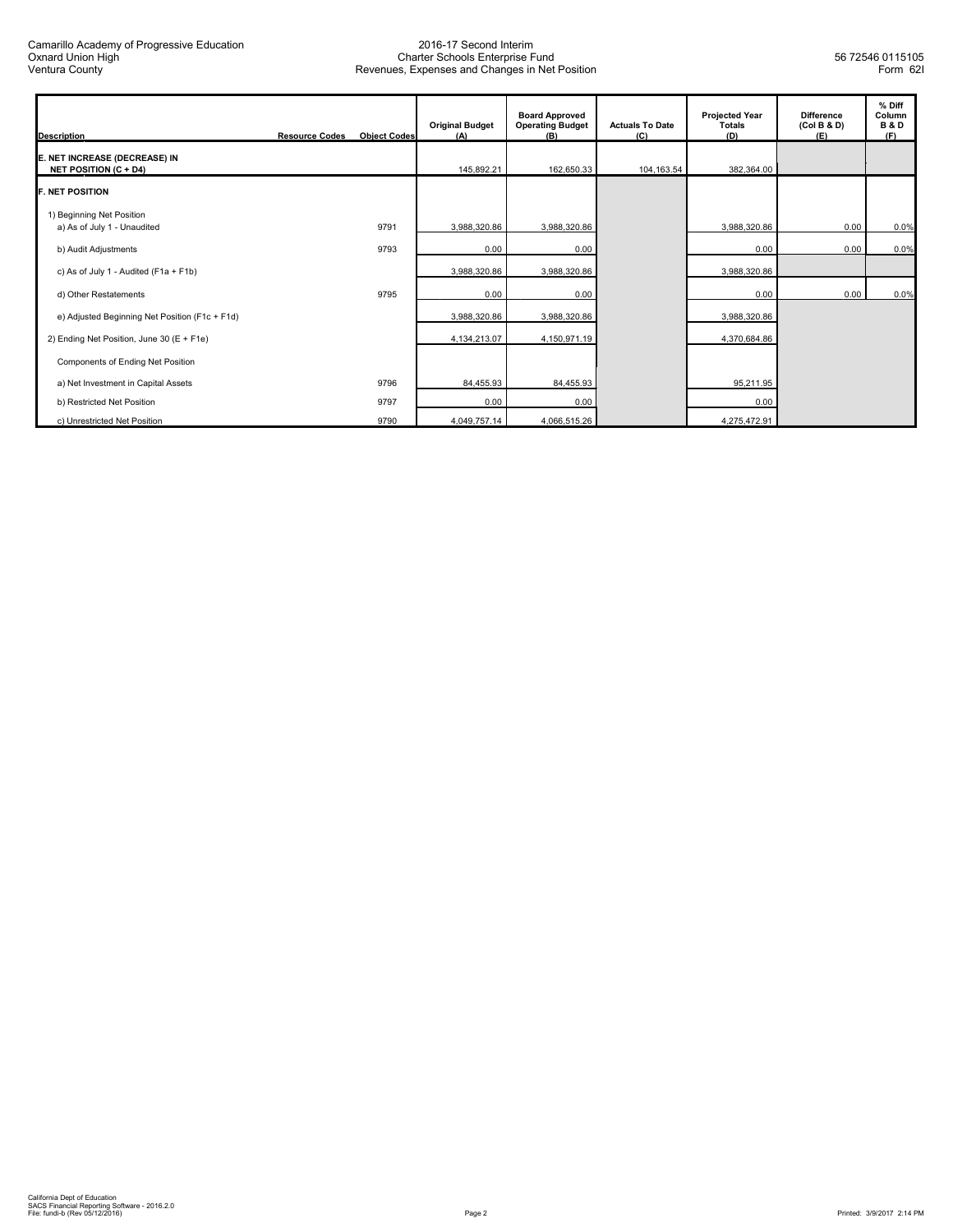| <b>Description</b>                                            | <b>Resource Codes</b> | <b>Object Codes</b> | <b>Original Budget</b><br>(A) | <b>Board Approved</b><br><b>Operating Budget</b><br>(B) | <b>Actuals To Date</b><br>(C) | <b>Projected Year</b><br><b>Totals</b><br>(D) | <b>Difference</b><br>(Col B & D)<br>(E) | % Diff<br>Column<br><b>B&amp;D</b><br>(F) |
|---------------------------------------------------------------|-----------------------|---------------------|-------------------------------|---------------------------------------------------------|-------------------------------|-----------------------------------------------|-----------------------------------------|-------------------------------------------|
| E. NET INCREASE (DECREASE) IN<br><b>NET POSITION (C + D4)</b> |                       |                     | 145,892.21                    | 162,650.33                                              | 104,163.54                    | 382,364.00                                    |                                         |                                           |
| <b>IF. NET POSITION</b>                                       |                       |                     |                               |                                                         |                               |                                               |                                         |                                           |
| 1) Beginning Net Position<br>a) As of July 1 - Unaudited      |                       | 9791                | 3,988,320.86                  | 3,988,320.86                                            |                               | 3,988,320.86                                  | 0.00                                    | 0.0%                                      |
| b) Audit Adjustments                                          |                       | 9793                | 0.00                          | 0.00                                                    |                               | 0.00                                          | 0.00                                    | 0.0%                                      |
| c) As of July 1 - Audited ( $F1a + F1b$ )                     |                       |                     | 3,988,320.86                  | 3,988,320.86                                            |                               | 3,988,320.86                                  |                                         |                                           |
| d) Other Restatements                                         |                       | 9795                | 0.00                          | 0.00                                                    |                               | 0.00                                          | 0.00                                    | 0.0%                                      |
| e) Adjusted Beginning Net Position (F1c + F1d)                |                       |                     | 3,988,320.86                  | 3,988,320.86                                            |                               | 3,988,320.86                                  |                                         |                                           |
| 2) Ending Net Position, June 30 (E + F1e)                     |                       |                     | 4,134,213.07                  | 4,150,971.19                                            |                               | 4,370,684.86                                  |                                         |                                           |
| Components of Ending Net Position                             |                       |                     |                               |                                                         |                               |                                               |                                         |                                           |
| a) Net Investment in Capital Assets                           |                       | 9796                | 84,455.93                     | 84,455.93                                               |                               | 95,211.95                                     |                                         |                                           |
| b) Restricted Net Position                                    |                       | 9797                | 0.00                          | 0.00                                                    |                               | 0.00                                          |                                         |                                           |
| c) Unrestricted Net Position                                  |                       | 9790                | 4,049,757.14                  | 4,066,515.26                                            |                               | 4,275,472.91                                  |                                         |                                           |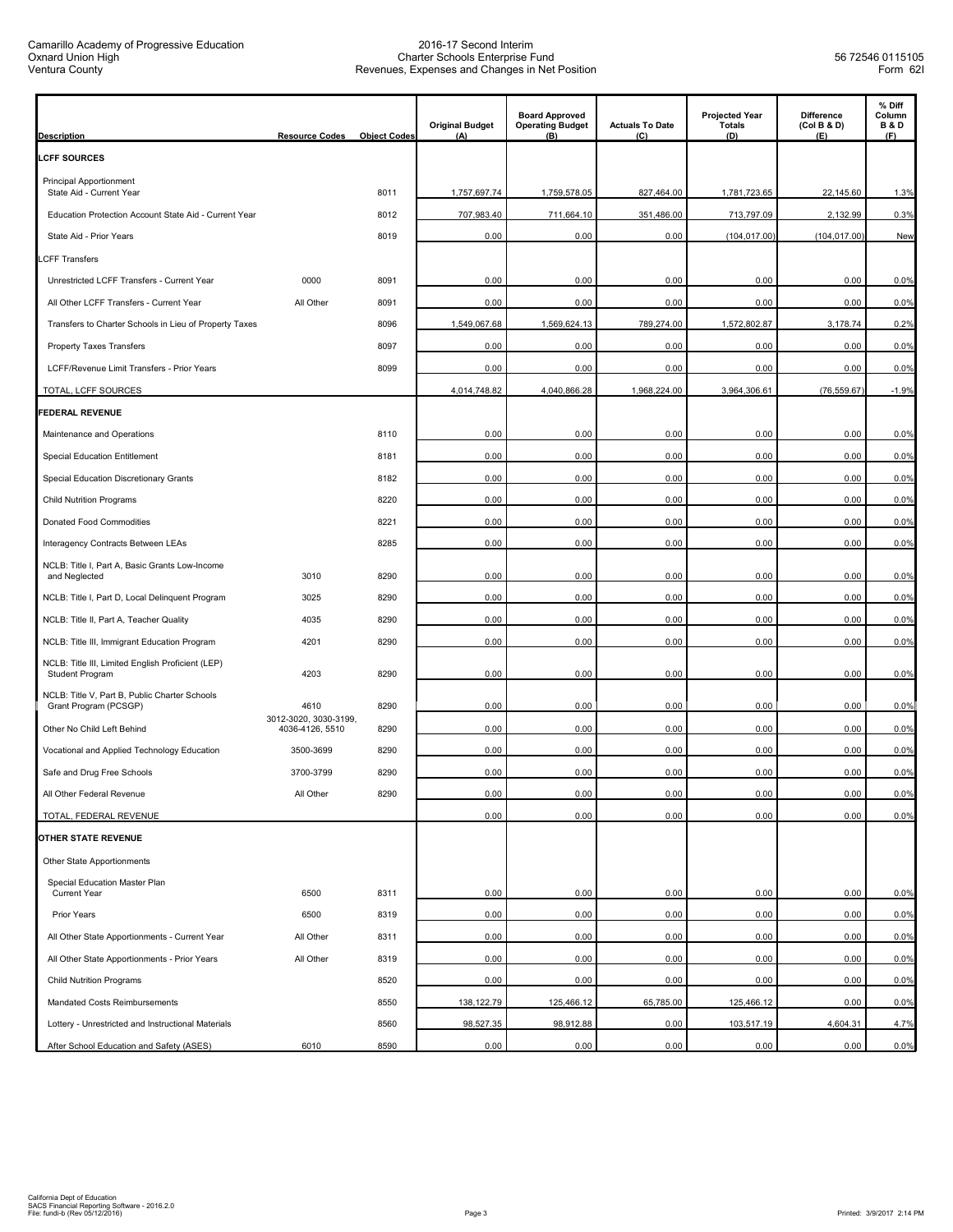| <b>Description</b>                                                   | <b>Resource Codes</b>         | <b>Object Codes</b> | <b>Original Budget</b><br>(A) | <b>Board Approved</b><br><b>Operating Budget</b><br>(B) | <b>Actuals To Date</b><br>(C) | <b>Projected Year</b><br>Totals<br>(D) | <b>Difference</b><br>(Col B & D)<br>(E) | % Diff<br>Column<br><b>B&amp;D</b><br>(F) |
|----------------------------------------------------------------------|-------------------------------|---------------------|-------------------------------|---------------------------------------------------------|-------------------------------|----------------------------------------|-----------------------------------------|-------------------------------------------|
| <b>LCFF SOURCES</b>                                                  |                               |                     |                               |                                                         |                               |                                        |                                         |                                           |
| <b>Principal Apportionment</b><br>State Aid - Current Year           |                               | 8011                | 1,757,697.74                  | 1,759,578.05                                            | 827,464.00                    | 1,781,723.65                           | 22,145.60                               | 1.3%                                      |
| Education Protection Account State Aid - Current Year                |                               | 8012                | 707,983.40                    | 711,664.10                                              | 351,486.00                    | 713,797.09                             | 2,132.99                                | 0.3%                                      |
| State Aid - Prior Years                                              |                               | 8019                | 0.00                          | 0.00                                                    | 0.00                          | (104, 017.00)                          | (104, 017.00)                           | New                                       |
| .CFF Transfers                                                       |                               |                     |                               |                                                         |                               |                                        |                                         |                                           |
| Unrestricted LCFF Transfers - Current Year                           | 0000                          | 8091                | 0.00                          | 0.00                                                    | 0.00                          | 0.00                                   | 0.00                                    | 0.0%                                      |
| All Other LCFF Transfers - Current Year                              | All Other                     | 8091                | 0.00                          | 0.00                                                    | 0.00                          | 0.00                                   | 0.00                                    | 0.0%                                      |
| Transfers to Charter Schools in Lieu of Property Taxes               |                               | 8096                | 1,549,067.68                  | 1,569,624.13                                            | 789,274.00                    | 1,572,802.87                           | 3,178.74                                | 0.2%                                      |
| Property Taxes Transfers                                             |                               | 8097                | 0.00                          | 0.00                                                    | 0.00                          | 0.00                                   | 0.00                                    | 0.0%                                      |
| LCFF/Revenue Limit Transfers - Prior Years                           |                               | 8099                | 0.00                          | 0.00                                                    | 0.00                          | 0.00                                   | 0.00                                    | 0.0%                                      |
| TOTAL, LCFF SOURCES                                                  |                               |                     | 4,014,748.82                  | 4,040,866.28                                            | 1,968,224.00                  | 3,964,306.61                           | (76, 559.67)                            | $-1.9%$                                   |
| <b>FEDERAL REVENUE</b>                                               |                               |                     |                               |                                                         |                               |                                        |                                         |                                           |
| Maintenance and Operations                                           |                               | 8110                | 0.00                          | 0.00                                                    | 0.00                          | 0.00                                   | 0.00                                    | 0.0%                                      |
| Special Education Entitlement                                        |                               | 8181                | 0.00                          | 0.00                                                    | 0.00                          | 0.00                                   | 0.00                                    | 0.0%                                      |
| Special Education Discretionary Grants                               |                               | 8182                | 0.00                          | 0.00                                                    | 0.00                          | 0.00                                   | 0.00                                    | 0.0%                                      |
| <b>Child Nutrition Programs</b>                                      |                               | 8220                | 0.00                          | 0.00                                                    | 0.00                          | 0.00                                   | 0.00                                    | 0.0%                                      |
| Donated Food Commodities                                             |                               | 8221                | 0.00                          | 0.00                                                    | 0.00                          | 0.00                                   | 0.00                                    | 0.0%                                      |
| Interagency Contracts Between LEAs                                   |                               | 8285                | 0.00                          | 0.00                                                    | 0.00                          | 0.00                                   | 0.00                                    | 0.0%                                      |
| NCLB: Title I, Part A, Basic Grants Low-Income<br>and Neglected      | 3010                          | 8290                | 0.00                          | 0.00                                                    | 0.00                          | 0.00                                   | 0.00                                    | 0.0%                                      |
| NCLB: Title I, Part D, Local Delinquent Program                      | 3025                          | 8290                | 0.00                          | 0.00                                                    | 0.00                          | 0.00                                   | 0.00                                    | 0.0%                                      |
| NCLB: Title II, Part A, Teacher Quality                              | 4035                          | 8290                | 0.00                          | 0.00                                                    | 0.00                          | 0.00                                   | 0.00                                    | 0.0%                                      |
| NCLB: Title III, Immigrant Education Program                         | 4201                          | 8290                | 0.00                          | 0.00                                                    | 0.00                          | 0.00                                   | 0.00                                    | 0.0%                                      |
| NCLB: Title III, Limited English Proficient (LEP)<br>Student Program | 4203                          | 8290                | 0.00                          | 0.00                                                    | 0.00                          | 0.00                                   | 0.00                                    | 0.0%                                      |
| NCLB: Title V, Part B, Public Charter Schools                        |                               |                     |                               |                                                         |                               |                                        |                                         |                                           |
| Grant Program (PCSGP)                                                | 4610<br>3012-3020, 3030-3199, | 8290                | 0.00                          | 0.00                                                    | 0.00                          | 0.00                                   | 0.00                                    | 0.0%                                      |
| Other No Child Left Behind                                           | 4036-4126, 5510               | 8290                | 0.00                          | 0.00                                                    | 0.00                          | 0.00                                   | 0.00                                    | 0.0%                                      |
| Vocational and Applied Technology Education                          | 3500-3699                     | 8290                | 0.00                          | 0.00                                                    | 0.00                          | 0.00                                   | 0.00                                    | 0.0%                                      |
| Safe and Drug Free Schools                                           | 3700-3799                     | 8290<br>8290        | 0.00                          | 0.00                                                    | 0.00                          | 0.00                                   | 0.00                                    | 0.0%<br>0.0%                              |
| All Other Federal Revenue<br>TOTAL, FEDERAL REVENUE                  | All Other                     |                     | 0.00<br>0.00                  | 0.00<br>0.00                                            | 0.00<br>0.00                  | 0.00<br>0.00                           | 0.00<br>0.00                            | 0.0%                                      |
| <b>OTHER STATE REVENUE</b>                                           |                               |                     |                               |                                                         |                               |                                        |                                         |                                           |
| Other State Apportionments                                           |                               |                     |                               |                                                         |                               |                                        |                                         |                                           |
| Special Education Master Plan                                        |                               |                     |                               |                                                         |                               |                                        |                                         |                                           |
| <b>Current Year</b>                                                  | 6500                          | 8311                | 0.00                          | 0.00                                                    | 0.00                          | 0.00                                   | 0.00                                    | 0.0%                                      |
| Prior Years                                                          | 6500                          | 8319                | 0.00                          | 0.00                                                    | 0.00                          | 0.00                                   | 0.00                                    | 0.0%                                      |
| All Other State Apportionments - Current Year                        | All Other                     | 8311                | 0.00                          | 0.00                                                    | 0.00                          | 0.00                                   | 0.00                                    | 0.0%                                      |
| All Other State Apportionments - Prior Years                         | All Other                     | 8319                | 0.00                          | 0.00                                                    | 0.00                          | 0.00                                   | 0.00                                    | 0.0%                                      |
| <b>Child Nutrition Programs</b>                                      |                               | 8520                | 0.00                          | 0.00                                                    | 0.00                          | 0.00                                   | 0.00                                    | 0.0%                                      |
| Mandated Costs Reimbursements                                        |                               | 8550                | 138,122.79                    | 125,466.12                                              | 65,785.00                     | 125,466.12                             | 0.00                                    | 0.0%                                      |
| Lottery - Unrestricted and Instructional Materials                   |                               | 8560                | 98,527.35                     | 98,912.88                                               | 0.00                          | 103,517.19                             | 4,604.31                                | 4.7%                                      |
| After School Education and Safety (ASES)                             | 6010                          | 8590                | 0.00                          | 0.00                                                    | 0.00                          | 0.00                                   | 0.00                                    | 0.0%                                      |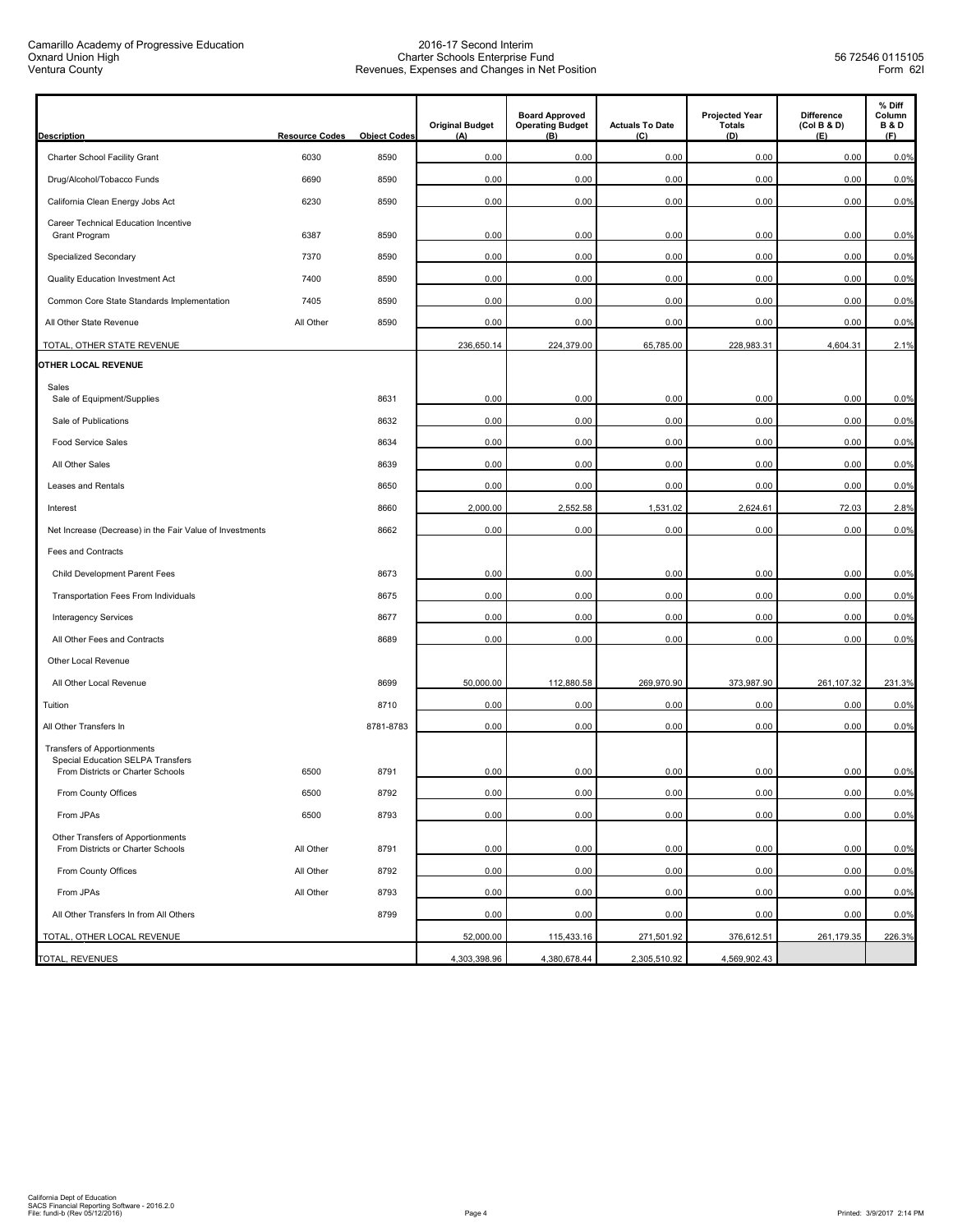Camarillo Academy of Progressive Education Oxnard Union High Ventura County

| <b>Description</b>                                                                                    | <b>Resource Codes</b> | <b>Object Codes</b> | <b>Original Budget</b><br>(A) | <b>Board Approved</b><br><b>Operating Budget</b><br>(B) | <b>Actuals To Date</b><br>(C) | <b>Projected Year</b><br><b>Totals</b><br>(D) | <b>Difference</b><br>(Col B & D)<br>(E) | % Diff<br>Column<br><b>B&amp;D</b><br>(F) |
|-------------------------------------------------------------------------------------------------------|-----------------------|---------------------|-------------------------------|---------------------------------------------------------|-------------------------------|-----------------------------------------------|-----------------------------------------|-------------------------------------------|
| Charter School Facility Grant                                                                         | 6030                  | 8590                | 0.00                          | 0.00                                                    | 0.00                          | 0.00                                          | 0.00                                    | 0.0%                                      |
| Drug/Alcohol/Tobacco Funds                                                                            | 6690                  | 8590                | 0.00                          | 0.00                                                    | 0.00                          | 0.00                                          | 0.00                                    | 0.0%                                      |
| California Clean Energy Jobs Act                                                                      | 6230                  | 8590                | 0.00                          | 0.00                                                    | 0.00                          | 0.00                                          | 0.00                                    | 0.0%                                      |
| Career Technical Education Incentive<br>Grant Program                                                 | 6387                  | 8590                | 0.00                          | 0.00                                                    | 0.00                          | 0.00                                          | 0.00                                    | 0.0%                                      |
| Specialized Secondary                                                                                 | 7370                  | 8590                | 0.00                          | 0.00                                                    | 0.00                          | 0.00                                          | 0.00                                    | 0.0%                                      |
| Quality Education Investment Act                                                                      | 7400                  | 8590                | 0.00                          | 0.00                                                    | 0.00                          | 0.00                                          | 0.00                                    | 0.0%                                      |
| Common Core State Standards Implementation                                                            | 7405                  | 8590                | 0.00                          | 0.00                                                    | 0.00                          | 0.00                                          | 0.00                                    | 0.0%                                      |
| All Other State Revenue                                                                               | All Other             | 8590                | 0.00                          | 0.00                                                    | 0.00                          | 0.00                                          | 0.00                                    | 0.0%                                      |
| TOTAL, OTHER STATE REVENUE                                                                            |                       |                     | 236,650.14                    | 224,379.00                                              | 65,785.00                     | 228,983.31                                    | 4,604.31                                | 2.1%                                      |
| <b>OTHER LOCAL REVENUE</b>                                                                            |                       |                     |                               |                                                         |                               |                                               |                                         |                                           |
| Sales                                                                                                 |                       |                     |                               |                                                         |                               |                                               |                                         |                                           |
| Sale of Equipment/Supplies                                                                            |                       | 8631                | 0.00                          | 0.00                                                    | 0.00                          | 0.00                                          | 0.00                                    | 0.0%                                      |
| Sale of Publications                                                                                  |                       | 8632                | 0.00                          | 0.00                                                    | 0.00                          | 0.00                                          | 0.00                                    | 0.0%                                      |
| <b>Food Service Sales</b>                                                                             |                       | 8634                | 0.00                          | 0.00                                                    | 0.00                          | 0.00                                          | 0.00                                    | 0.0%                                      |
| All Other Sales                                                                                       |                       | 8639                | 0.00                          | 0.00                                                    | 0.00                          | 0.00                                          | 0.00                                    | 0.0%                                      |
| Leases and Rentals                                                                                    |                       | 8650                | 0.00                          | 0.00                                                    | 0.00                          | 0.00                                          | 0.00                                    | 0.0%                                      |
| Interest                                                                                              |                       | 8660                | 2,000.00                      | 2,552.58                                                | 1,531.02                      | 2,624.61                                      | 72.03                                   | 2.8%                                      |
| Net Increase (Decrease) in the Fair Value of Investments                                              |                       | 8662                | 0.00                          | 0.00                                                    | 0.00                          | 0.00                                          | 0.00                                    | 0.0%                                      |
| Fees and Contracts                                                                                    |                       |                     |                               |                                                         |                               |                                               |                                         |                                           |
| Child Development Parent Fees                                                                         |                       | 8673                | 0.00                          | 0.00                                                    | 0.00                          | 0.00                                          | 0.00                                    | 0.0%                                      |
| Transportation Fees From Individuals                                                                  |                       | 8675                | 0.00                          | 0.00                                                    | 0.00                          | 0.00                                          | 0.00                                    | 0.0%                                      |
| <b>Interagency Services</b>                                                                           |                       | 8677                | 0.00                          | 0.00                                                    | 0.00                          | 0.00                                          | 0.00                                    | 0.0%                                      |
| All Other Fees and Contracts                                                                          |                       | 8689                | 0.00                          | 0.00                                                    | 0.00                          | 0.00                                          | 0.00                                    | 0.0%                                      |
| Other Local Revenue                                                                                   |                       |                     |                               |                                                         |                               |                                               |                                         |                                           |
| All Other Local Revenue                                                                               |                       | 8699                | 50,000.00                     | 112,880.58                                              | 269,970.90                    | 373,987.90                                    | 261,107.32                              | 231.3%                                    |
| Tuition                                                                                               |                       | 8710                | 0.00                          | 0.00                                                    | 0.00                          | 0.00                                          | 0.00                                    | 0.0%                                      |
| All Other Transfers In                                                                                |                       | 8781-8783           | 0.00                          | 0.00                                                    | 0.00                          | 0.00                                          | 0.00                                    | 0.0%                                      |
| Transfers of Apportionments<br>Special Education SELPA Transfers<br>From Districts or Charter Schools | 6500                  | 8791                | 0.00                          | 0.00                                                    | 0.00                          | 0.00                                          | 0.00                                    | 0.0%                                      |
|                                                                                                       |                       |                     |                               |                                                         |                               |                                               |                                         |                                           |
| From County Offices                                                                                   | 6500                  | 8792                | 0.00                          | 0.00                                                    | 0.00                          | 0.00                                          | 0.00                                    | 0.0%                                      |
| From JPAs                                                                                             | 6500                  | 8793                | 0.00                          | 0.00                                                    | 0.00                          | 0.00                                          | 0.00                                    | 0.0%                                      |
| Other Transfers of Apportionments<br>From Districts or Charter Schools                                | All Other             | 8791                | 0.00                          | 0.00                                                    | 0.00                          | 0.00                                          | 0.00                                    | 0.0%                                      |
| From County Offices                                                                                   | All Other             | 8792                | 0.00                          | 0.00                                                    | 0.00                          | 0.00                                          | 0.00                                    | 0.0%                                      |
| From JPAs                                                                                             | All Other             | 8793                | 0.00                          | 0.00                                                    | 0.00                          | 0.00                                          | 0.00                                    | 0.0%                                      |
| All Other Transfers In from All Others                                                                |                       | 8799                | 0.00                          | 0.00                                                    | 0.00                          | 0.00                                          | 0.00                                    | 0.0%                                      |
| TOTAL, OTHER LOCAL REVENUE                                                                            |                       |                     | 52,000.00                     | 115,433.16                                              | 271,501.92                    | 376,612.51                                    | 261,179.35                              | 226.3%                                    |
| TOTAL, REVENUES                                                                                       |                       |                     | 4,303,398.96                  | 4,380,678.44                                            | 2,305,510.92                  | 4,569,902.43                                  |                                         |                                           |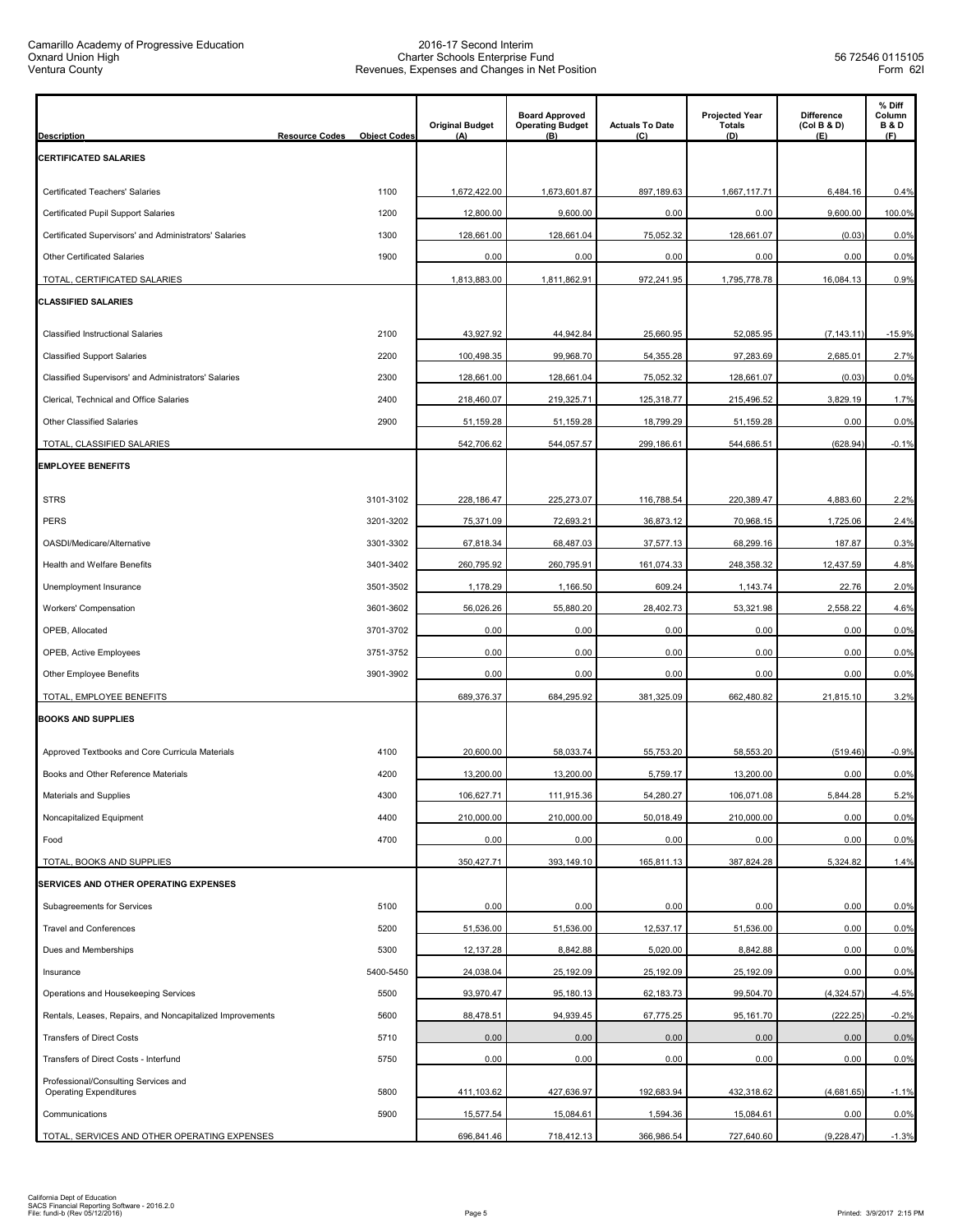| <b>Description</b>                                                    | <b>Resource Codes</b> | <b>Object Codes</b> | <b>Original Budget</b><br>(A) | <b>Board Approved</b><br><b>Operating Budget</b><br>(B) | <b>Actuals To Date</b><br>(C) | <b>Projected Year</b><br><b>Totals</b><br>(D) | Difference<br>(Col B & D)<br>(E) | % Diff<br>Column<br><b>B&amp;D</b><br>(F) |
|-----------------------------------------------------------------------|-----------------------|---------------------|-------------------------------|---------------------------------------------------------|-------------------------------|-----------------------------------------------|----------------------------------|-------------------------------------------|
| <b>CERTIFICATED SALARIES</b>                                          |                       |                     |                               |                                                         |                               |                                               |                                  |                                           |
| Certificated Teachers' Salaries                                       |                       | 1100                | 1,672,422.00                  | 1,673,601.87                                            | 897,189.63                    | 1,667,117.71                                  | 6,484.16                         | 0.4%                                      |
| Certificated Pupil Support Salaries                                   |                       | 1200                | 12,800.00                     | 9,600.00                                                | 0.00                          | 0.00                                          | 9,600.00                         | 100.0%                                    |
| Certificated Supervisors' and Administrators' Salaries                |                       | 1300                | 128,661.00                    | 128,661.04                                              | 75,052.32                     | 128,661.07                                    | (0.03)                           | 0.0%                                      |
| Other Certificated Salaries                                           |                       | 1900                | 0.00                          | 0.00                                                    | 0.00                          | 0.00                                          | 0.00                             | 0.0%                                      |
| TOTAL, CERTIFICATED SALARIES                                          |                       |                     | 1,813,883.00                  | 1,811,862.91                                            | 972,241.95                    | 1,795,778.78                                  | 16,084.13                        | 0.9%                                      |
| CLASSIFIED SALARIES                                                   |                       |                     |                               |                                                         |                               |                                               |                                  |                                           |
| Classified Instructional Salaries                                     |                       | 2100                | 43,927.92                     | 44,942.84                                               | 25,660.95                     | 52,085.95                                     | (7, 143.11)                      | $-15.9%$                                  |
| <b>Classified Support Salaries</b>                                    |                       | 2200                | 100,498.35                    | 99,968.70                                               | 54,355.28                     | 97,283.69                                     | 2,685.01                         | 2.7%                                      |
| Classified Supervisors' and Administrators' Salaries                  |                       | 2300                | 128,661.00                    | 128,661.04                                              | 75,052.32                     | 128,661.07                                    | (0.03)                           | 0.0%                                      |
| Clerical, Technical and Office Salaries                               |                       | 2400                | 218,460.07                    | 219,325.71                                              | 125,318.77                    | 215,496.52                                    | 3.829.19                         | 1.7%                                      |
| Other Classified Salaries                                             |                       | 2900                | 51,159.28                     | 51,159.28                                               | 18,799.29                     | 51,159.28                                     | 0.00                             | 0.0%                                      |
| TOTAL, CLASSIFIED SALARIES                                            |                       |                     | 542,706.62                    | 544,057.57                                              | 299,186.61                    | 544,686.51                                    | (628.94)                         | $-0.1%$                                   |
| <b>EMPLOYEE BENEFITS</b>                                              |                       |                     |                               |                                                         |                               |                                               |                                  |                                           |
| <b>STRS</b>                                                           |                       | 3101-3102           | 228,186.47                    | 225,273.07                                              | 116,788.54                    | 220,389.47                                    | 4,883.60                         | 2.2%                                      |
| <b>PERS</b>                                                           |                       | 3201-3202           | 75,371.09                     | 72,693.21                                               | 36,873.12                     | 70,968.15                                     | 1,725.06                         | 2.4%                                      |
| OASDI/Medicare/Alternative                                            |                       | 3301-3302           | 67,818.34                     | 68,487.03                                               | 37,577.13                     | 68,299.16                                     | 187.87                           | 0.3%                                      |
| Health and Welfare Benefits                                           |                       | 3401-3402           | 260,795.92                    | 260,795.91                                              | 161,074.33                    | 248,358.32                                    | 12,437.59                        | 4.8%                                      |
| Unemployment Insurance                                                |                       | 3501-3502           | 1,178.29                      | 1,166.50                                                | 609.24                        | 1,143.74                                      | 22.76                            | 2.0%                                      |
| Workers' Compensation                                                 |                       | 3601-3602           | 56,026.26                     | 55,880.20                                               | 28,402.73                     | 53,321.98                                     | 2,558.22                         | 4.6%                                      |
| OPEB, Allocated                                                       |                       | 3701-3702           | 0.00                          | 0.00                                                    | 0.00                          | 0.00                                          | 0.00                             | 0.0%                                      |
| OPEB, Active Employees                                                |                       | 3751-3752           | 0.00                          | 0.00                                                    | 0.00                          | 0.00                                          | 0.00                             | 0.0%                                      |
| Other Employee Benefits                                               |                       | 3901-3902           | 0.00                          | 0.00                                                    | 0.00                          | 0.00                                          | 0.00                             | 0.0%                                      |
| TOTAL, EMPLOYEE BENEFITS                                              |                       |                     | 689,376.37                    | 684,295.92                                              | 381,325.09                    | 662,480.82                                    | 21,815.10                        | 3.2%                                      |
| <b>BOOKS AND SUPPLIES</b>                                             |                       |                     |                               |                                                         |                               |                                               |                                  |                                           |
| Approved Textbooks and Core Curricula Materials                       |                       | 4100                | 20,600.00                     | 58,033.74                                               | 55,753.20                     | 58,553.20                                     | (519.46)                         | $-0.9%$                                   |
| Books and Other Reference Materials                                   |                       | 4200                | 13,200.00                     | 13,200.00                                               | 5,759.17                      | 13,200.00                                     | 0.00                             | 0.0%                                      |
| <b>Materials and Supplies</b>                                         |                       | 4300                | <u>106,627.71</u>             | 111,915.36                                              | 54,280.27                     | 106,071.08                                    | 5,844.28                         | 5.2%                                      |
| Noncapitalized Equipment                                              |                       | 4400                | 210,000.00                    | 210,000.00                                              | 50,018.49                     | 210,000.00                                    | 0.00                             | 0.0%                                      |
| Food                                                                  |                       | 4700                | 0.00                          | 0.00                                                    | 0.00                          | 0.00                                          | 0.00                             | 0.0%                                      |
| TOTAL, BOOKS AND SUPPLIES                                             |                       |                     | 350,427.71                    | 393,149.10                                              | 165,811.13                    | 387,824.28                                    | 5,324.82                         | 1.4%                                      |
| <b>SERVICES AND OTHER OPERATING EXPENSES</b>                          |                       |                     |                               |                                                         |                               |                                               |                                  |                                           |
| Subagreements for Services                                            |                       | 5100                | 0.00                          | 0.00                                                    | 0.00                          | 0.00                                          | 0.00                             | 0.0%                                      |
| <b>Travel and Conferences</b>                                         |                       | 5200                | 51,536.00                     | 51,536.00                                               | 12,537.17                     | 51,536.00                                     | 0.00                             | 0.0%                                      |
| Dues and Memberships                                                  |                       | 5300                | 12,137.28                     | 8,842.88                                                | 5,020.00                      | 8,842.88                                      | 0.00                             | 0.0%                                      |
| Insurance                                                             |                       | 5400-5450           | 24,038.04                     | 25,192.09                                               | 25,192.09                     | 25,192.09                                     | 0.00                             | 0.0%                                      |
| Operations and Housekeeping Services                                  |                       | 5500                | 93,970.47                     | 95,180.13                                               | 62,183.73                     | 99,504.70                                     | (4,324.57)                       | $-4.5%$                                   |
| Rentals, Leases, Repairs, and Noncapitalized Improvements             |                       | 5600                | 88,478.51                     | 94,939.45                                               | 67,775.25                     | 95,161.70                                     | (222.25)                         | $-0.2%$                                   |
| <b>Transfers of Direct Costs</b>                                      |                       | 5710                | 0.00                          | 0.00                                                    | 0.00                          | 0.00                                          | 0.00                             | 0.0%                                      |
| Transfers of Direct Costs - Interfund                                 |                       | 5750                | 0.00                          | 0.00                                                    | 0.00                          | 0.00                                          | 0.00                             | 0.0%                                      |
| Professional/Consulting Services and<br><b>Operating Expenditures</b> |                       | 5800                | 411,103.62                    | 427,636.97                                              | 192,683.94                    | 432,318.62                                    | (4,681.65)                       | $-1.1%$                                   |
| Communications                                                        |                       | 5900                | 15,577.54                     | 15,084.61                                               | 1,594.36                      | 15,084.61                                     | 0.00                             | 0.0%                                      |
| TOTAL, SERVICES AND OTHER OPERATING EXPENSES                          |                       |                     | 696,841.46                    | 718,412.13                                              | 366,986.54                    | 727,640.60                                    | (9, 228.47)                      | $-1.3%$                                   |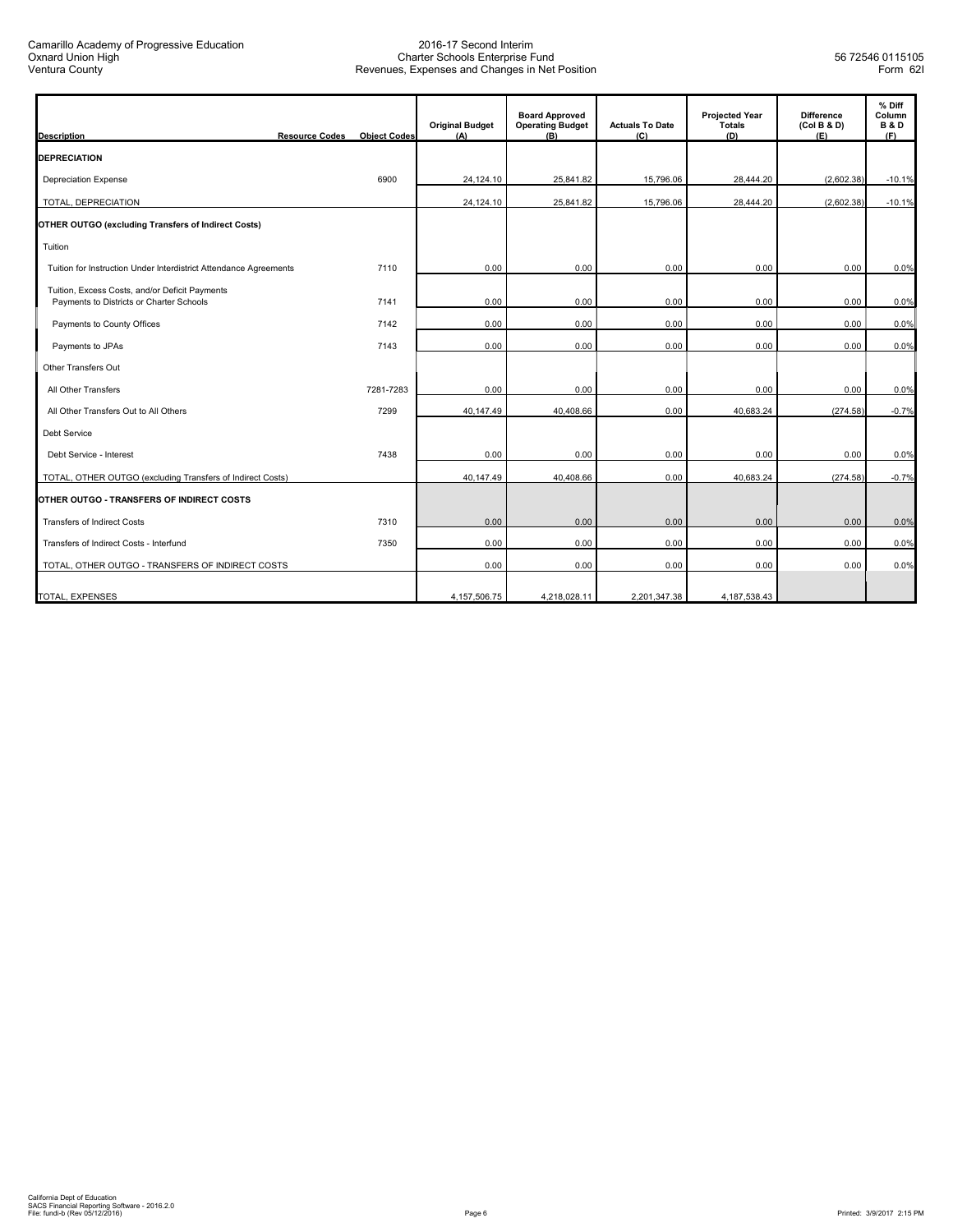| <b>Description</b>                                                                         | <b>Resource Codes</b> | <b>Object Codes</b> | <b>Original Budget</b><br>(A) | <b>Board Approved</b><br><b>Operating Budget</b><br>(B) | <b>Actuals To Date</b><br>(C) | <b>Projected Year</b><br><b>Totals</b><br>(D) | <b>Difference</b><br>(Col B & D)<br>(E) | % Diff<br>Column<br><b>B&amp;D</b><br>(F) |
|--------------------------------------------------------------------------------------------|-----------------------|---------------------|-------------------------------|---------------------------------------------------------|-------------------------------|-----------------------------------------------|-----------------------------------------|-------------------------------------------|
| <b>DEPRECIATION</b>                                                                        |                       |                     |                               |                                                         |                               |                                               |                                         |                                           |
| <b>Depreciation Expense</b>                                                                |                       | 6900                | 24,124.10                     | 25,841.82                                               | 15,796.06                     | 28,444.20                                     | (2,602.38)                              | $-10.1%$                                  |
| TOTAL, DEPRECIATION                                                                        |                       |                     | 24,124.10                     | 25,841.82                                               | 15,796.06                     | 28,444.20                                     | (2,602.38)                              | $-10.1%$                                  |
| OTHER OUTGO (excluding Transfers of Indirect Costs)                                        |                       |                     |                               |                                                         |                               |                                               |                                         |                                           |
| Tuition                                                                                    |                       |                     |                               |                                                         |                               |                                               |                                         |                                           |
| Tuition for Instruction Under Interdistrict Attendance Agreements                          |                       | 7110                | 0.00                          | 0.00                                                    | 0.00                          | 0.00                                          | 0.00                                    | 0.0%                                      |
| Tuition, Excess Costs, and/or Deficit Payments<br>Payments to Districts or Charter Schools |                       | 7141                | 0.00                          | 0.00                                                    | 0.00                          | 0.00                                          | 0.00                                    | 0.0%                                      |
| Payments to County Offices                                                                 |                       | 7142                | 0.00                          | 0.00                                                    | 0.00                          | 0.00                                          | 0.00                                    | 0.0%                                      |
| Payments to JPAs                                                                           |                       | 7143                | 0.00                          | 0.00                                                    | 0.00                          | 0.00                                          | 0.00                                    | 0.0%                                      |
| Other Transfers Out                                                                        |                       |                     |                               |                                                         |                               |                                               |                                         |                                           |
| All Other Transfers                                                                        |                       | 7281-7283           | 0.00                          | 0.00                                                    | 0.00                          | 0.00                                          | 0.00                                    | 0.0%                                      |
| All Other Transfers Out to All Others                                                      |                       | 7299                | 40.147.49                     | 40,408.66                                               | 0.00                          | 40,683.24                                     | (274.58)                                | $-0.7%$                                   |
| Debt Service                                                                               |                       |                     |                               |                                                         |                               |                                               |                                         |                                           |
| Debt Service - Interest                                                                    |                       | 7438                | 0.00                          | 0.00                                                    | 0.00                          | 0.00                                          | 0.00                                    | 0.0%                                      |
| TOTAL, OTHER OUTGO (excluding Transfers of Indirect Costs)                                 |                       |                     | 40,147.49                     | 40,408.66                                               | 0.00                          | 40,683.24                                     | (274.58)                                | $-0.7%$                                   |
| OTHER OUTGO - TRANSFERS OF INDIRECT COSTS                                                  |                       |                     |                               |                                                         |                               |                                               |                                         |                                           |
| <b>Transfers of Indirect Costs</b>                                                         |                       | 7310                | 0.00                          | 0.00                                                    | 0.00                          | 0.00                                          | 0.00                                    | 0.0%                                      |
| Transfers of Indirect Costs - Interfund                                                    |                       | 7350                | 0.00                          | 0.00                                                    | 0.00                          | 0.00                                          | 0.00                                    | 0.0%                                      |
| TOTAL, OTHER OUTGO - TRANSFERS OF INDIRECT COSTS                                           |                       |                     | 0.00                          | 0.00                                                    | 0.00                          | 0.00                                          | 0.00                                    | 0.0%                                      |
| TOTAL, EXPENSES                                                                            |                       |                     | 4.157.506.75                  | 4,218,028.11                                            | 2,201,347.38                  | 4, 187, 538. 43                               |                                         |                                           |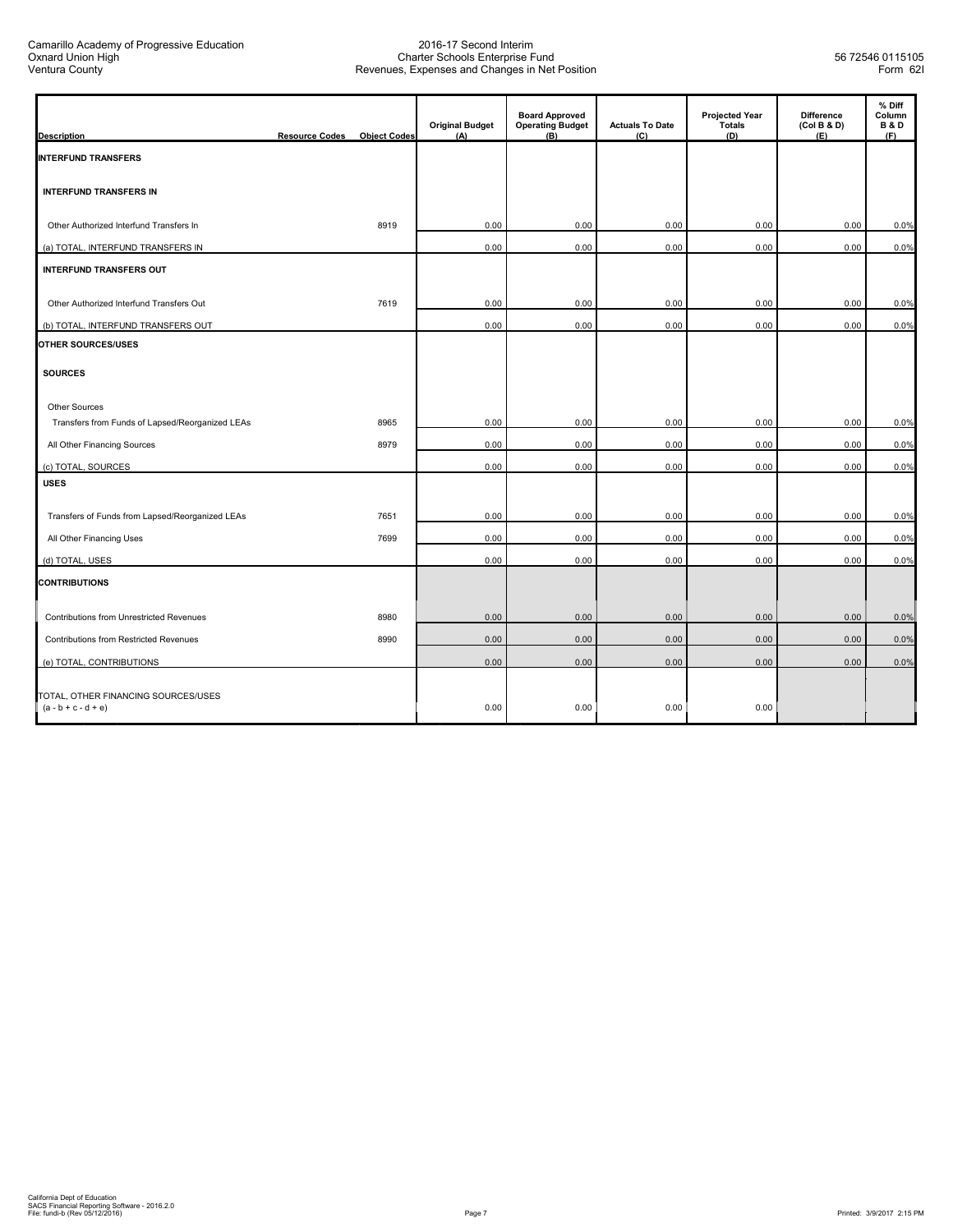| <b>Description</b>                                           | <b>Resource Codes</b> | <b>Object Codes</b> | <b>Original Budget</b><br>(A) | <b>Board Approved</b><br><b>Operating Budget</b><br>(B) | <b>Actuals To Date</b><br>(C) | <b>Projected Year</b><br><b>Totals</b><br>(D) | <b>Difference</b><br>(Col B & D)<br>(E) | % Diff<br>Column<br><b>B&amp;D</b><br>(F) |
|--------------------------------------------------------------|-----------------------|---------------------|-------------------------------|---------------------------------------------------------|-------------------------------|-----------------------------------------------|-----------------------------------------|-------------------------------------------|
| <b>INTERFUND TRANSFERS</b>                                   |                       |                     |                               |                                                         |                               |                                               |                                         |                                           |
| <b>INTERFUND TRANSFERS IN</b>                                |                       |                     |                               |                                                         |                               |                                               |                                         |                                           |
| Other Authorized Interfund Transfers In                      |                       | 8919                | 0.00                          | 0.00                                                    | 0.00                          | 0.00                                          | 0.00                                    | 0.0%                                      |
| (a) TOTAL, INTERFUND TRANSFERS IN                            |                       |                     | 0.00                          | 0.00                                                    | 0.00                          | 0.00                                          | 0.00                                    | 0.0%                                      |
| <b>INTERFUND TRANSFERS OUT</b>                               |                       |                     |                               |                                                         |                               |                                               |                                         |                                           |
| Other Authorized Interfund Transfers Out                     |                       | 7619                | 0.00                          | 0.00                                                    | 0.00                          | 0.00                                          | 0.00                                    | 0.0%                                      |
| (b) TOTAL, INTERFUND TRANSFERS OUT                           |                       |                     | 0.00                          | 0.00                                                    | 0.00                          | 0.00                                          | 0.00                                    | 0.0%                                      |
| OTHER SOURCES/USES                                           |                       |                     |                               |                                                         |                               |                                               |                                         |                                           |
| <b>SOURCES</b>                                               |                       |                     |                               |                                                         |                               |                                               |                                         |                                           |
| Other Sources                                                |                       |                     |                               |                                                         |                               |                                               |                                         |                                           |
| Transfers from Funds of Lapsed/Reorganized LEAs              |                       | 8965                | 0.00                          | 0.00                                                    | 0.00                          | 0.00                                          | 0.00                                    | 0.0%                                      |
| All Other Financing Sources                                  |                       | 8979                | 0.00                          | 0.00                                                    | 0.00                          | 0.00                                          | 0.00                                    | 0.0%                                      |
| (c) TOTAL, SOURCES                                           |                       |                     | 0.00                          | 0.00                                                    | 0.00                          | 0.00                                          | 0.00                                    | 0.0%                                      |
| <b>USES</b>                                                  |                       |                     |                               |                                                         |                               |                                               |                                         |                                           |
| Transfers of Funds from Lapsed/Reorganized LEAs              |                       | 7651                | 0.00                          | 0.00                                                    | 0.00                          | 0.00                                          | 0.00                                    | 0.0%                                      |
| All Other Financing Uses                                     |                       | 7699                | 0.00                          | 0.00                                                    | 0.00                          | 0.00                                          | 0.00                                    | 0.0%                                      |
| (d) TOTAL, USES                                              |                       |                     | 0.00                          | 0.00                                                    | 0.00                          | 0.00                                          | 0.00                                    | 0.0%                                      |
| <b>CONTRIBUTIONS</b>                                         |                       |                     |                               |                                                         |                               |                                               |                                         |                                           |
| Contributions from Unrestricted Revenues                     |                       | 8980                | 0.00                          | 0.00                                                    | 0.00                          | 0.00                                          | 0.00                                    | 0.0%                                      |
| Contributions from Restricted Revenues                       |                       | 8990                | 0.00                          | 0.00                                                    | 0.00                          | 0.00                                          | 0.00                                    | 0.0%                                      |
| (e) TOTAL, CONTRIBUTIONS                                     |                       |                     | 0.00                          | 0.00                                                    | 0.00                          | 0.00                                          | 0.00                                    | 0.0%                                      |
| TOTAL, OTHER FINANCING SOURCES/USES<br>$(a - b + c - d + e)$ |                       |                     | 0.00                          | 0.00                                                    | 0.00                          | 0.00                                          |                                         |                                           |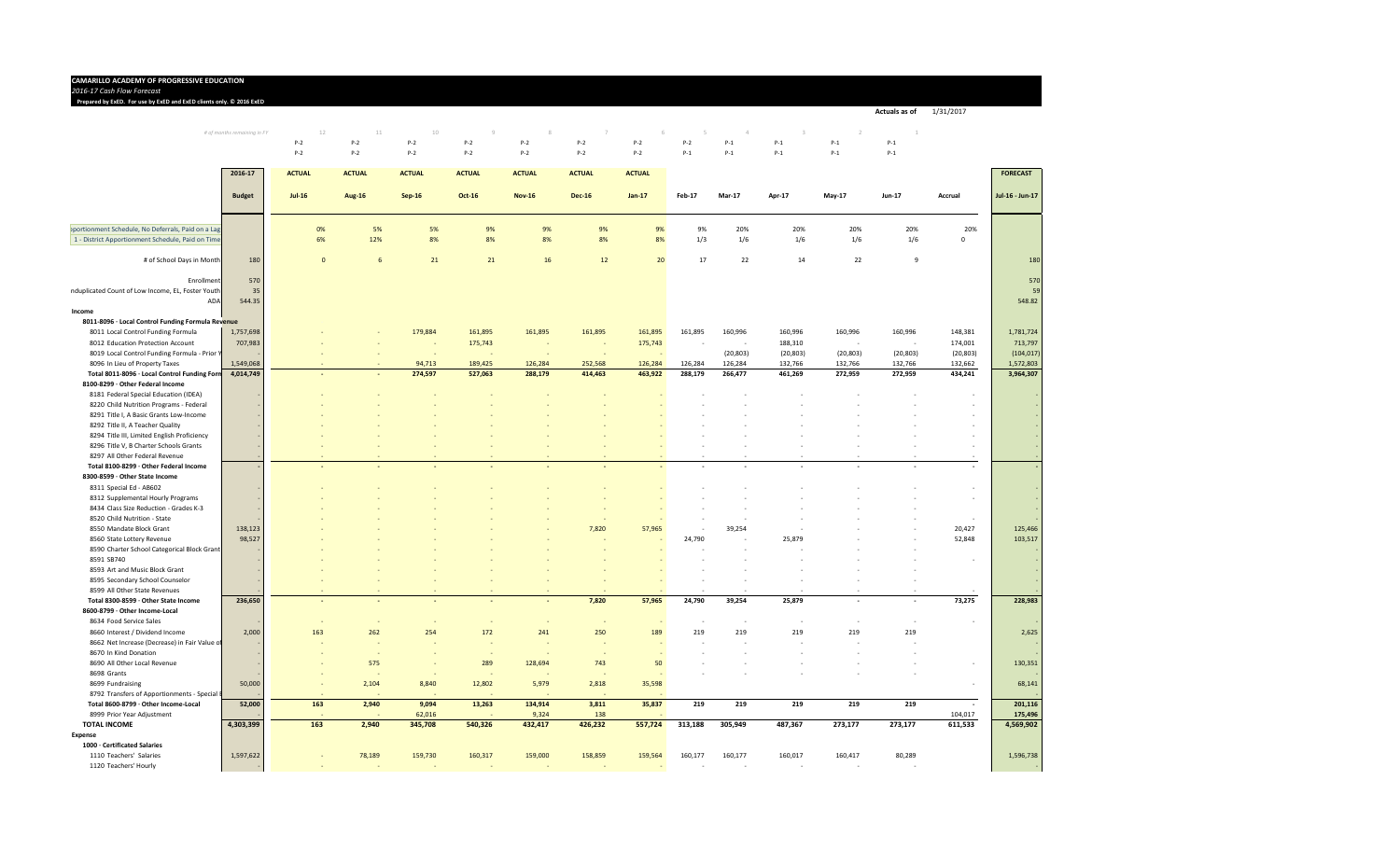#### **CAMARILLO ACADEMY OF PROGRESSIVE EDUCATION**

*2016‐17 Cash FlowForecast* 3 4 5 6 7 8 9 10 11 12 13 14

#### **Prepared by ExED. For use by ExED and ExED clients only. ©2016 ExED** 3 4 5 6 7 8 9 10 11 12 13 14

*# of months remaining in FY* 12 11 10 9 8 7 6 5 4 3 2 1 P‐2 P‐2 P‐2 P‐2 P‐2 P‐2 P‐2 P‐2 P‐1 P‐1 P‐1 P‐1 P‐2 P‐2 P‐2 P‐2 P‐2 P‐2 P‐2 P‐1 P‐1 P‐1 P‐1 P‐1

**Actuals as of** 1/31/2017

|                                                    | 2016-17       | <b>ACTUAL</b> | <b>ACTUAL</b> | <b>ACTUAL</b> | <b>ACTUAL</b> | <b>ACTUAL</b> | <b>ACTUAL</b> | <b>ACTUAL</b> |               |               |           |               |               |                          | <b>FORECAST</b>          |
|----------------------------------------------------|---------------|---------------|---------------|---------------|---------------|---------------|---------------|---------------|---------------|---------------|-----------|---------------|---------------|--------------------------|--------------------------|
|                                                    | <b>Budget</b> | $Jul-16$      | <b>Aug-16</b> | $Sep-16$      | Oct-16        | <b>Nov-16</b> | <b>Dec-16</b> | $Jan-17$      | <b>Feb-17</b> | <b>Mar-17</b> | Apr-17    | <b>May-17</b> | <b>Jun-17</b> | Accrual                  | Jul-16 - Jun-17          |
|                                                    |               |               |               |               |               |               |               |               |               |               |           |               |               |                          |                          |
| oportionment Schedule, No Deferrals, Paid on a Lag |               | 0%            | 5%            | 5%            | 9%            | 9%            | 9%            | 9%            | 9%            | 20%           | 20%       | 20%           | 20%           | 20%                      |                          |
| 1 - District Apportionment Schedule, Paid on Time  |               | 6%            | 12%           | 8%            | 8%            | 8%            | 8%            | 8%            | 1/3           | 1/6           | 1/6       | 1/6           | 1/6           | $\Omega$                 |                          |
| # of School Days in Month                          | 180           | $\Omega$      | 6             | 21            | 21            | 16            | 12            | 20            | 17            | 22            | 14        | 22            | 9             |                          | 180                      |
| Enrollment                                         | 570           |               |               |               |               |               |               |               |               |               |           |               |               |                          | 570                      |
| nduplicated Count of Low Income, EL, Foster Youth  | 35            |               |               |               |               |               |               |               |               |               |           |               |               |                          | 59                       |
| ADA                                                | 544.35        |               |               |               |               |               |               |               |               |               |           |               |               |                          | 548.82                   |
| Income                                             |               |               |               |               |               |               |               |               |               |               |           |               |               |                          |                          |
| 8011-8096 · Local Control Funding Formula Revenue  |               |               |               |               |               |               |               |               |               |               |           |               |               |                          |                          |
| 8011 Local Control Funding Formula                 | 1,757,698     |               |               | 179,884       | 161,895       | 161,895       | 161,895       | 161,895       | 161,895       | 160,996       | 160,996   | 160,996       | 160,996       | 148,381                  | 1,781,724                |
| 8012 Education Protection Account                  | 707,983       |               |               |               | 175,743       |               |               | 175,743       |               |               | 188,310   |               | ÷,            | 174,001                  | 713,797                  |
| 8019 Local Control Funding Formula - Prior Y       |               |               |               |               |               |               |               |               |               | (20, 803)     | (20, 803) | (20, 803)     | (20, 803)     | (20, 803)                | (104, 017)               |
| 8096 In Lieu of Property Taxes                     | 1,549,068     |               |               | 94,713        | 189,425       | 126,284       | 252,568       | 126,284       | 126,284       | 126,284       | 132,766   | 132,766       | 132,766       | 132,662                  | 1,572,803                |
| Total 8011-8096 · Local Control Funding Forn       | 4,014,749     |               |               | 274,597       | 527,063       | 288,179       | 414,463       | 463,922       | 288,179       | 266,477       | 461,269   | 272,959       | 272,959       | 434,241                  | 3,964,307                |
| 8100-8299 · Other Federal Income                   |               |               |               |               |               |               |               |               |               |               |           |               |               |                          |                          |
| 8181 Federal Special Education (IDEA)              |               |               |               |               |               |               |               |               |               |               |           |               |               |                          |                          |
| 8220 Child Nutrition Programs - Federal            |               |               |               |               |               |               |               |               |               |               |           |               |               | ۰.                       | $\sim$                   |
| 8291 Title I, A Basic Grants Low-Income            |               |               |               |               |               |               |               |               |               |               |           |               |               |                          |                          |
| 8292 Title II, A Teacher Quality                   |               |               |               |               |               |               |               |               |               |               |           |               |               |                          |                          |
| 8294 Title III, Limited English Proficiency        |               |               |               |               |               |               |               |               |               |               |           |               |               |                          | $\overline{\phantom{a}}$ |
| 8296 Title V, B Charter Schools Grants             |               |               |               |               |               |               |               |               |               |               |           |               |               |                          | ÷.                       |
| 8297 All Other Federal Revenue                     |               |               |               |               |               |               |               |               |               |               |           |               |               |                          |                          |
| Total 8100-8299 · Other Federal Income             |               |               |               |               |               |               |               |               |               |               | $\sim$    |               |               | $\overline{\phantom{a}}$ | ÷.                       |
| 8300-8599 · Other State Income                     |               |               |               |               |               |               |               |               |               |               |           |               |               |                          |                          |
| 8311 Special Ed - AB602                            |               |               |               |               |               |               |               |               |               |               |           |               |               | ÷                        | $\sim$                   |
| 8312 Supplemental Hourly Programs                  |               |               |               |               |               |               |               |               |               |               |           |               |               | ÷,                       | ÷.                       |
| 8434 Class Size Reduction - Grades K-3             |               |               |               |               |               |               |               |               |               |               |           |               |               |                          |                          |
| 8520 Child Nutrition - State                       |               |               |               |               |               |               |               |               |               |               |           |               |               |                          |                          |
| 8550 Mandate Block Grant                           | 138,123       |               |               |               |               |               | 7,820         | 57,965        |               | 39,254        |           |               |               | 20,427                   | 125,466                  |
| 8560 State Lottery Revenue                         | 98,527        |               |               |               |               |               |               |               | 24,790        |               | 25,879    |               |               | 52,848                   | 103,517                  |
| 8590 Charter School Categorical Block Grant        |               |               |               |               |               |               |               |               |               |               |           |               |               |                          |                          |
| 8591 SB740                                         |               |               |               |               |               |               |               |               |               |               |           |               |               |                          | ÷.                       |
| 8593 Art and Music Block Grant                     |               |               |               |               |               |               |               |               |               |               |           |               |               |                          | $\sim$                   |
| 8595 Secondary School Counselor                    |               |               |               |               |               |               |               |               |               |               |           |               |               |                          |                          |
| 8599 All Other State Revenues                      |               |               |               |               |               |               |               |               |               |               |           |               | $\sim$        |                          |                          |
| Total 8300-8599 · Other State Income               | 236,650       |               |               |               |               |               | 7,820         | 57,965        | 24,790        | 39,254        | 25,879    |               |               | 73,275                   | 228,983                  |
| 8600-8799 · Other Income-Local                     |               |               |               |               |               |               |               |               |               |               |           |               |               |                          |                          |
| 8634 Food Service Sales                            |               |               |               | $\sim$        |               |               |               | ÷,            |               |               | $\sim$    |               | $\sim$        | $\sim$                   |                          |
| 8660 Interest / Dividend Income                    | 2,000         | 163           | 262           | 254           | 172           | 241           | 250           | 189           | 219           | 219           | 219       | 219           | 219           |                          | 2,625                    |
| 8662 Net Increase (Decrease) in Fair Value of      |               |               |               |               |               |               |               |               |               |               |           |               |               |                          |                          |
| 8670 In Kind Donation                              |               |               |               |               |               |               |               |               |               |               |           |               |               |                          |                          |
| 8690 All Other Local Revenue                       |               |               | 575           |               | 289           | 128,694       | 743           | 50            |               |               |           |               |               | $\overline{\phantom{a}}$ | 130,351                  |
| 8698 Grants                                        |               |               |               |               |               |               |               |               |               |               |           |               |               |                          |                          |
| 8699 Fundraising                                   | 50,000        |               | 2,104         | 8,840         | 12,802        | 5,979         | 2,818         | 35,598        |               |               |           |               |               | ÷.                       | 68,141                   |
| 8792 Transfers of Apportionments - Special I       |               |               |               |               |               |               |               |               |               |               |           |               |               |                          |                          |
| Total 8600-8799 · Other Income-Local               | 52,000        | 163           | 2,940         | 9,094         | 13,263        | 134,914       | 3,811         | 35,837        | 219           | 219           | 219       | 219           | 219           | $\sim$                   | 201,116                  |
| 8999 Prior Year Adjustment                         |               |               |               | 62,016        |               | 9,324         | 138           |               |               |               |           |               |               | 104,017                  | 175,496                  |
| <b>TOTAL INCOME</b>                                | 4,303,399     | 163           | 2,940         | 345,708       | 540,326       | 432,417       | 426,232       | 557,724       | 313,188       | 305,949       | 487,367   | 273,177       | 273,177       | 611,533                  | 4,569,902                |
| <b>Expense</b>                                     |               |               |               |               |               |               |               |               |               |               |           |               |               |                          |                          |
| 1000 · Certificated Salaries                       |               |               |               |               |               |               |               |               |               |               |           |               |               |                          |                          |
| 1110 Teachers' Salaries                            | 1,597,622     |               | 78,189        | 159,730       | 160,317       | 159,000       | 158,859       | 159,564       | 160,177       | 160,177       | 160,017   | 160,417       | 80,289        |                          | 1,596,738                |
| 1120 Teachers' Hourly                              |               | $\sim$        |               |               |               |               |               |               |               |               | $\sim$    |               |               |                          |                          |
|                                                    |               |               |               |               |               |               |               |               |               |               |           |               |               |                          |                          |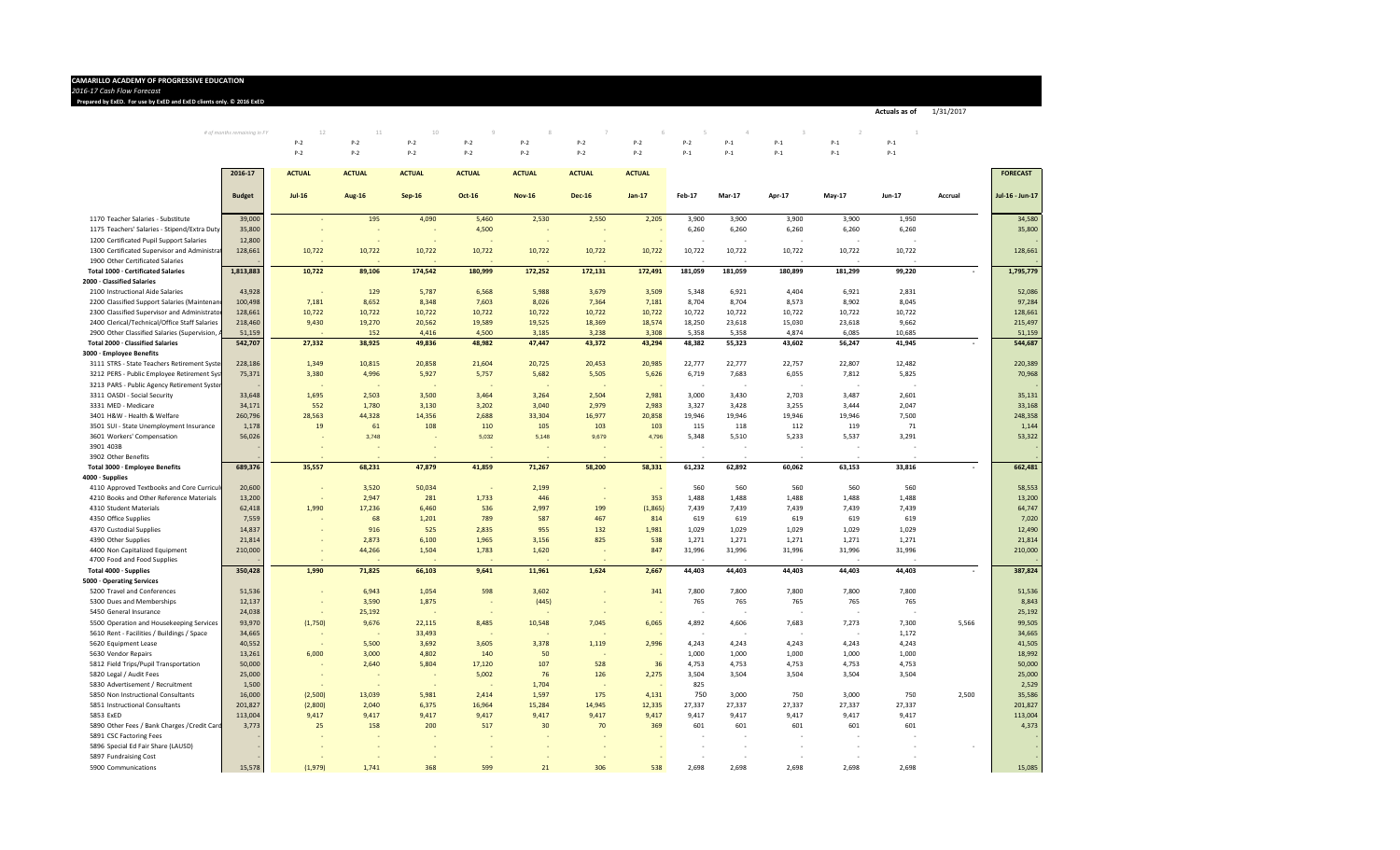#### **CAMARILLO ACADEMY OF PROGRESSIVE EDUCATION**

*2016‐17 Cash FlowForecast* 3 4 5 6 7 8 9 10 11 12 13 14

**Prepared by ExED. For use by ExED and ExED clients only. ©2016 ExED** 3 4 5 6 7 8 9 10 11 12 13 14

*# of months remaining in FY* 12 11 10 9 8 7 6 5 4 3 2 1 P‐2 P‐2 P‐2 P‐2 P‐2 P‐2 P‐2 P‐2 P‐1 P‐1 P‐1 P‐1 P‐2 P‐2 P‐2 P‐2 P‐2 P‐2 P‐2 P‐1 P‐1 P‐1 P‐1 P‐1

**Actuals as of** 1/31/2017

|                                                | 2016-17          | <b>ACTUAL</b> | <b>ACTUAL</b> | <b>ACTUAL</b>    | <b>ACTUAL</b> | <b>ACTUAL</b> | <b>ACTUAL</b> | <b>ACTUAL</b> |         |               |         |                          |                |         | <b>FORECAST</b>  |
|------------------------------------------------|------------------|---------------|---------------|------------------|---------------|---------------|---------------|---------------|---------|---------------|---------|--------------------------|----------------|---------|------------------|
|                                                | <b>Budget</b>    | $Jul-16$      | <b>Aug-16</b> | <b>Sep-16</b>    | Oct-16        | <b>Nov-16</b> | <b>Dec-16</b> | $Jan-17$      | Feb-17  | <b>Mar-17</b> | Apr-17  | May-17                   | Jun-17         | Accrual | Jul-16 - Jun-17  |
| 1170 Teacher Salaries - Substitute             | 39,000           |               | 195           | 4,090            | 5,460         | 2,530         | 2,550         | 2,205         | 3,900   | 3,900         | 3,900   | 3,900                    | 1,950          |         | 34,580           |
| 1175 Teachers' Salaries - Stipend/Extra Duty   | 35,800           |               |               |                  | 4,500         |               |               |               | 6,260   | 6,260         | 6,260   | 6,260                    | 6,260          |         | 35,800           |
| 1200 Certificated Pupil Support Salaries       | 12,800           |               |               |                  |               |               |               |               |         |               |         |                          |                |         |                  |
| 1300 Certificated Supervisor and Administrat   | 128,661          | 10,722        | 10,722        | 10,722           | 10,722        | 10,722        | 10,722        | 10,722        | 10,722  | 10,722        | 10,722  | 10,722                   | 10,722         |         | 128,661          |
| 1900 Other Certificated Salaries               |                  |               |               |                  |               |               |               |               |         |               |         |                          |                |         |                  |
| Total 1000 · Certificated Salaries             | 1,813,883        | 10,722        | 89,106        | 174,542          | 180,999       | 172,252       | 172,131       | 172,491       | 181,059 | 181,059       | 180,899 | 181,299                  | 99,220         | $\sim$  | 1,795,779        |
| 2000 · Classified Salaries                     |                  |               |               |                  |               |               |               |               |         |               |         |                          |                |         |                  |
| 2100 Instructional Aide Salaries               | 43,928           | .             | 129           | 5,787            | 6,568         | 5,988         | 3,679         | 3,509         | 5,348   | 6,921         | 4,404   | 6,921                    | 2,831          |         | 52,086           |
| 2200 Classified Support Salaries (Maintenan    | 100,498          | 7,181         | 8,652         | 8,348            | 7,603         | 8,026         | 7,364         | 7,181         | 8,704   | 8,704         | 8,573   | 8,902                    | 8,045          |         | 97,284           |
| 2300 Classified Supervisor and Administrato    | 128,661          | 10,722        | 10,722        | 10,722           | 10,722        | 10,722        | 10,722        | 10,722        | 10,722  | 10,722        | 10,722  | 10,722                   | 10,722         |         | 128,661          |
| 2400 Clerical/Technical/Office Staff Salaries  | 218,460          | 9,430         | 19,270        | 20,562           | 19,589        | 19,525        | 18,369        | 18,574        | 18,250  | 23,618        | 15,030  | 23,618                   | 9,662          |         | 215,497          |
| 2900 Other Classified Salaries (Supervision, A | 51,159           |               | 152           | 4,416            | 4,500         | 3,185         | 3,238         | 3,308         | 5,358   | 5,358         | 4,874   | 6,085                    | 10,685         |         | 51,159           |
| Total 2000 · Classified Salaries               | 542,707          | 27,332        | 38,925        | 49,836           | 48,982        | 47,447        | 43,372        | 43,294        | 48,382  | 55,323        | 43,602  | 56,247                   | 41,945         | $\sim$  | 544,687          |
| 3000 · Employee Benefits                       |                  |               |               |                  |               |               |               |               |         |               |         |                          |                |         |                  |
| 3111 STRS - State Teachers Retirement Syste    | 228,186          | 1,349         | 10,815        | 20,858           | 21,604        | 20,725        | 20,453        | 20,985        | 22,777  | 22,777        | 22,757  | 22,807                   | 12,482         |         | 220,389          |
| 3212 PERS - Public Employee Retirement Syst    | 75,371           | 3,380         | 4,996         | 5,927            | 5,757         | 5,682         | 5,505         | 5,626         | 6,719   | 7,683         | 6,055   | 7,812                    | 5,825          |         | 70,968           |
| 3213 PARS - Public Agency Retirement Syster    |                  |               |               |                  |               |               |               |               |         |               |         |                          |                |         |                  |
| 3311 OASDI - Social Security                   | 33,648           | 1,695         | 2,503         | 3,500            | 3,464         | 3,264         | 2,504         | 2,981         | 3,000   | 3,430         | 2,703   | 3,487                    | 2,601          |         | 35,131           |
| 3331 MED - Medicare                            | 34,171           | 552           | 1,780         | 3,130            | 3,202         | 3,040         | 2,979         | 2,983         | 3,327   | 3,428         | 3,255   | 3,444                    | 2,047          |         | 33,168           |
| 3401 H&W - Health & Welfare                    | 260,796          | 28,563        | 44,328        | 14,356           | 2,688         | 33,304        | 16,977        | 20,858        | 19,946  | 19,946        | 19,946  | 19,946                   | 7,500          |         | 248,358          |
| 3501 SUI - State Unemployment Insurance        | 1,178            | 19            | 61            | 108              | 110           | 105           | 103           | 103           | 115     | 118           | 112     | 119                      | 71             |         | 1,144            |
| 3601 Workers' Compensation                     | 56,026           |               | 3,748         |                  | 5,032         | 5,148         | 9,679         | 4,796         | 5,348   | 5,510         | 5,233   | 5,537                    | 3,291          |         | 53,322           |
| 3901 403B                                      |                  |               |               |                  |               |               |               |               |         |               |         | $\overline{a}$           |                |         |                  |
| 3902 Other Benefits                            |                  |               |               |                  |               |               |               |               |         |               |         |                          |                |         |                  |
| Total 3000 · Employee Benefits                 | 689,376          | 35,557        | 68,231        | 47,879           | 41,859        | 71,267        | 58,200        | 58,331        | 61,232  | 62,892        | 60,062  | 63,153                   | 33,816         | $\sim$  | 662,481          |
| 4000 · Supplies                                |                  |               |               |                  |               |               |               |               |         |               |         |                          |                |         |                  |
| 4110 Approved Textbooks and Core Curricul      | 20,600           |               | 3,520         | 50,034           | $\sim$        | 2,199         |               |               | 560     | 560           | 560     | 560                      | 560            |         | 58,553           |
| 4210 Books and Other Reference Materials       | 13,200           |               | 2,947         | 281              | 1,733         | 446           |               | 353           | 1,488   | 1,488         | 1,488   | 1,488                    | 1,488          |         | 13,200           |
| 4310 Student Materials                         | 62,418           | 1,990         | 17,236        | 6,460            | 536           | 2,997         | 199           | (1,865)       | 7,439   | 7,439         | 7,439   | 7,439                    | 7,439          |         | 64,747           |
| 4350 Office Supplies                           | 7,559            |               | 68            | 1,201            | 789           | 587           | 467           | 814           | 619     | 619           | 619     | 619                      | 619            |         | 7,020            |
| 4370 Custodial Supplies                        | 14,837           |               | 916           | 525              | 2,835         | 955           | 132           | 1,981         | 1,029   | 1,029         | 1,029   | 1,029                    | 1,029          |         | 12,490           |
| 4390 Other Supplies                            | 21,814           |               | 2,873         | 6,100            | 1,965         | 3,156         | 825           | 538           | 1,271   | 1,271         | 1,271   | 1,271                    | 1,271          |         | 21,814           |
| 4400 Non Capitalized Equipment                 | 210,000          |               | 44,266        | 1,504            | 1,783         | 1,620         |               | 847           | 31,996  | 31,996        | 31,996  | 31,996                   | 31,996         |         | 210,000          |
| 4700 Food and Food Supplies                    |                  |               |               |                  |               |               |               |               |         |               |         |                          |                |         |                  |
| Total 4000 · Supplies                          | 350,428          | 1,990         | 71,825        | 66,103           | 9,641         | 11,961        | 1,624         | 2,667         | 44,403  | 44,403        | 44,403  | 44,403                   | 44,403         | $\sim$  | 387,824          |
| 5000 Operating Services                        |                  |               |               |                  |               |               |               |               |         |               |         |                          |                |         |                  |
|                                                |                  |               | 6,943         | 1,054            |               | 3,602         |               | 341           | 7,800   | 7,800         |         | 7,800                    | 7,800          |         | 51,536           |
| 5200 Travel and Conferences                    | 51,536           |               |               |                  | 598           |               |               |               |         |               | 7,800   |                          |                |         |                  |
| 5300 Dues and Memberships                      | 12,137           |               | 3,590         | 1,875            |               | (445)         |               |               | 765     | 765           | 765     | 765                      | 765            |         | 8,843            |
| 5450 General Insurance                         | 24,038           |               | 25,192        |                  |               |               |               |               |         |               |         |                          |                |         | 25,192           |
| 5500 Operation and Housekeeping Services       | 93,970<br>34,665 | (1,750)       | 9,676         | 22,115<br>33,493 | 8,485         | 10,548        | 7,045         | 6,065         | 4,892   | 4,606         | 7,683   | 7,273                    | 7,300<br>1,172 | 5,566   | 99,505<br>34,665 |
| 5610 Rent - Facilities / Buildings / Space     |                  |               |               |                  |               |               |               |               | 4,243   | 4,243         | 4,243   | 4,243                    | 4,243          |         |                  |
| 5620 Equipment Lease                           | 40,552           |               | 5,500         | 3,692            | 3,605         | 3,378         | 1,119         | 2,996         |         |               |         |                          |                |         | 41,505           |
| 5630 Vendor Repairs                            | 13,261           | 6,000         | 3,000         | 4,802            | 140           | 50            |               |               | 1,000   | 1,000         | 1,000   | 1,000                    | 1,000          |         | 18,992           |
| 5812 Field Trips/Pupil Transportation          | 50,000           |               | 2,640         | 5,804            | 17,120        | 107           | 528           | 36            | 4,753   | 4,753         | 4,753   | 4,753                    | 4,753          |         | 50,000           |
| 5820 Legal / Audit Fees                        | 25,000           |               |               |                  | 5,002         | 76            | 126           | 2,275         | 3,504   | 3,504         | 3,504   | 3,504                    | 3,504          |         | 25,000           |
| 5830 Advertisement / Recruitment               | 1,500            |               |               |                  |               | 1,704         |               |               | 825     |               |         |                          |                |         | 2,529            |
| 5850 Non Instructional Consultants             | 16,000           | (2,500)       | 13,039        | 5,981            | 2,414         | 1,597         | 175           | 4,131         | 750     | 3,000         | 750     | 3,000                    | 750            | 2,500   | 35,586           |
| 5851 Instructional Consultants                 | 201,827          | (2,800)       | 2,040         | 6,375            | 16,964        | 15,284        | 14,945        | 12,335        | 27,337  | 27,337        | 27,337  | 27,337                   | 27,337         |         | 201,827          |
| 5853 ExED                                      | 113,004          | 9,417         | 9,417         | 9,417            | 9,417         | 9,417         | 9,417         | 9,417         | 9,417   | 9,417         | 9,417   | 9,417                    | 9,417          |         | 113,004          |
| 5890 Other Fees / Bank Charges / Credit Card   | 3,773            | 25            | 158           | 200              | 517           | 30            | 70            | 369           | 601     | 601           | 601     | 601                      | 601            |         | 4,373            |
| 5891 CSC Factoring Fees                        |                  |               |               |                  |               |               |               |               |         |               |         |                          |                |         |                  |
| 5896 Special Ed Fair Share (LAUSD)             |                  |               |               |                  |               |               |               |               |         |               |         | $\overline{\phantom{a}}$ |                |         |                  |
| 5897 Fundraising Cost                          |                  |               |               |                  |               |               |               |               |         |               |         |                          |                |         |                  |
| 5900 Communications                            | 15,578           | (1,979)       | 1,741         | 368              | 599           | 21            | 306           | 538           | 2,698   | 2,698         | 2,698   | 2,698                    | 2,698          |         | 15,085           |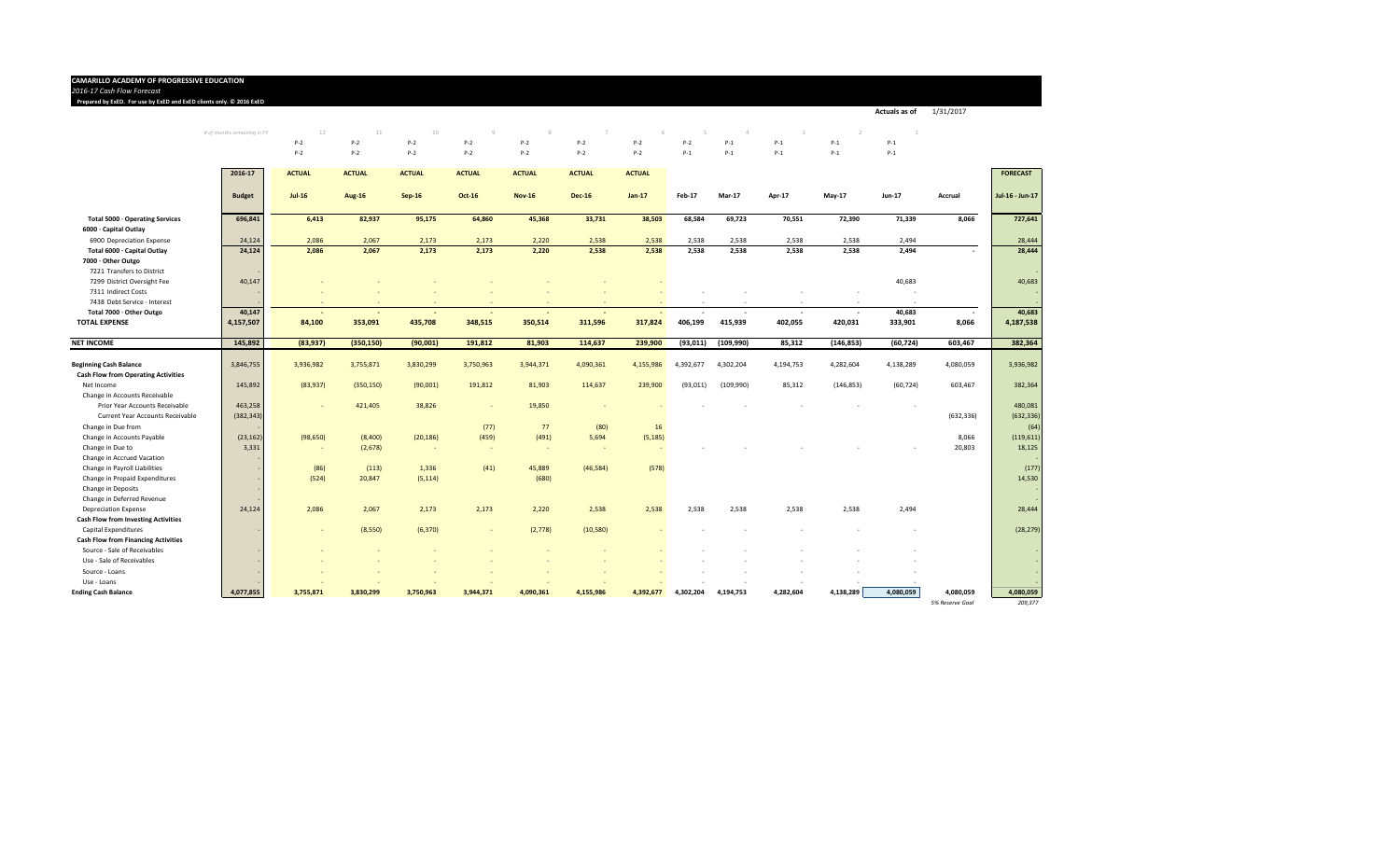#### **CAMARILLO ACADEMY OF PROGRESSIVE EDUCATION**

*2016‐17 Cash FlowForecast* 3 4 5 6 7 8 9 10 11 12 13 14

**Prepared by ExED. For use by ExED and ExED clients only. ©2016 ExED** 3 4 5 6 7 8 9 10 11 12 13 14

*# of months remaining in FY* 12 11 10 9 8 7 6 5 4 3 2 1 P‐2 P‐2 P‐2 P‐2 P‐2 P‐2 P‐2 P‐2 P‐1 P‐1 P‐1 P‐1 P‐2 P‐2 P‐2 P‐2 P‐2 P‐2 P‐2 P‐1 P‐1 P‐1 P‐1 P‐1

**Actuals as of** 1/31/2017

|                                                                    | 2016-17       | <b>ACTUAL</b>                         | <b>ACTUAL</b> | <b>ACTUAL</b> | <b>ACTUAL</b>            | <b>ACTUAL</b> | <b>ACTUAL</b> | <b>ACTUAL</b>  |           |               |           |            |               |                 | <b>FORECAST</b>       |
|--------------------------------------------------------------------|---------------|---------------------------------------|---------------|---------------|--------------------------|---------------|---------------|----------------|-----------|---------------|-----------|------------|---------------|-----------------|-----------------------|
|                                                                    | <b>Budget</b> | $Jul-16$                              | <b>Aug-16</b> | $Sep-16$      | Oct-16                   | <b>Nov-16</b> | <b>Dec-16</b> | $Jan-17$       | Feb-17    | <b>Mar-17</b> | Apr-17    | $May-17$   | <b>Jun-17</b> | Accrual         | Jul-16 - Jun-17       |
| Total 5000 · Operating Services                                    | 696,841       | 6,413                                 | 82,937        | 95,175        | 64,860                   | 45,368        | 33,731        | 38,503         | 68,584    | 69,723        | 70,551    | 72,390     | 71,339        | 8,066           | 727,641               |
| 6000 · Capital Outlay                                              |               |                                       |               |               |                          |               |               |                |           |               |           |            |               |                 |                       |
| 6900 Depreciation Expense                                          | 24,124        | 2,086                                 | 2.067         | 2,173         | 2,173                    | 2,220         | 2,538         | 2,538          | 2,538     | 2,538         | 2,538     | 2,538      | 2,494         |                 | 28,444                |
| Total 6000 · Capital Outlay                                        | 24,124        | 2,086                                 | 2,067         | 2,173         | 2,173                    | 2,220         | 2,538         | 2,538          | 2,538     | 2,538         | 2,538     | 2,538      | 2,494         | $\sim$          | 28,444                |
| 7000 · Other Outgo                                                 |               |                                       |               |               |                          |               |               |                |           |               |           |            |               |                 |                       |
| 7221 Transfers to District                                         |               |                                       |               |               |                          |               |               |                |           |               |           |            |               |                 |                       |
| 7299 District Oversight Fee                                        | 40,147        |                                       |               |               |                          |               |               |                |           |               |           |            | 40,683        |                 | 40,683                |
| 7311 Indirect Costs                                                |               |                                       |               |               |                          |               |               |                |           |               |           |            |               |                 |                       |
| 7438 Debt Service - Interest                                       |               |                                       |               |               |                          |               |               |                |           |               |           |            |               |                 |                       |
| Total 7000 · Other Outgo                                           | 40,147        |                                       |               |               |                          |               |               |                |           |               |           |            | 40,683        |                 | 40,683                |
| <b>TOTAL EXPENSE</b>                                               | 4,157,507     | 84,100                                | 353,091       | 435,708       | 348,515                  | 350,514       | 311,596       | 317,824        | 406,199   | 415,939       | 402,055   | 420,031    | 333,901       | 8,066           | 4,187,538             |
| <b>NET INCOME</b>                                                  | 145,892       | (83,937)                              | (350, 150)    | (90,001)      | 191,812                  | 81,903        | 114,637       | 239,900        | (93, 011) | (109, 990)    | 85,312    | (146, 853) | (60, 724)     | 603,467         | 382,364               |
|                                                                    |               |                                       |               |               |                          |               |               |                |           |               |           |            |               |                 |                       |
| <b>Beginning Cash Balance</b>                                      | 3,846,755     | 3,936,982                             | 3,755,871     | 3,830,299     | 3,750,963                | 3,944,371     | 4,090,361     | 4,155,986      | 4,392,677 | 4,302,204     | 4,194,753 | 4,282,604  | 4,138,289     | 4,080,059       | 3,936,982             |
| <b>Cash Flow from Operating Activities</b>                         |               |                                       |               |               |                          |               |               |                |           |               |           |            |               |                 |                       |
| Net Income                                                         | 145,892       | (83,937)                              | (350, 150)    | (90,001)      | 191,812                  | 81,903        | 114,637       | 239,900        | (93, 011) | (109, 990)    | 85,312    | (146, 853) | (60, 724)     | 603,467         | 382,364               |
| Change in Accounts Receivable                                      |               |                                       |               |               |                          |               |               |                |           |               |           |            |               |                 |                       |
| Prior Year Accounts Receivable<br>Current Year Accounts Receivable | 463,258       |                                       | 421,405       | 38,826        | $\sim$                   | 19,850        |               |                |           |               |           |            |               | (632, 336)      | 480,081<br>(632, 336) |
| Change in Due from                                                 | (382, 343)    |                                       |               |               |                          | 77            |               |                |           |               |           |            |               |                 |                       |
| Change in Accounts Payable                                         | (23, 162)     |                                       | (8,400)       |               | (77)<br>(459)            | (491)         | (80)<br>5,694 | 16<br>(5, 185) |           |               |           |            |               | 8,066           | (64)                  |
| Change in Due to                                                   | 3,331         | (98, 650)<br>$\overline{\phantom{a}}$ | (2,678)       | (20, 186)     | $\sim$                   |               |               |                |           |               |           |            |               | 20,803          | (119, 611)<br>18,125  |
| Change in Accrued Vacation                                         |               |                                       |               |               |                          |               |               |                |           |               |           |            |               |                 |                       |
| Change in Payroll Liabilities                                      |               | (86)                                  | (113)         | 1,336         | (41)                     | 45,889        | (46, 584)     | (578)          |           |               |           |            |               |                 | (177)                 |
| Change in Prepaid Expenditures                                     |               | (524)                                 | 20,847        | (5, 114)      |                          | (680)         |               |                |           |               |           |            |               |                 | 14,530                |
| Change in Deposits                                                 |               |                                       |               |               |                          |               |               |                |           |               |           |            |               |                 |                       |
| Change in Deferred Revenue                                         |               |                                       |               |               |                          |               |               |                |           |               |           |            |               |                 |                       |
| <b>Depreciation Expense</b>                                        | 24,124        | 2,086                                 | 2,067         | 2,173         | 2,173                    | 2,220         | 2,538         | 2,538          | 2,538     | 2,538         | 2,538     | 2,538      | 2,494         |                 | 28,444                |
| <b>Cash Flow from Investing Activities</b>                         |               |                                       |               |               |                          |               |               |                |           |               |           |            |               |                 |                       |
| Capital Expenditures                                               |               |                                       | (8,550)       | (6, 370)      | $\overline{\phantom{a}}$ | (2,778)       | (10, 580)     |                |           |               |           |            |               |                 | (28, 279)             |
| <b>Cash Flow from Financing Activities</b>                         |               |                                       |               |               |                          |               |               |                |           |               |           |            |               |                 |                       |
| Source - Sale of Receivables                                       |               |                                       |               |               |                          |               |               |                |           |               |           |            |               |                 |                       |
| Use - Sale of Receivables                                          |               |                                       |               |               |                          |               |               |                |           |               |           |            |               |                 |                       |
| Source - Loans                                                     |               |                                       |               |               |                          |               |               |                |           |               |           |            |               |                 |                       |
| Use - Loans                                                        |               |                                       |               |               |                          |               |               |                |           |               |           |            |               |                 |                       |
| <b>Ending Cash Balance</b>                                         | 4,077,855     | 3,755,871                             | 3,830,299     | 3,750,963     | 3,944,371                | 4,090,361     | 4,155,986     | 4,392,677      | 4,302,204 | 4,194,753     | 4,282,604 | 4,138,289  | 4,080,059     | 4,080,059       | 4,080,059             |
|                                                                    |               |                                       |               |               |                          |               |               |                |           |               |           |            |               | 5% Reserve Goal | 209.377               |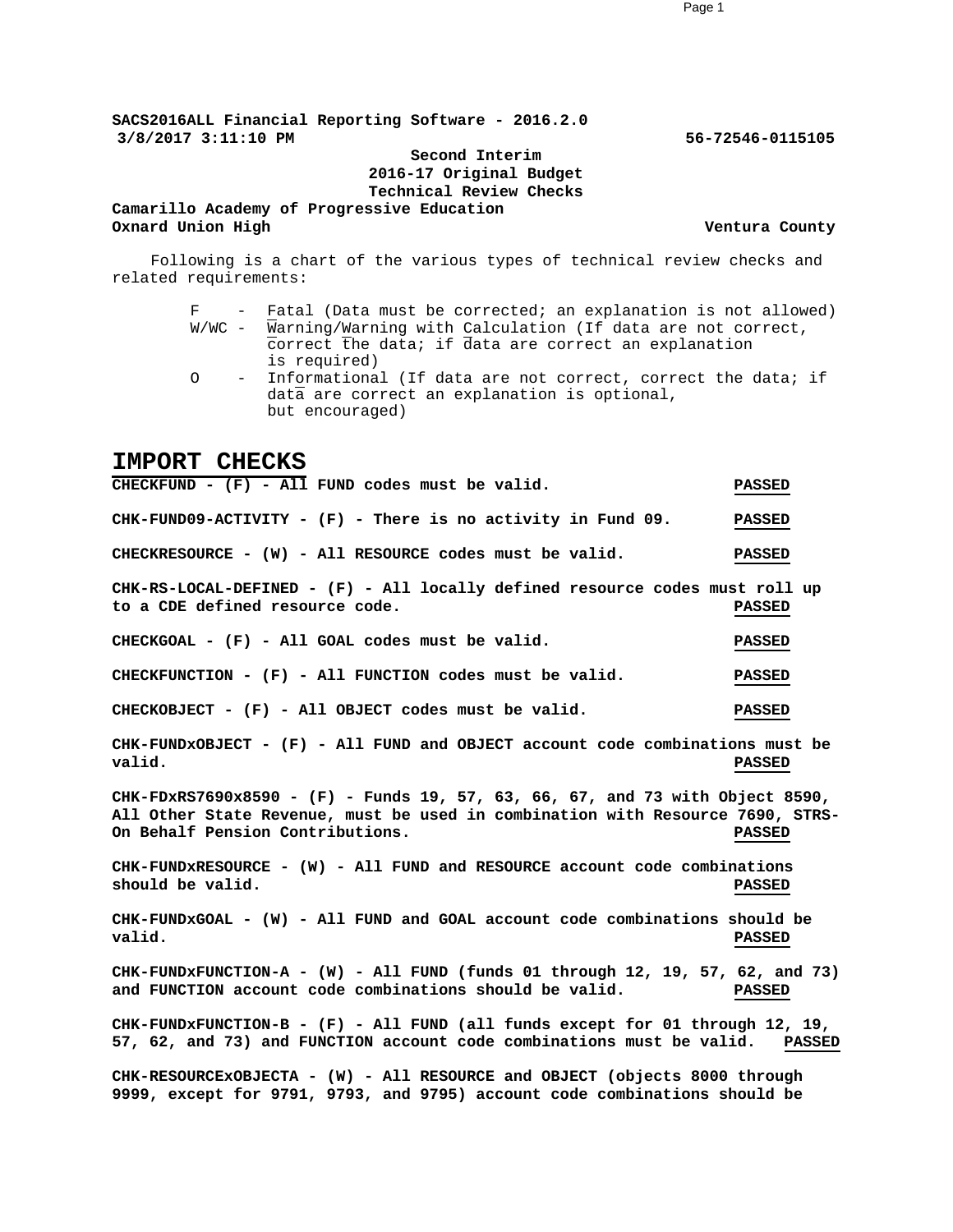**SACS2016ALL Financial Reporting Software - 2016.2.0 3/8/2017 3:11:10 PM 56-72546-0115105**

**Second Interim 2016-17 Original Budget Technical Review Checks**

**Camarillo Academy of Progressive Education Oxnard Union High Ventura County**

Following is a chart of the various types of technical review checks and related requirements:

- F Fatal (Data must be corrected; an explanation is not allowed) W/WC - Warning/Warning with Calculation (If data are not correct, correct the data; if data are correct an explanation is required)
- O Informational (If data are not correct, correct the data; if data are correct an explanation is optional, but encouraged)

#### **IMPORT CHECKS**

**CHECKFUND - (F) - All FUND codes must be valid. PASSED CHK-FUND09-ACTIVITY - (F) - There is no activity in Fund 09. PASSED CHECKRESOURCE - (W) - All RESOURCE codes must be valid. PASSED CHK-RS-LOCAL-DEFINED - (F) - All locally defined resource codes must roll up to a CDE defined resource code. PASSED CHECKGOAL - (F) - All GOAL codes must be valid. PASSED CHECKFUNCTION - (F) - All FUNCTION codes must be valid. PASSED CHECKOBJECT - (F) - All OBJECT codes must be valid. PASSED CHK-FUNDxOBJECT - (F) - All FUND and OBJECT account code combinations must be valid. PASSED CHK-FDxRS7690x8590 - (F) - Funds 19, 57, 63, 66, 67, and 73 with Object 8590, All Other State Revenue, must be used in combination with Resource 7690, STRS-On Behalf Pension Contributions. PASSED CHK-FUNDxRESOURCE - (W) - All FUND and RESOURCE account code combinations should be valid. PASSED CHK-FUNDxGOAL - (W) - All FUND and GOAL account code combinations should be valid. PASSED CHK-FUNDxFUNCTION-A - (W) - All FUND (funds 01 through 12, 19, 57, 62, and 73) and FUNCTION account code combinations should be valid. PASSED CHK-FUNDxFUNCTION-B - (F) - All FUND (all funds except for 01 through 12, 19, 57, 62, and 73) and FUNCTION account code combinations must be valid. PASSED CHK-RESOURCExOBJECTA - (W) - All RESOURCE and OBJECT (objects 8000 through 9999, except for 9791, 9793, and 9795) account code combinations should be**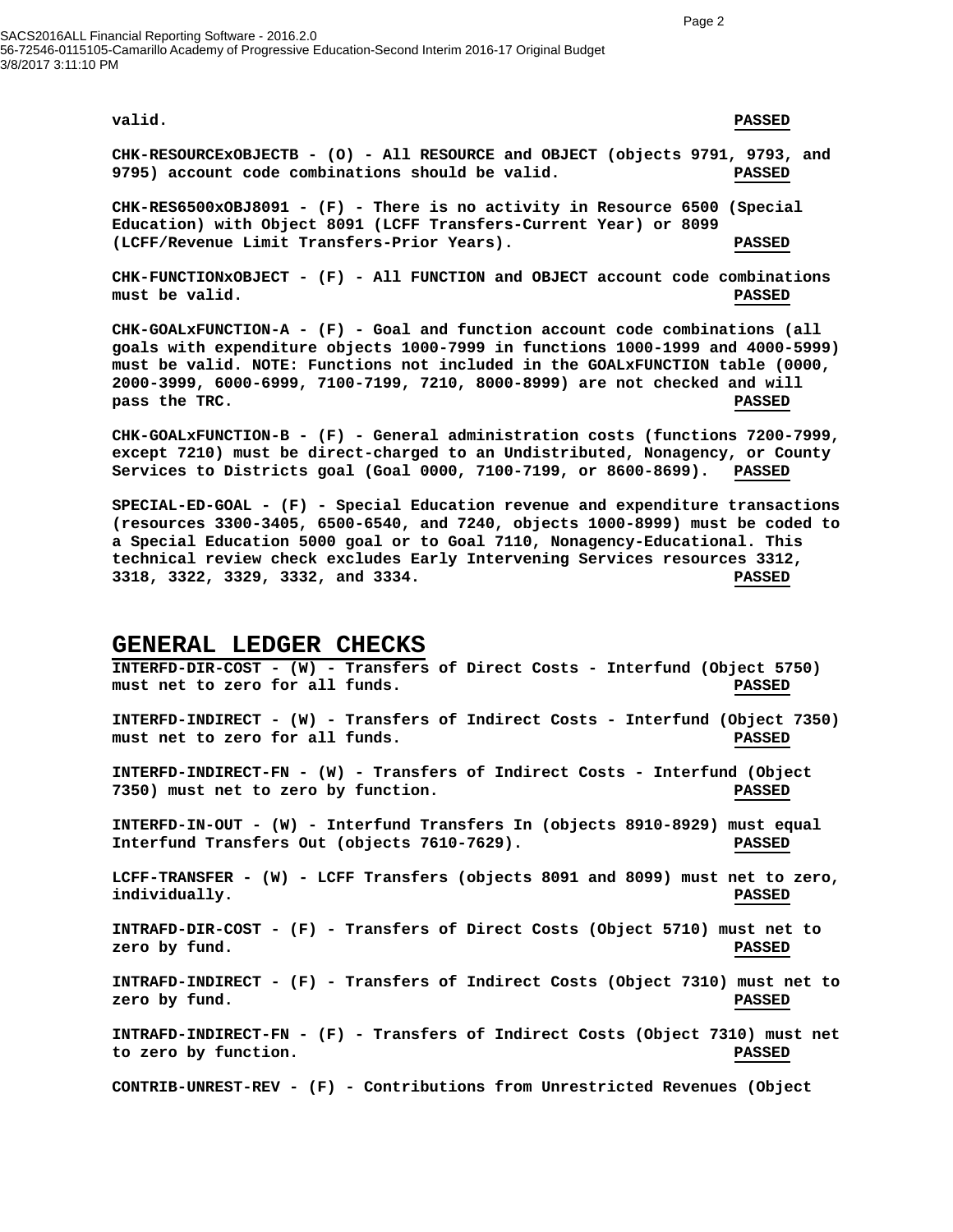SACS2016ALL Financial Reporting Software - 2016.2.0 56-72546-0115105-Camarillo Academy of Progressive Education-Second Interim 2016-17 Original Budget 3/8/2017 3:11:10 PM

#### **valid. PASSED**

**CHK-RESOURCExOBJECTB - (O) - All RESOURCE and OBJECT (objects 9791, 9793, and 9795) account code combinations should be valid. PASSED**

**CHK-RES6500xOBJ8091 - (F) - There is no activity in Resource 6500 (Special Education) with Object 8091 (LCFF Transfers-Current Year) or 8099 (LCFF/Revenue Limit Transfers-Prior Years). PASSED**

**CHK-FUNCTIONxOBJECT - (F) - All FUNCTION and OBJECT account code combinations must be valid. PASSED**

**CHK-GOALxFUNCTION-A - (F) - Goal and function account code combinations (all goals with expenditure objects 1000-7999 in functions 1000-1999 and 4000-5999) must be valid. NOTE: Functions not included in the GOALxFUNCTION table (0000, 2000-3999, 6000-6999, 7100-7199, 7210, 8000-8999) are not checked and will pass the TRC. PASSED**

**CHK-GOALxFUNCTION-B - (F) - General administration costs (functions 7200-7999, except 7210) must be direct-charged to an Undistributed, Nonagency, or County Services to Districts goal (Goal 0000, 7100-7199, or 8600-8699). PASSED**

**SPECIAL-ED-GOAL - (F) - Special Education revenue and expenditure transactions (resources 3300-3405, 6500-6540, and 7240, objects 1000-8999) must be coded to a Special Education 5000 goal or to Goal 7110, Nonagency-Educational. This technical review check excludes Early Intervening Services resources 3312, 3318, 3322, 3329, 3332, and 3334. PASSED**

#### **GENERAL LEDGER CHECKS**

**INTERFD-DIR-COST - (W) - Transfers of Direct Costs - Interfund (Object 5750) must net to zero for all funds. PASSED INTERFD-INDIRECT - (W) - Transfers of Indirect Costs - Interfund (Object 7350) must net to zero for all funds. PASSED INTERFD-INDIRECT-FN - (W) - Transfers of Indirect Costs - Interfund (Object 7350) must net to zero by function. PASSED INTERFD-IN-OUT - (W) - Interfund Transfers In (objects 8910-8929) must equal Interfund Transfers Out (objects 7610-7629). PASSED LCFF-TRANSFER - (W) - LCFF Transfers (objects 8091 and 8099) must net to zero, individually. PASSED INTRAFD-DIR-COST - (F) - Transfers of Direct Costs (Object 5710) must net to zero by fund. PASSED INTRAFD-INDIRECT - (F) - Transfers of Indirect Costs (Object 7310) must net to zero by fund. PASSED INTRAFD-INDIRECT-FN - (F) - Transfers of Indirect Costs (Object 7310) must net to zero by function. PASSED CONTRIB-UNREST-REV - (F) - Contributions from Unrestricted Revenues (Object**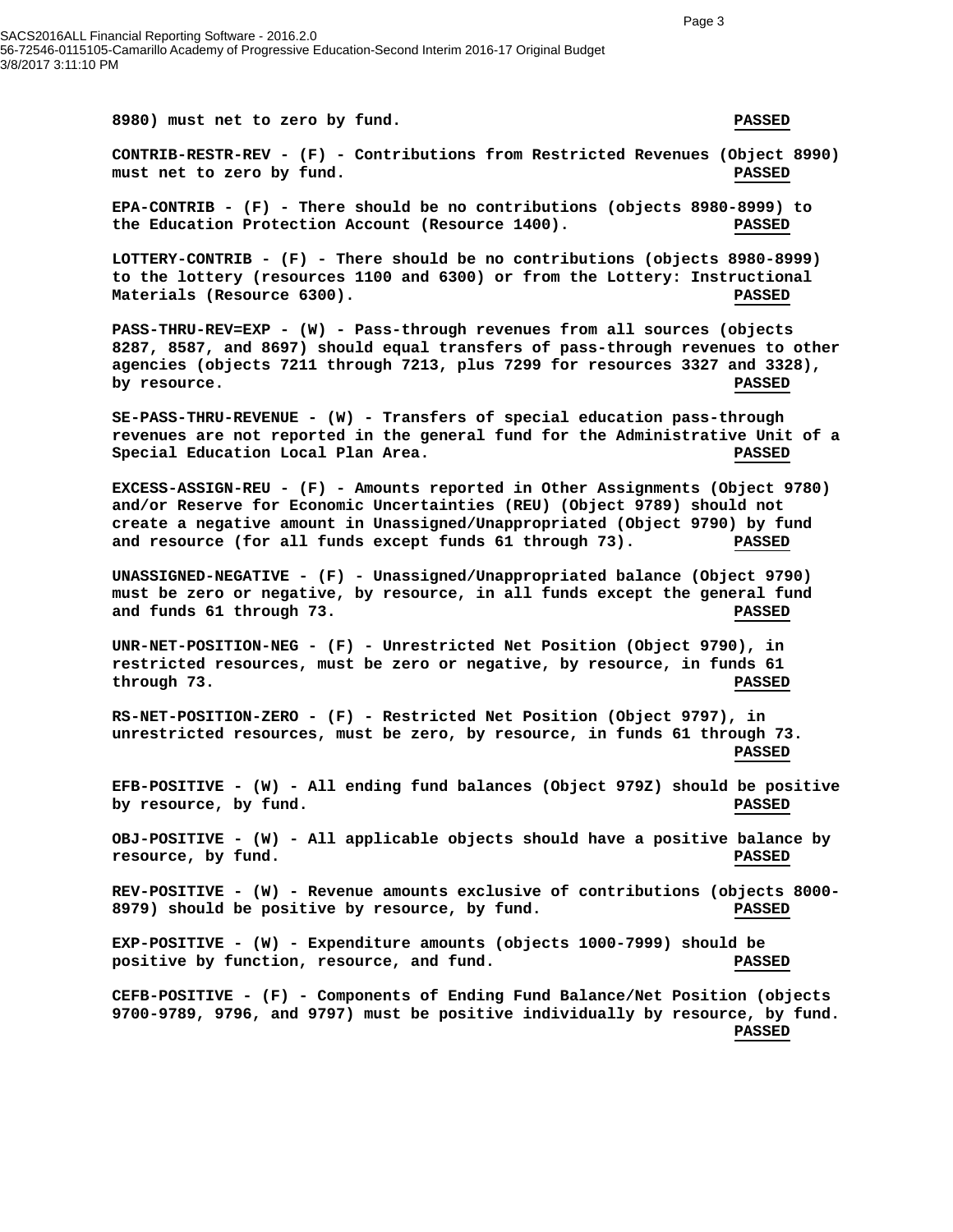**8980) must net to zero by fund. PASSED CONTRIB-RESTR-REV - (F) - Contributions from Restricted Revenues (Object 8990) must net to zero by fund. PASSED EPA-CONTRIB - (F) - There should be no contributions (objects 8980-8999) to the Education Protection Account (Resource 1400). PASSED LOTTERY-CONTRIB - (F) - There should be no contributions (objects 8980-8999) to the lottery (resources 1100 and 6300) or from the Lottery: Instructional Materials (Resource 6300). PASSED PASS-THRU-REV=EXP - (W) - Pass-through revenues from all sources (objects 8287, 8587, and 8697) should equal transfers of pass-through revenues to other agencies (objects 7211 through 7213, plus 7299 for resources 3327 and 3328), by resource.** PASSED **SE-PASS-THRU-REVENUE - (W) - Transfers of special education pass-through revenues are not reported in the general fund for the Administrative Unit of a Special Education Local Plan Area. PASSED EXCESS-ASSIGN-REU - (F) - Amounts reported in Other Assignments (Object 9780) and/or Reserve for Economic Uncertainties (REU) (Object 9789) should not create a negative amount in Unassigned/Unappropriated (Object 9790) by fund and resource (for all funds except funds 61 through 73). PASSED UNASSIGNED-NEGATIVE - (F) - Unassigned/Unappropriated balance (Object 9790) must be zero or negative, by resource, in all funds except the general fund and funds 61 through 73. PASSED UNR-NET-POSITION-NEG - (F) - Unrestricted Net Position (Object 9790), in restricted resources, must be zero or negative, by resource, in funds 61 through 73. PASSED RS-NET-POSITION-ZERO - (F) - Restricted Net Position (Object 9797), in unrestricted resources, must be zero, by resource, in funds 61 through 73. PASSED EFB-POSITIVE - (W) - All ending fund balances (Object 979Z) should be positive by resource, by fund. PASSED OBJ-POSITIVE - (W) - All applicable objects should have a positive balance by resource, by fund. PASSED REV-POSITIVE - (W) - Revenue amounts exclusive of contributions (objects 8000- 8979) should be positive by resource, by fund. PASSED EXP-POSITIVE - (W) - Expenditure amounts (objects 1000-7999) should be positive by function, resource, and fund. PASSED CEFB-POSITIVE - (F) - Components of Ending Fund Balance/Net Position (objects 9700-9789, 9796, and 9797) must be positive individually by resource, by fund. PASSED**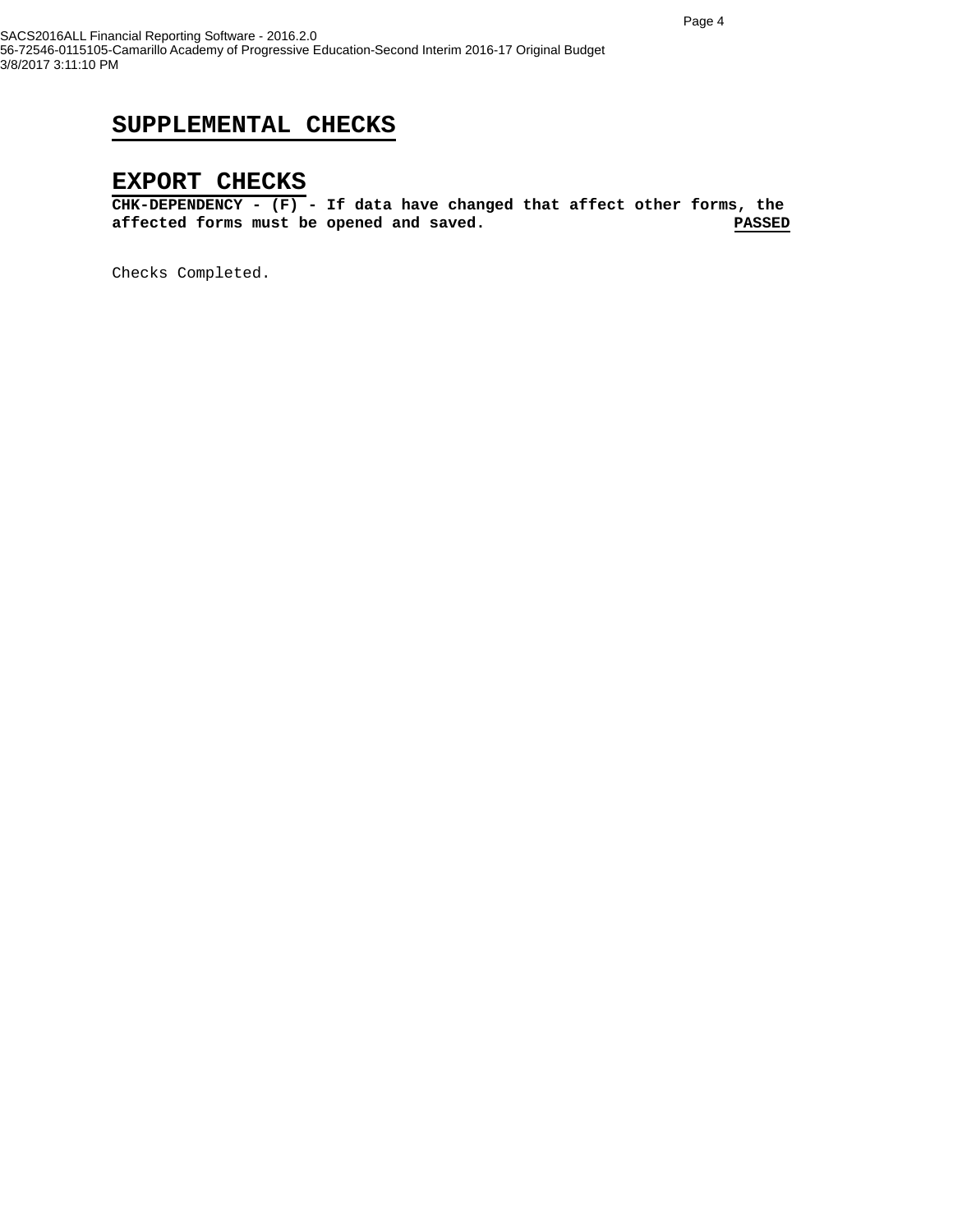### **SUPPLEMENTAL CHECKS**

#### **EXPORT CHECKS**

**CHK-DEPENDENCY - (F) - If data have changed that affect other forms, the**  affected forms must be opened and saved.

Checks Completed.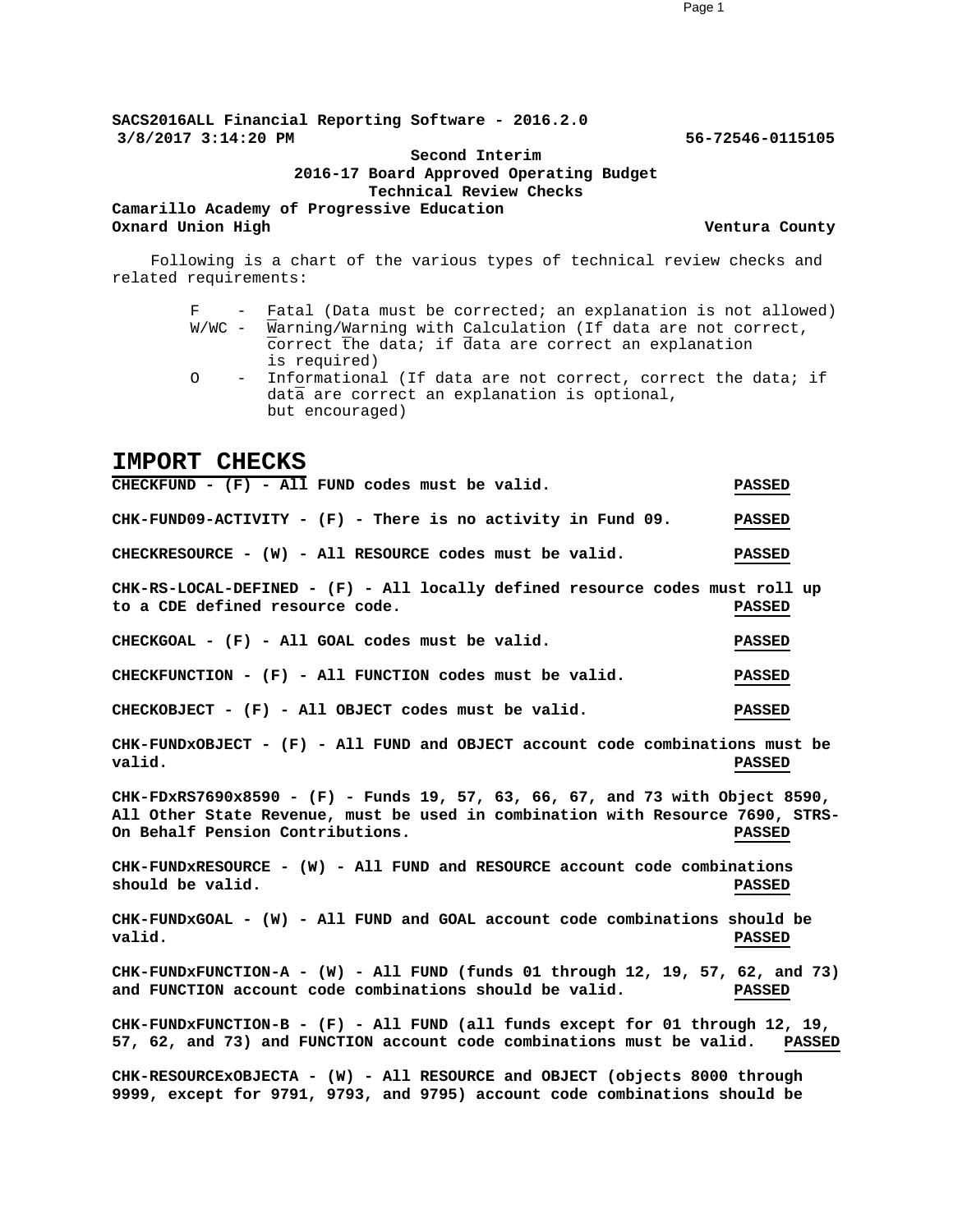**SACS2016ALL Financial Reporting Software - 2016.2.0 3/8/2017 3:14:20 PM 56-72546-0115105**

> **Second Interim 2016-17 Board Approved Operating Budget Technical Review Checks**

**Camarillo Academy of Progressive Education Oxnard Union High Ventura County**

Following is a chart of the various types of technical review checks and related requirements:

- F Fatal (Data must be corrected; an explanation is not allowed) W/WC - Warning/Warning with Calculation (If data are not correct, correct the data; if data are correct an explanation is required)
- O Informational (If data are not correct, correct the data; if data are correct an explanation is optional, but encouraged)

#### **IMPORT CHECKS**

**CHECKFUND - (F) - All FUND codes must be valid. PASSED CHK-FUND09-ACTIVITY - (F) - There is no activity in Fund 09. PASSED CHECKRESOURCE - (W) - All RESOURCE codes must be valid. PASSED CHK-RS-LOCAL-DEFINED - (F) - All locally defined resource codes must roll up to a CDE defined resource code. PASSED CHECKGOAL - (F) - All GOAL codes must be valid. PASSED CHECKFUNCTION - (F) - All FUNCTION codes must be valid. PASSED CHECKOBJECT - (F) - All OBJECT codes must be valid. PASSED CHK-FUNDxOBJECT - (F) - All FUND and OBJECT account code combinations must be valid. PASSED CHK-FDxRS7690x8590 - (F) - Funds 19, 57, 63, 66, 67, and 73 with Object 8590, All Other State Revenue, must be used in combination with Resource 7690, STRS-On Behalf Pension Contributions. PASSED CHK-FUNDxRESOURCE - (W) - All FUND and RESOURCE account code combinations should be valid. PASSED CHK-FUNDxGOAL - (W) - All FUND and GOAL account code combinations should be valid. PASSED CHK-FUNDxFUNCTION-A - (W) - All FUND (funds 01 through 12, 19, 57, 62, and 73) and FUNCTION account code combinations should be valid. PASSED CHK-FUNDxFUNCTION-B - (F) - All FUND (all funds except for 01 through 12, 19, 57, 62, and 73) and FUNCTION account code combinations must be valid. PASSED CHK-RESOURCExOBJECTA - (W) - All RESOURCE and OBJECT (objects 8000 through 9999, except for 9791, 9793, and 9795) account code combinations should be**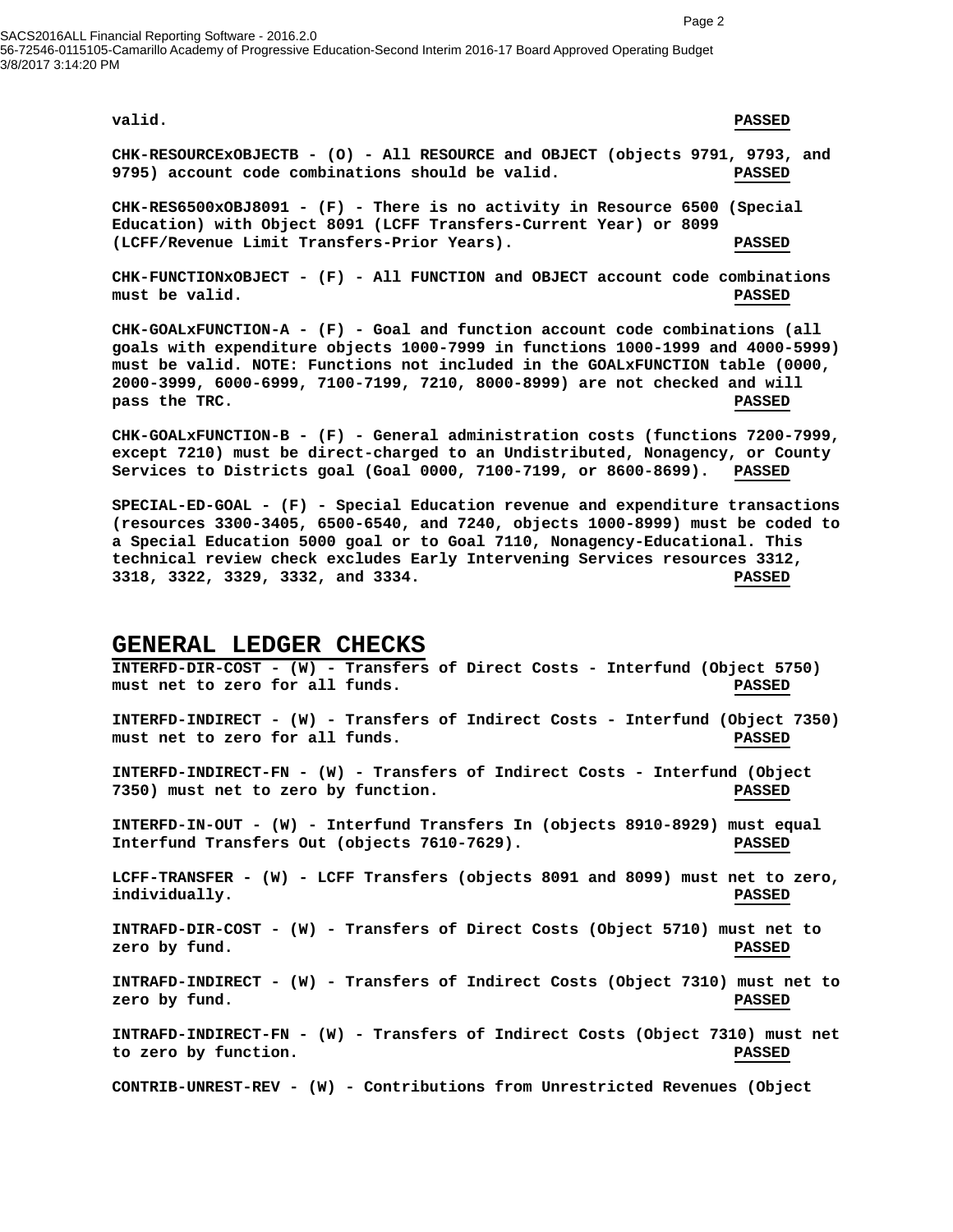SACS2016ALL Financial Reporting Software - 2016.2.0 56-72546-0115105-Camarillo Academy of Progressive Education-Second Interim 2016-17 Board Approved Operating Budget 3/8/2017 3:14:20 PM

**valid. PASSED**

**CHK-RESOURCExOBJECTB - (O) - All RESOURCE and OBJECT (objects 9791, 9793, and 9795) account code combinations should be valid. PASSED**

**CHK-RES6500xOBJ8091 - (F) - There is no activity in Resource 6500 (Special Education) with Object 8091 (LCFF Transfers-Current Year) or 8099 (LCFF/Revenue Limit Transfers-Prior Years). PASSED**

**CHK-FUNCTIONxOBJECT - (F) - All FUNCTION and OBJECT account code combinations must be valid. PASSED**

**CHK-GOALxFUNCTION-A - (F) - Goal and function account code combinations (all goals with expenditure objects 1000-7999 in functions 1000-1999 and 4000-5999) must be valid. NOTE: Functions not included in the GOALxFUNCTION table (0000, 2000-3999, 6000-6999, 7100-7199, 7210, 8000-8999) are not checked and will pass the TRC. PASSED**

**CHK-GOALxFUNCTION-B - (F) - General administration costs (functions 7200-7999, except 7210) must be direct-charged to an Undistributed, Nonagency, or County Services to Districts goal (Goal 0000, 7100-7199, or 8600-8699). PASSED**

**SPECIAL-ED-GOAL - (F) - Special Education revenue and expenditure transactions (resources 3300-3405, 6500-6540, and 7240, objects 1000-8999) must be coded to a Special Education 5000 goal or to Goal 7110, Nonagency-Educational. This technical review check excludes Early Intervening Services resources 3312, 3318, 3322, 3329, 3332, and 3334. PASSED**

#### **GENERAL LEDGER CHECKS**

**INTERFD-DIR-COST - (W) - Transfers of Direct Costs - Interfund (Object 5750) must net to zero for all funds. PASSED INTERFD-INDIRECT - (W) - Transfers of Indirect Costs - Interfund (Object 7350) must net to zero for all funds. PASSED INTERFD-INDIRECT-FN - (W) - Transfers of Indirect Costs - Interfund (Object 7350) must net to zero by function. PASSED INTERFD-IN-OUT - (W) - Interfund Transfers In (objects 8910-8929) must equal Interfund Transfers Out (objects 7610-7629). PASSED LCFF-TRANSFER - (W) - LCFF Transfers (objects 8091 and 8099) must net to zero, individually. PASSED INTRAFD-DIR-COST - (W) - Transfers of Direct Costs (Object 5710) must net to zero by fund. PASSED INTRAFD-INDIRECT - (W) - Transfers of Indirect Costs (Object 7310) must net to zero by fund. PASSED INTRAFD-INDIRECT-FN - (W) - Transfers of Indirect Costs (Object 7310) must net to zero by function. PASSED CONTRIB-UNREST-REV - (W) - Contributions from Unrestricted Revenues (Object**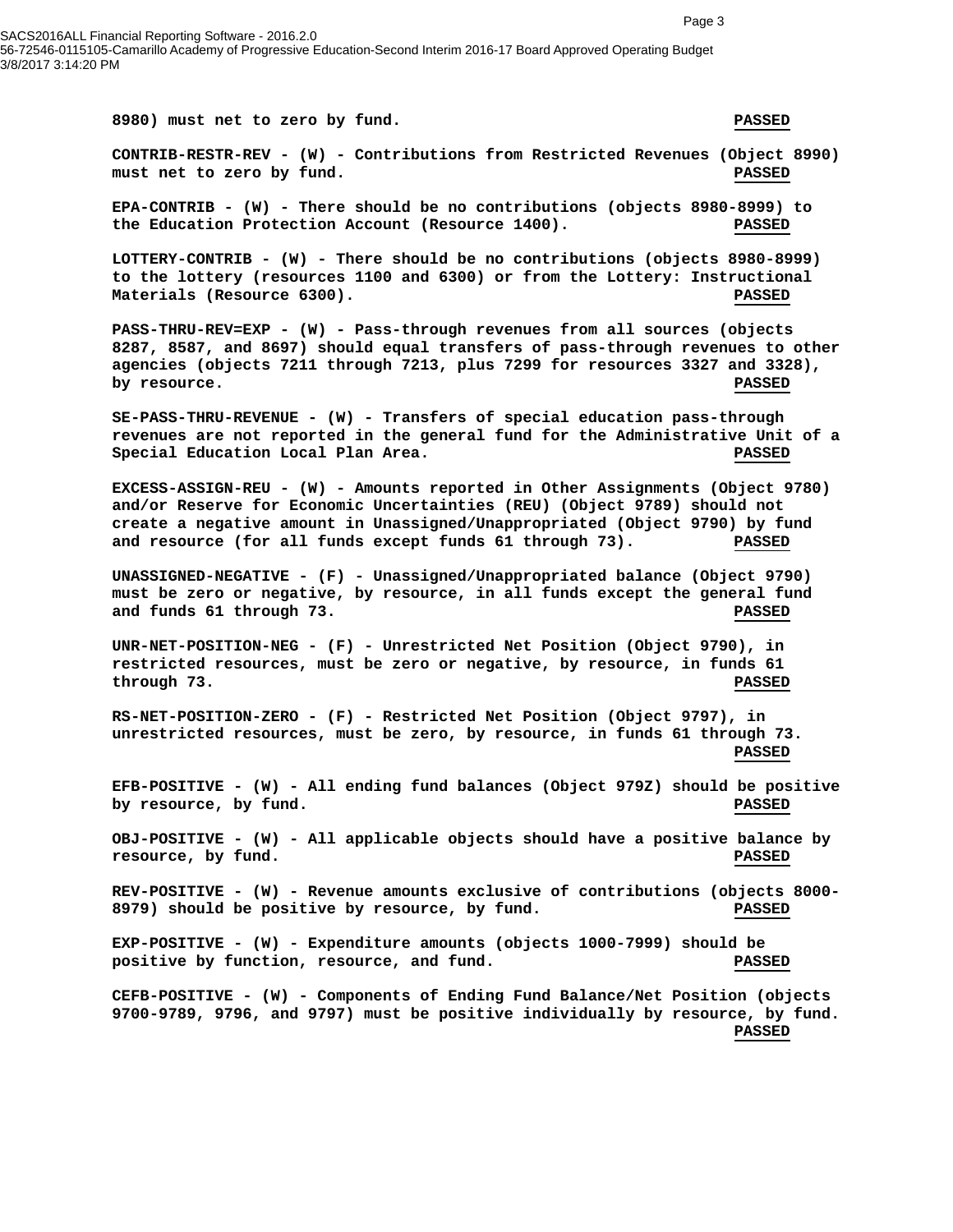56-72546-0115105-Camarillo Academy of Progressive Education-Second Interim 2016-17 Board Approved Operating Budget 3/8/2017 3:14:20 PM

SACS2016ALL Financial Reporting Software - 2016.2.0 **8980) must net to zero by fund. PASSED CONTRIB-RESTR-REV - (W) - Contributions from Restricted Revenues (Object 8990) must net to zero by fund. PASSED EPA-CONTRIB - (W) - There should be no contributions (objects 8980-8999) to the Education Protection Account (Resource 1400). PASSED LOTTERY-CONTRIB - (W) - There should be no contributions (objects 8980-8999) to the lottery (resources 1100 and 6300) or from the Lottery: Instructional Materials (Resource 6300). PASSED PASS-THRU-REV=EXP - (W) - Pass-through revenues from all sources (objects 8287, 8587, and 8697) should equal transfers of pass-through revenues to other agencies (objects 7211 through 7213, plus 7299 for resources 3327 and 3328), by resource. PASSED SE-PASS-THRU-REVENUE - (W) - Transfers of special education pass-through revenues are not reported in the general fund for the Administrative Unit of a Special Education Local Plan Area. PASSED EXCESS-ASSIGN-REU - (W) - Amounts reported in Other Assignments (Object 9780) and/or Reserve for Economic Uncertainties (REU) (Object 9789) should not create a negative amount in Unassigned/Unappropriated (Object 9790) by fund and resource (for all funds except funds 61 through 73). PASSED UNASSIGNED-NEGATIVE - (F) - Unassigned/Unappropriated balance (Object 9790) must be zero or negative, by resource, in all funds except the general fund and funds 61 through 73. PASSED UNR-NET-POSITION-NEG - (F) - Unrestricted Net Position (Object 9790), in restricted resources, must be zero or negative, by resource, in funds 61 through 73. PASSED RS-NET-POSITION-ZERO - (F) - Restricted Net Position (Object 9797), in unrestricted resources, must be zero, by resource, in funds 61 through 73. PASSED EFB-POSITIVE - (W) - All ending fund balances (Object 979Z) should be positive by resource, by fund. PASSED OBJ-POSITIVE - (W) - All applicable objects should have a positive balance by resource, by fund. PASSED REV-POSITIVE - (W) - Revenue amounts exclusive of contributions (objects 8000- 8979) should be positive by resource, by fund. PASSED**

> **EXP-POSITIVE - (W) - Expenditure amounts (objects 1000-7999) should be positive by function, resource, and fund. PASSED**

**CEFB-POSITIVE - (W) - Components of Ending Fund Balance/Net Position (objects 9700-9789, 9796, and 9797) must be positive individually by resource, by fund. PASSED**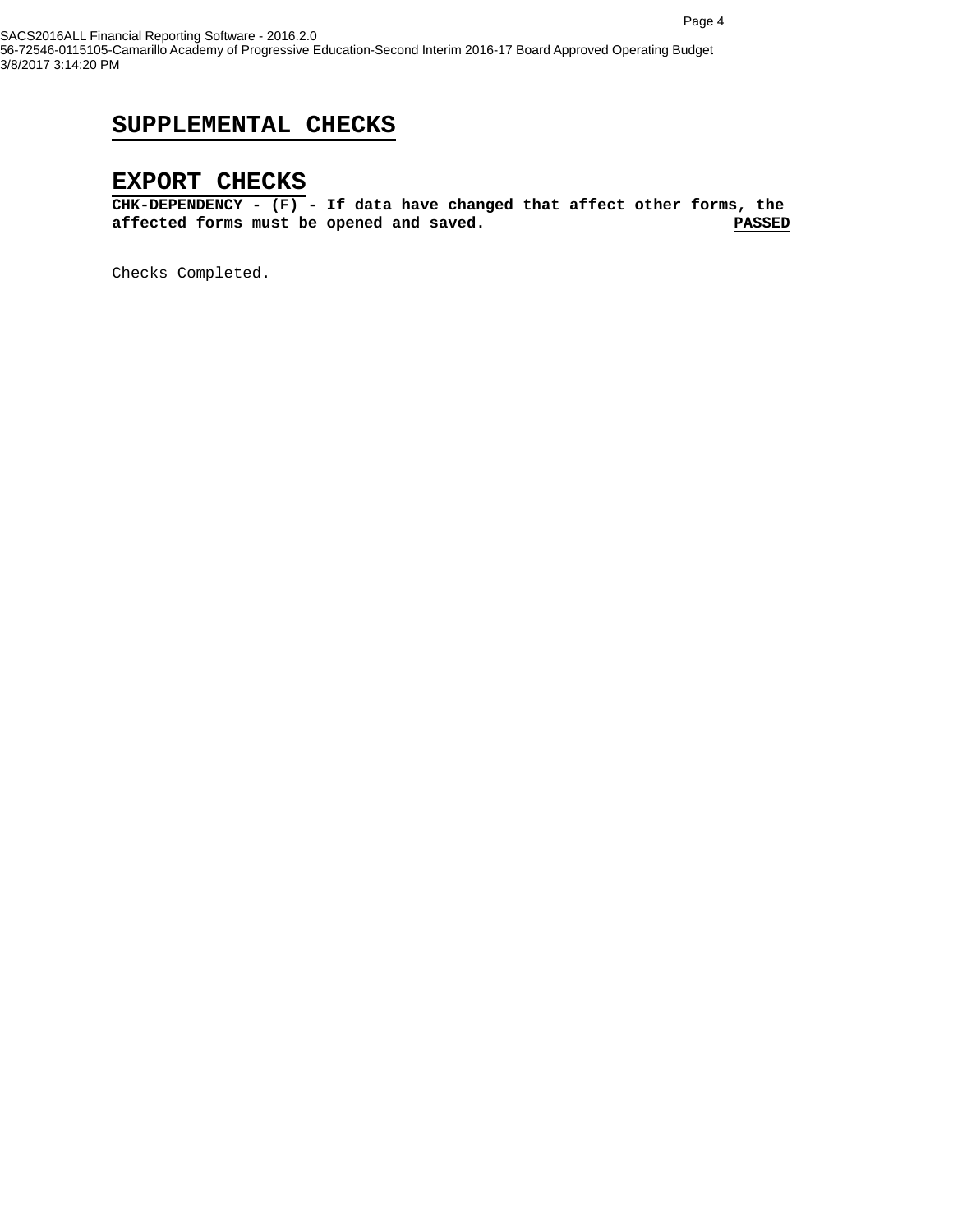### **SUPPLEMENTAL CHECKS**

#### **EXPORT CHECKS**

**CHK-DEPENDENCY - (F) - If data have changed that affect other forms, the**  affected forms must be opened and saved.

Checks Completed.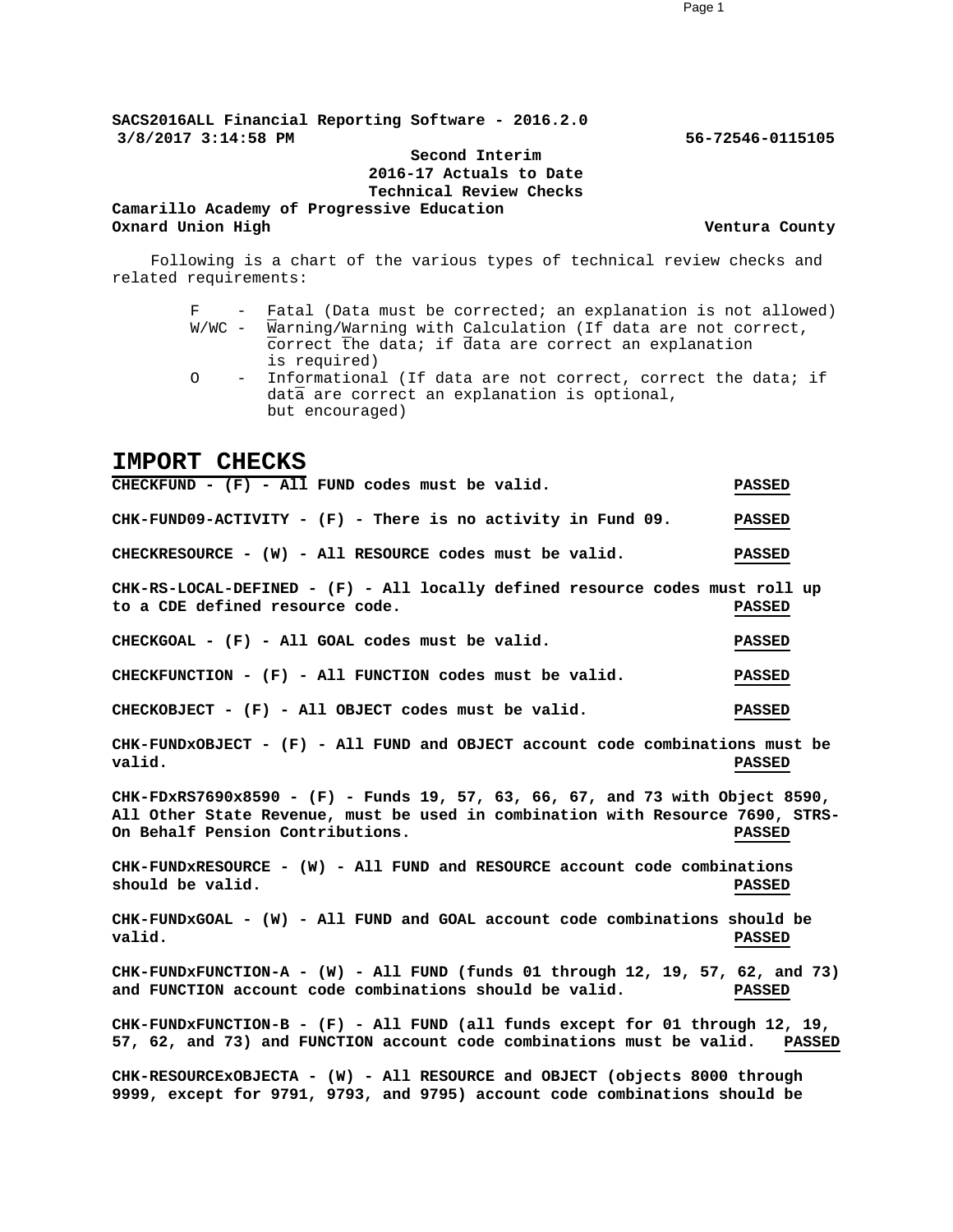**SACS2016ALL Financial Reporting Software - 2016.2.0 3/8/2017 3:14:58 PM 56-72546-0115105**

> **Second Interim 2016-17 Actuals to Date Technical Review Checks**

**Camarillo Academy of Progressive Education Oxnard Union High Ventura County**

Following is a chart of the various types of technical review checks and related requirements:

- F Fatal (Data must be corrected; an explanation is not allowed) W/WC - Warning/Warning with Calculation (If data are not correct, correct the data; if data are correct an explanation is required)
- O Informational (If data are not correct, correct the data; if data are correct an explanation is optional, but encouraged)

#### **IMPORT CHECKS**

**CHECKFUND - (F) - All FUND codes must be valid. PASSED CHK-FUND09-ACTIVITY - (F) - There is no activity in Fund 09. PASSED CHECKRESOURCE - (W) - All RESOURCE codes must be valid. PASSED CHK-RS-LOCAL-DEFINED - (F) - All locally defined resource codes must roll up to a CDE defined resource code. PASSED CHECKGOAL - (F) - All GOAL codes must be valid. PASSED CHECKFUNCTION - (F) - All FUNCTION codes must be valid. PASSED CHECKOBJECT - (F) - All OBJECT codes must be valid. PASSED CHK-FUNDxOBJECT - (F) - All FUND and OBJECT account code combinations must be valid. PASSED CHK-FDxRS7690x8590 - (F) - Funds 19, 57, 63, 66, 67, and 73 with Object 8590, All Other State Revenue, must be used in combination with Resource 7690, STRS-On Behalf Pension Contributions. PASSED CHK-FUNDxRESOURCE - (W) - All FUND and RESOURCE account code combinations should be valid. PASSED CHK-FUNDxGOAL - (W) - All FUND and GOAL account code combinations should be valid. PASSED CHK-FUNDxFUNCTION-A - (W) - All FUND (funds 01 through 12, 19, 57, 62, and 73) and FUNCTION account code combinations should be valid. PASSED CHK-FUNDxFUNCTION-B - (F) - All FUND (all funds except for 01 through 12, 19, 57, 62, and 73) and FUNCTION account code combinations must be valid. PASSED CHK-RESOURCExOBJECTA - (W) - All RESOURCE and OBJECT (objects 8000 through 9999, except for 9791, 9793, and 9795) account code combinations should be**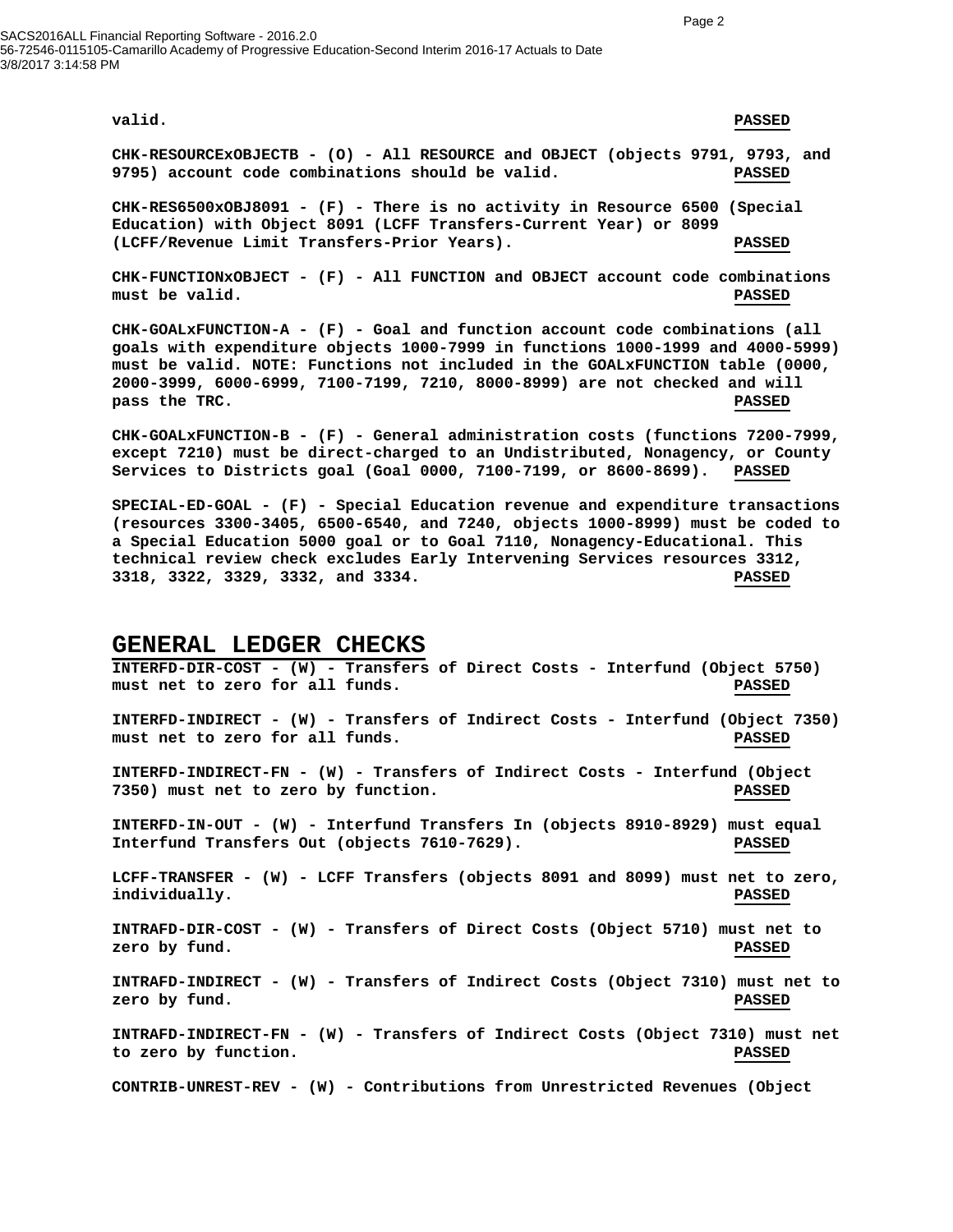SACS2016ALL Financial Reporting Software - 2016.2.0 56-72546-0115105-Camarillo Academy of Progressive Education-Second Interim 2016-17 Actuals to Date 3/8/2017 3:14:58 PM

#### **valid. PASSED**

**CHK-RESOURCExOBJECTB - (O) - All RESOURCE and OBJECT (objects 9791, 9793, and 9795) account code combinations should be valid. PASSED**

**CHK-RES6500xOBJ8091 - (F) - There is no activity in Resource 6500 (Special Education) with Object 8091 (LCFF Transfers-Current Year) or 8099 (LCFF/Revenue Limit Transfers-Prior Years). PASSED**

**CHK-FUNCTIONxOBJECT - (F) - All FUNCTION and OBJECT account code combinations must be valid. PASSED**

**CHK-GOALxFUNCTION-A - (F) - Goal and function account code combinations (all goals with expenditure objects 1000-7999 in functions 1000-1999 and 4000-5999) must be valid. NOTE: Functions not included in the GOALxFUNCTION table (0000, 2000-3999, 6000-6999, 7100-7199, 7210, 8000-8999) are not checked and will pass the TRC. PASSED**

**CHK-GOALxFUNCTION-B - (F) - General administration costs (functions 7200-7999, except 7210) must be direct-charged to an Undistributed, Nonagency, or County Services to Districts goal (Goal 0000, 7100-7199, or 8600-8699). PASSED**

**SPECIAL-ED-GOAL - (F) - Special Education revenue and expenditure transactions (resources 3300-3405, 6500-6540, and 7240, objects 1000-8999) must be coded to a Special Education 5000 goal or to Goal 7110, Nonagency-Educational. This technical review check excludes Early Intervening Services resources 3312, 3318, 3322, 3329, 3332, and 3334. PASSED**

#### **GENERAL LEDGER CHECKS**

**INTERFD-DIR-COST - (W) - Transfers of Direct Costs - Interfund (Object 5750) must net to zero for all funds. PASSED INTERFD-INDIRECT - (W) - Transfers of Indirect Costs - Interfund (Object 7350) must net to zero for all funds. PASSED INTERFD-INDIRECT-FN - (W) - Transfers of Indirect Costs - Interfund (Object 7350) must net to zero by function. PASSED INTERFD-IN-OUT - (W) - Interfund Transfers In (objects 8910-8929) must equal Interfund Transfers Out (objects 7610-7629). PASSED LCFF-TRANSFER - (W) - LCFF Transfers (objects 8091 and 8099) must net to zero, individually. PASSED INTRAFD-DIR-COST - (W) - Transfers of Direct Costs (Object 5710) must net to zero by fund. PASSED INTRAFD-INDIRECT - (W) - Transfers of Indirect Costs (Object 7310) must net to zero by fund. PASSED INTRAFD-INDIRECT-FN - (W) - Transfers of Indirect Costs (Object 7310) must net to zero by function. PASSED CONTRIB-UNREST-REV - (W) - Contributions from Unrestricted Revenues (Object**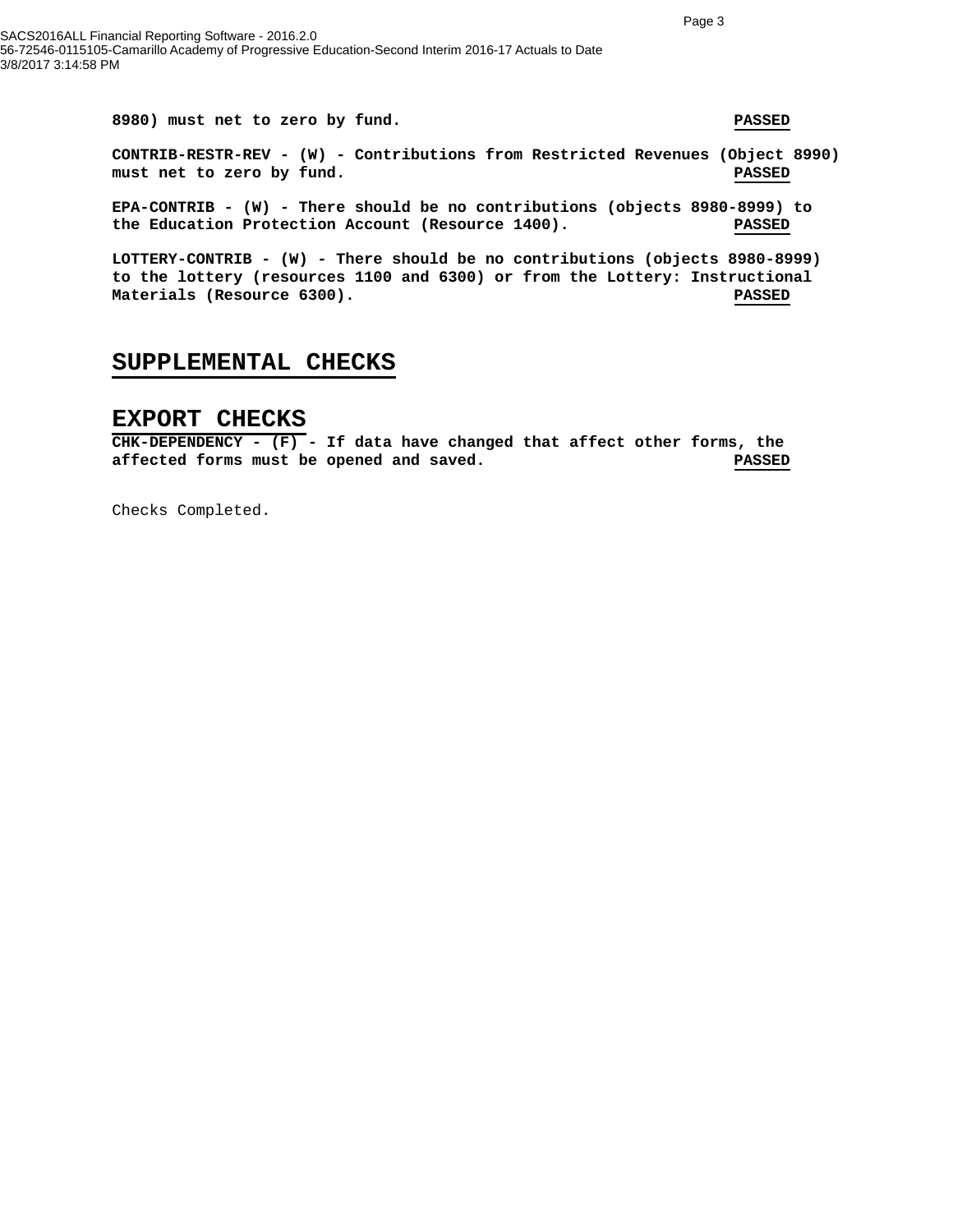**8980) must net to zero by fund. PASSED CONTRIB-RESTR-REV - (W) - Contributions from Restricted Revenues (Object 8990) must net to zero by fund. PASSED**

**EPA-CONTRIB - (W) - There should be no contributions (objects 8980-8999) to the Education Protection Account (Resource 1400). PASSED**

**LOTTERY-CONTRIB - (W) - There should be no contributions (objects 8980-8999) to the lottery (resources 1100 and 6300) or from the Lottery: Instructional Materials (Resource 6300). PASSED**

#### **SUPPLEMENTAL CHECKS**

#### **EXPORT CHECKS**

**CHK-DEPENDENCY - (F) - If data have changed that affect other forms, the affected forms must be opened and saved. PASSED**

Checks Completed.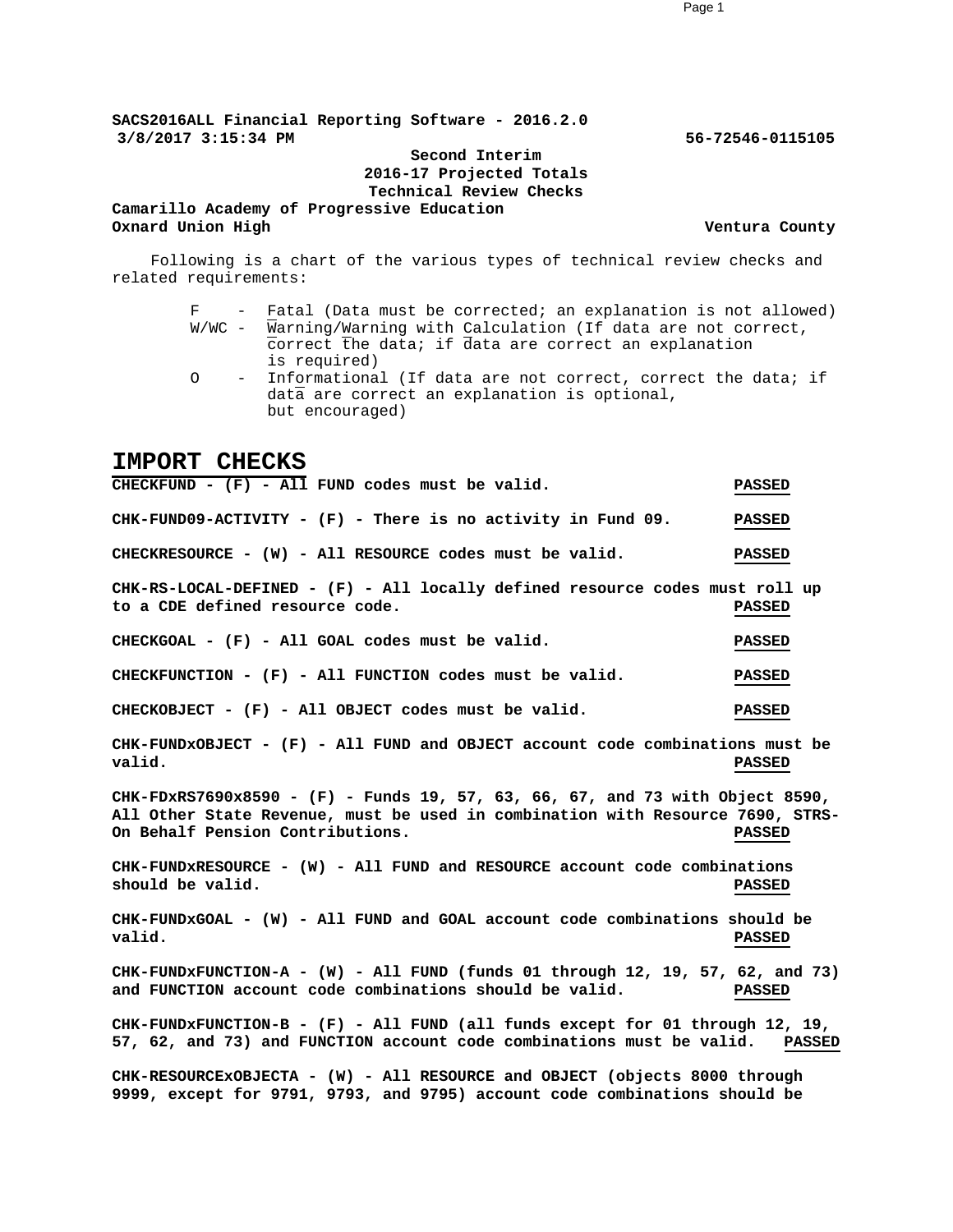**SACS2016ALL Financial Reporting Software - 2016.2.0 3/8/2017 3:15:34 PM 56-72546-0115105**

#### **Second Interim 2016-17 Projected Totals Technical Review Checks**

**Camarillo Academy of Progressive Education Oxnard Union High Ventura County**

Following is a chart of the various types of technical review checks and related requirements:

- F Fatal (Data must be corrected; an explanation is not allowed) W/WC - Warning/Warning with Calculation (If data are not correct, correct the data; if data are correct an explanation is required)
- O Informational (If data are not correct, correct the data; if data are correct an explanation is optional, but encouraged)

#### **IMPORT CHECKS**

**CHECKFUND - (F) - All FUND codes must be valid. PASSED CHK-FUND09-ACTIVITY - (F) - There is no activity in Fund 09. PASSED CHECKRESOURCE - (W) - All RESOURCE codes must be valid. PASSED CHK-RS-LOCAL-DEFINED - (F) - All locally defined resource codes must roll up to a CDE defined resource code. PASSED CHECKGOAL - (F) - All GOAL codes must be valid. PASSED CHECKFUNCTION - (F) - All FUNCTION codes must be valid. PASSED CHECKOBJECT - (F) - All OBJECT codes must be valid. PASSED CHK-FUNDxOBJECT - (F) - All FUND and OBJECT account code combinations must be valid. PASSED CHK-FDxRS7690x8590 - (F) - Funds 19, 57, 63, 66, 67, and 73 with Object 8590, All Other State Revenue, must be used in combination with Resource 7690, STRS-On Behalf Pension Contributions. PASSED CHK-FUNDxRESOURCE - (W) - All FUND and RESOURCE account code combinations should be valid. PASSED CHK-FUNDxGOAL - (W) - All FUND and GOAL account code combinations should be valid. PASSED CHK-FUNDxFUNCTION-A - (W) - All FUND (funds 01 through 12, 19, 57, 62, and 73) and FUNCTION account code combinations should be valid. PASSED CHK-FUNDxFUNCTION-B - (F) - All FUND (all funds except for 01 through 12, 19, 57, 62, and 73) and FUNCTION account code combinations must be valid. PASSED CHK-RESOURCExOBJECTA - (W) - All RESOURCE and OBJECT (objects 8000 through 9999, except for 9791, 9793, and 9795) account code combinations should be**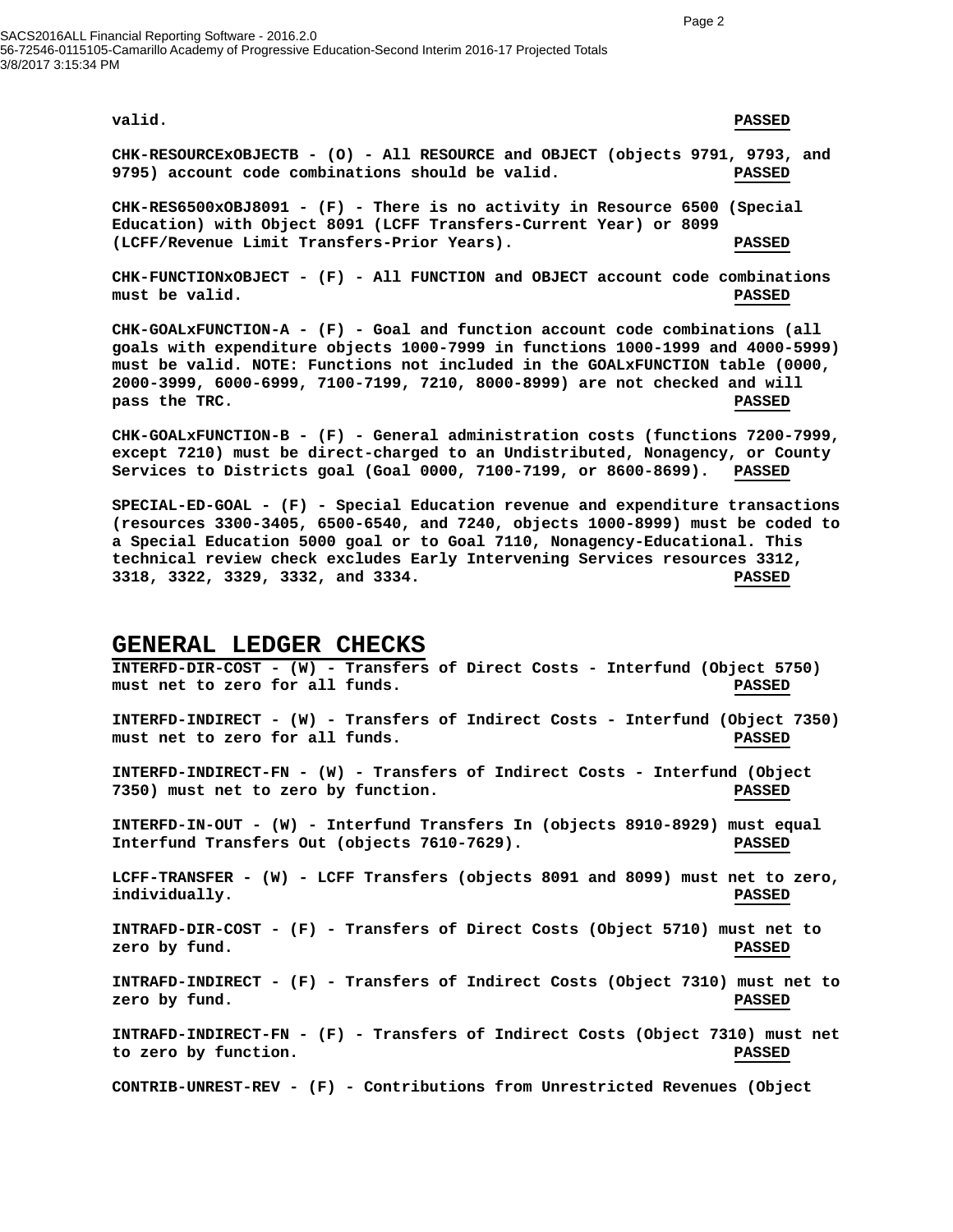SACS2016ALL Financial Reporting Software - 2016.2.0 56-72546-0115105-Camarillo Academy of Progressive Education-Second Interim 2016-17 Projected Totals 3/8/2017 3:15:34 PM

#### **valid. PASSED**

**CHK-RESOURCExOBJECTB - (O) - All RESOURCE and OBJECT (objects 9791, 9793, and 9795) account code combinations should be valid. PASSED**

**CHK-RES6500xOBJ8091 - (F) - There is no activity in Resource 6500 (Special Education) with Object 8091 (LCFF Transfers-Current Year) or 8099 (LCFF/Revenue Limit Transfers-Prior Years). PASSED**

**CHK-FUNCTIONxOBJECT - (F) - All FUNCTION and OBJECT account code combinations must be valid. PASSED**

**CHK-GOALxFUNCTION-A - (F) - Goal and function account code combinations (all goals with expenditure objects 1000-7999 in functions 1000-1999 and 4000-5999) must be valid. NOTE: Functions not included in the GOALxFUNCTION table (0000, 2000-3999, 6000-6999, 7100-7199, 7210, 8000-8999) are not checked and will pass the TRC. PASSED**

**CHK-GOALxFUNCTION-B - (F) - General administration costs (functions 7200-7999, except 7210) must be direct-charged to an Undistributed, Nonagency, or County Services to Districts goal (Goal 0000, 7100-7199, or 8600-8699). PASSED**

**SPECIAL-ED-GOAL - (F) - Special Education revenue and expenditure transactions (resources 3300-3405, 6500-6540, and 7240, objects 1000-8999) must be coded to a Special Education 5000 goal or to Goal 7110, Nonagency-Educational. This technical review check excludes Early Intervening Services resources 3312, 3318, 3322, 3329, 3332, and 3334. PASSED**

#### **GENERAL LEDGER CHECKS**

**INTERFD-DIR-COST - (W) - Transfers of Direct Costs - Interfund (Object 5750) must net to zero for all funds. PASSED INTERFD-INDIRECT - (W) - Transfers of Indirect Costs - Interfund (Object 7350) must net to zero for all funds. PASSED INTERFD-INDIRECT-FN - (W) - Transfers of Indirect Costs - Interfund (Object 7350) must net to zero by function. PASSED INTERFD-IN-OUT - (W) - Interfund Transfers In (objects 8910-8929) must equal Interfund Transfers Out (objects 7610-7629). PASSED LCFF-TRANSFER - (W) - LCFF Transfers (objects 8091 and 8099) must net to zero, individually. PASSED INTRAFD-DIR-COST - (F) - Transfers of Direct Costs (Object 5710) must net to zero by fund. PASSED INTRAFD-INDIRECT - (F) - Transfers of Indirect Costs (Object 7310) must net to zero by fund. PASSED INTRAFD-INDIRECT-FN - (F) - Transfers of Indirect Costs (Object 7310) must net to zero by function. PASSED CONTRIB-UNREST-REV - (F) - Contributions from Unrestricted Revenues (Object**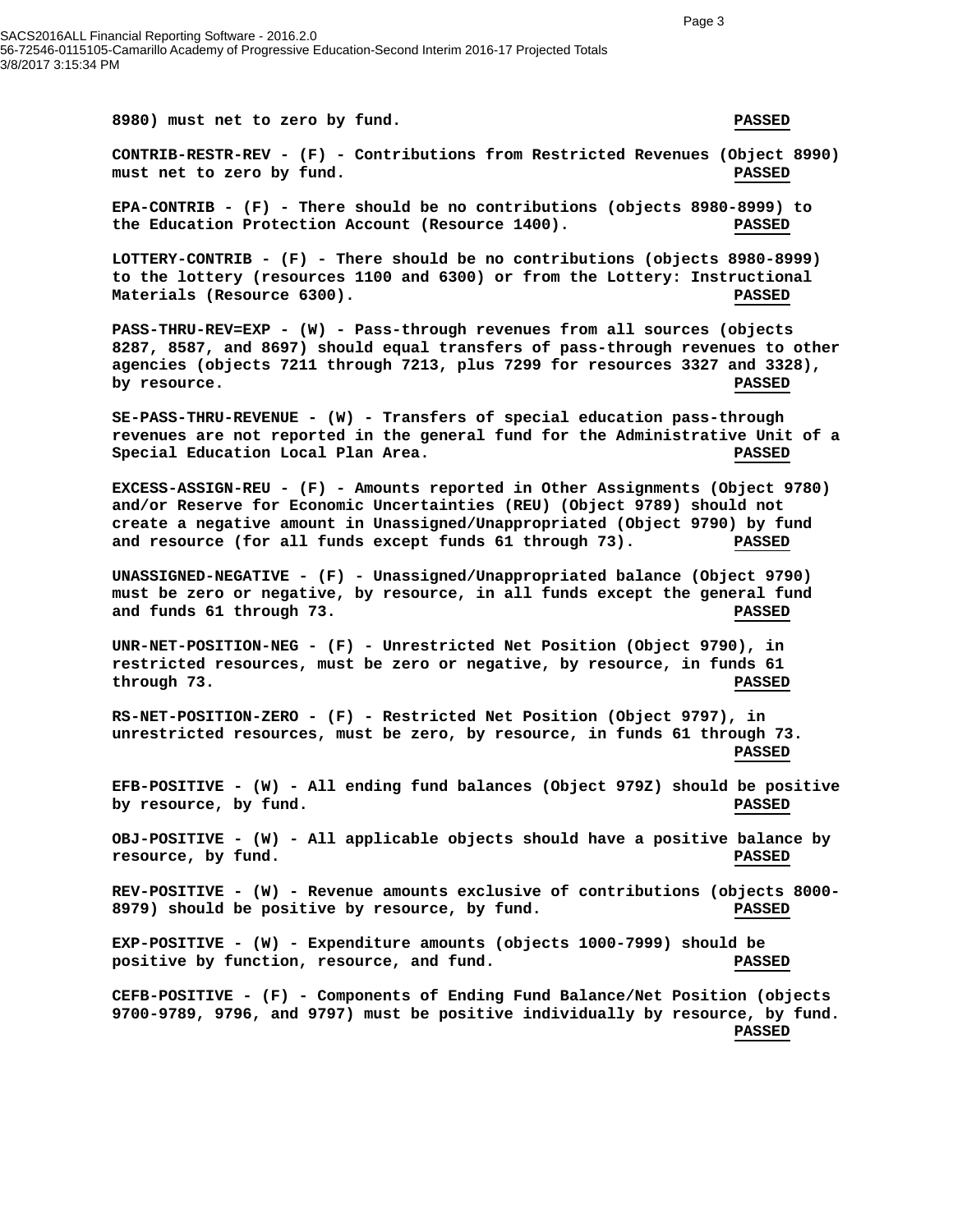**8980) must net to zero by fund. PASSED CONTRIB-RESTR-REV - (F) - Contributions from Restricted Revenues (Object 8990) must net to zero by fund. PASSED EPA-CONTRIB - (F) - There should be no contributions (objects 8980-8999) to the Education Protection Account (Resource 1400). PASSED LOTTERY-CONTRIB - (F) - There should be no contributions (objects 8980-8999) to the lottery (resources 1100 and 6300) or from the Lottery: Instructional Materials (Resource 6300). PASSED PASS-THRU-REV=EXP - (W) - Pass-through revenues from all sources (objects 8287, 8587, and 8697) should equal transfers of pass-through revenues to other agencies (objects 7211 through 7213, plus 7299 for resources 3327 and 3328), by resource.** PASSED **SE-PASS-THRU-REVENUE - (W) - Transfers of special education pass-through revenues are not reported in the general fund for the Administrative Unit of a Special Education Local Plan Area. PASSED EXCESS-ASSIGN-REU - (F) - Amounts reported in Other Assignments (Object 9780) and/or Reserve for Economic Uncertainties (REU) (Object 9789) should not create a negative amount in Unassigned/Unappropriated (Object 9790) by fund and resource (for all funds except funds 61 through 73). PASSED UNASSIGNED-NEGATIVE - (F) - Unassigned/Unappropriated balance (Object 9790) must be zero or negative, by resource, in all funds except the general fund and funds 61 through 73. PASSED UNR-NET-POSITION-NEG - (F) - Unrestricted Net Position (Object 9790), in restricted resources, must be zero or negative, by resource, in funds 61 through 73. PASSED RS-NET-POSITION-ZERO - (F) - Restricted Net Position (Object 9797), in unrestricted resources, must be zero, by resource, in funds 61 through 73. PASSED EFB-POSITIVE - (W) - All ending fund balances (Object 979Z) should be positive by resource, by fund. PASSED OBJ-POSITIVE - (W) - All applicable objects should have a positive balance by resource, by fund. PASSED REV-POSITIVE - (W) - Revenue amounts exclusive of contributions (objects 8000- 8979) should be positive by resource, by fund. PASSED EXP-POSITIVE - (W) - Expenditure amounts (objects 1000-7999) should be positive by function, resource, and fund. PASSED CEFB-POSITIVE - (F) - Components of Ending Fund Balance/Net Position (objects 9700-9789, 9796, and 9797) must be positive individually by resource, by fund. PASSED**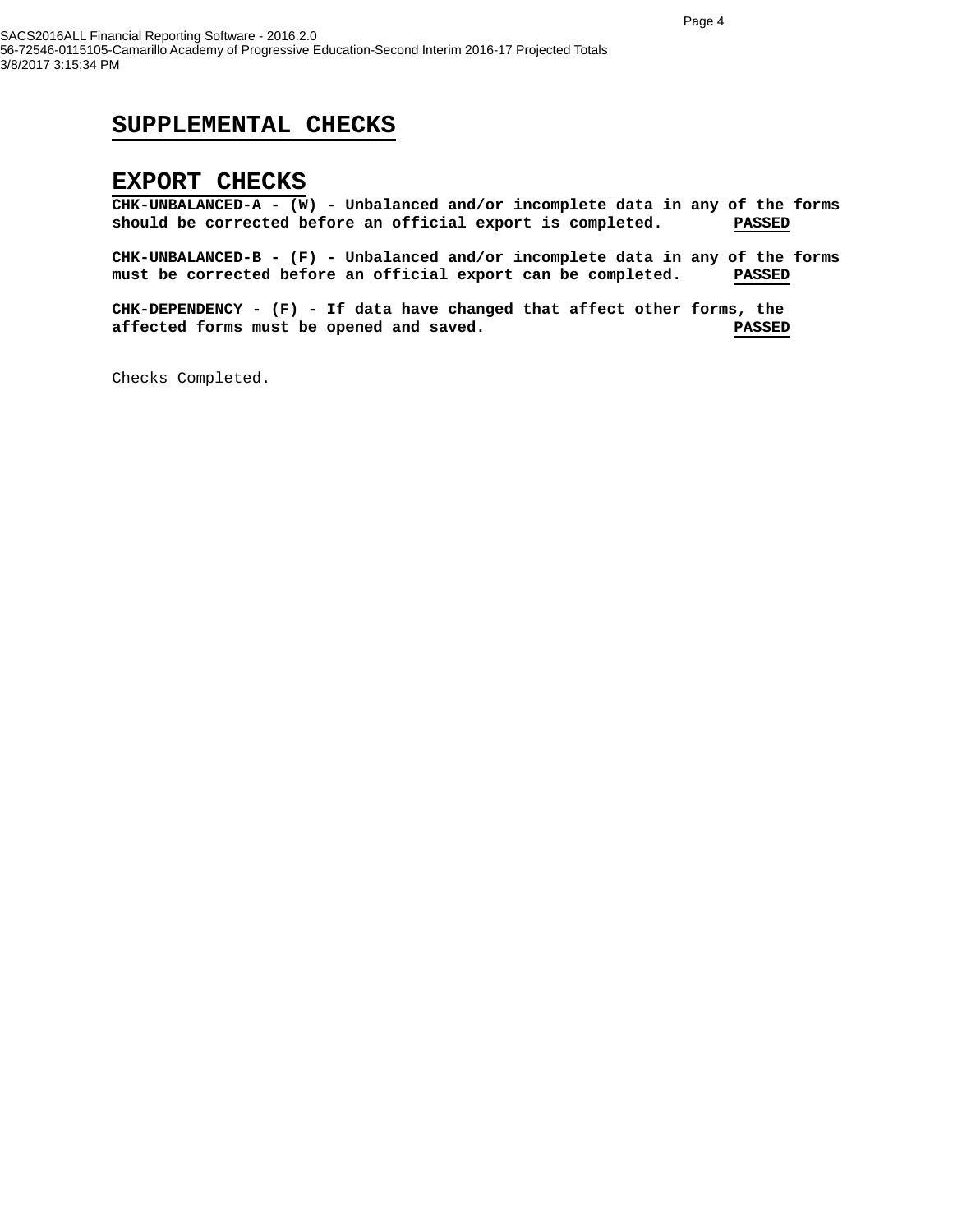#### **SUPPLEMENTAL CHECKS**

#### **EXPORT CHECKS**

**CHK-UNBALANCED-A - (W) - Unbalanced and/or incomplete data in any of the forms should be corrected before an official export is completed. PASSED**

**CHK-UNBALANCED-B - (F) - Unbalanced and/or incomplete data in any of the forms must be corrected before an official export can be completed. PASSED**

**CHK-DEPENDENCY - (F) - If data have changed that affect other forms, the affected forms must be opened and saved. PASSED**

Checks Completed.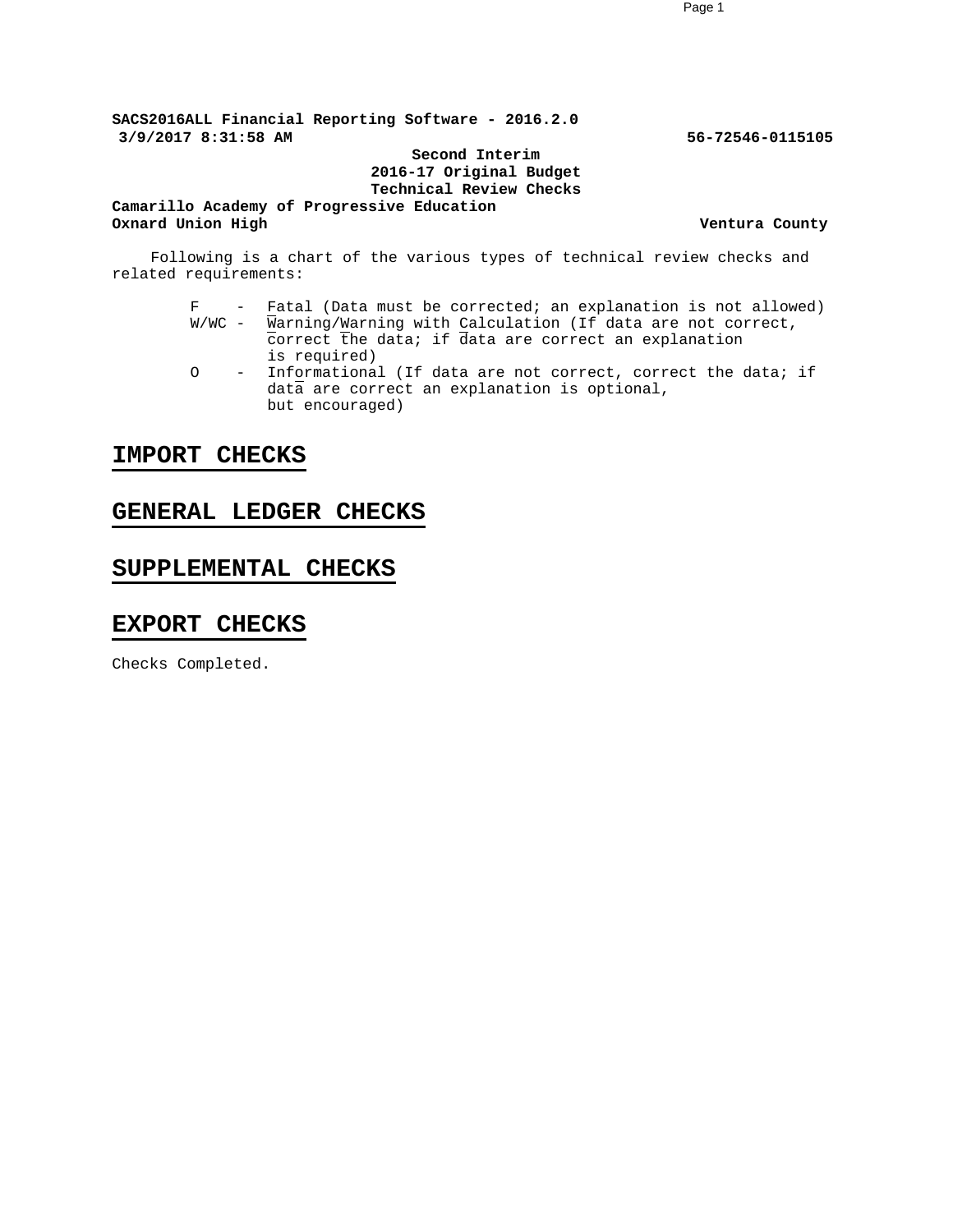**SACS2016ALL Financial Reporting Software - 2016.2.0 3/9/2017 8:31:58 AM 56-72546-0115105**

**Second Interim 2016-17 Original Budget Technical Review Checks**

**Camarillo Academy of Progressive Education Oxnard Union High Ventura County** 

Following is a chart of the various types of technical review checks and related requirements:

- $F$  Fatal (Data must be corrected; an explanation is not allowed)<br>W/WC Warning/Warning with Calculation (If data are not correct,  $\overline{W}$ arning/Warning with Calculation (If data are not correct, correct the data; if data are correct an explanation is required)
- O Informational (If data are not correct, correct the data; if data are correct an explanation is optional, but encouraged)

#### **IMPORT CHECKS**

#### **GENERAL LEDGER CHECKS**

#### **SUPPLEMENTAL CHECKS**

#### **EXPORT CHECKS**

Checks Completed.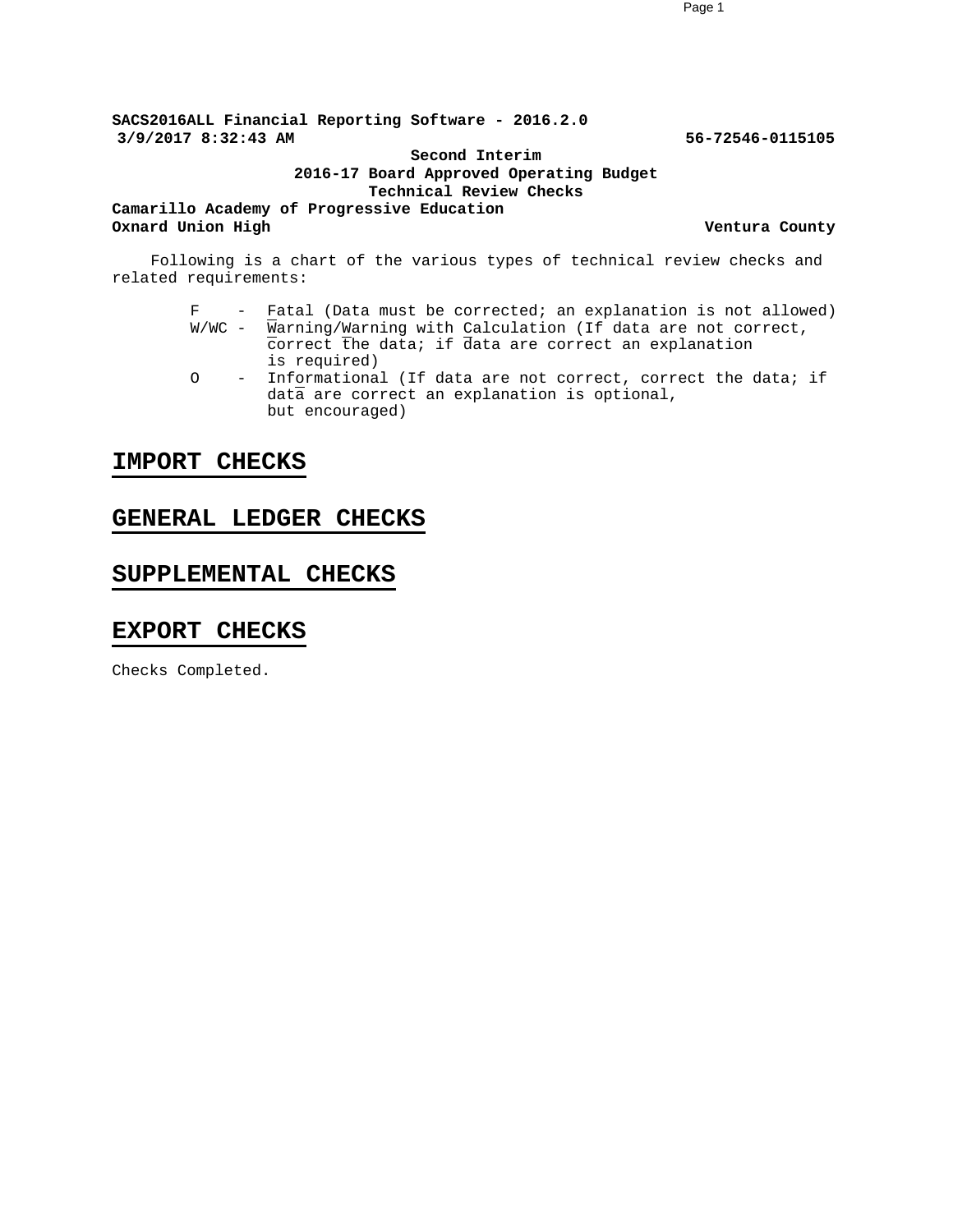**SACS2016ALL Financial Reporting Software - 2016.2.0 3/9/2017 8:32:43 AM 56-72546-0115105**

#### **Second Interim 2016-17 Board Approved Operating Budget Technical Review Checks**

**Camarillo Academy of Progressive Education Oxnard Union High Ventura County Ventura County** 

Following is a chart of the various types of technical review checks and related requirements:

- F Fatal (Data must be corrected; an explanation is not allowed)  $W/WC$  - Warning/Warning with Calculation (If data are not correct, correct the data; if data are correct an explanation is required)
- O Informational (If data are not correct, correct the data; if data are correct an explanation is optional, but encouraged)

#### **IMPORT CHECKS**

#### **GENERAL LEDGER CHECKS**

### **SUPPLEMENTAL CHECKS**

#### **EXPORT CHECKS**

Checks Completed.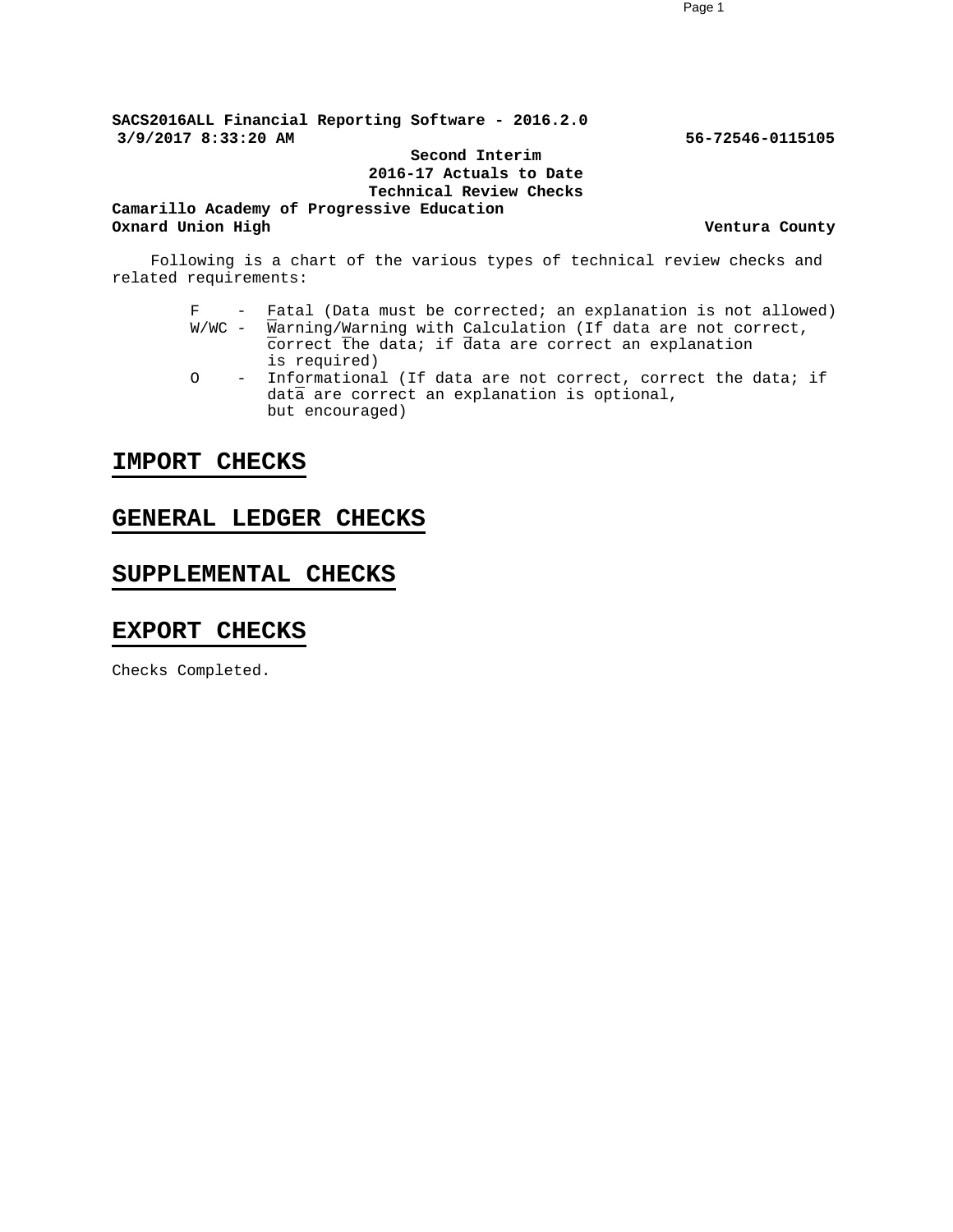**SACS2016ALL Financial Reporting Software - 2016.2.0 3/9/2017 8:33:20 AM 56-72546-0115105**

**Second Interim 2016-17 Actuals to Date Technical Review Checks**

**Camarillo Academy of Progressive Education Oxnard Union High Ventura County Ventura County** 

Following is a chart of the various types of technical review checks and related requirements:

- F Fatal (Data must be corrected; an explanation is not allowed)  $W/WC$  - Warning/Warning with Calculation (If data are not correct, correct the data; if data are correct an explanation is required)
- O Informational (If data are not correct, correct the data; if data are correct an explanation is optional, but encouraged)

#### **IMPORT CHECKS**

#### **GENERAL LEDGER CHECKS**

### **SUPPLEMENTAL CHECKS**

#### **EXPORT CHECKS**

Checks Completed.